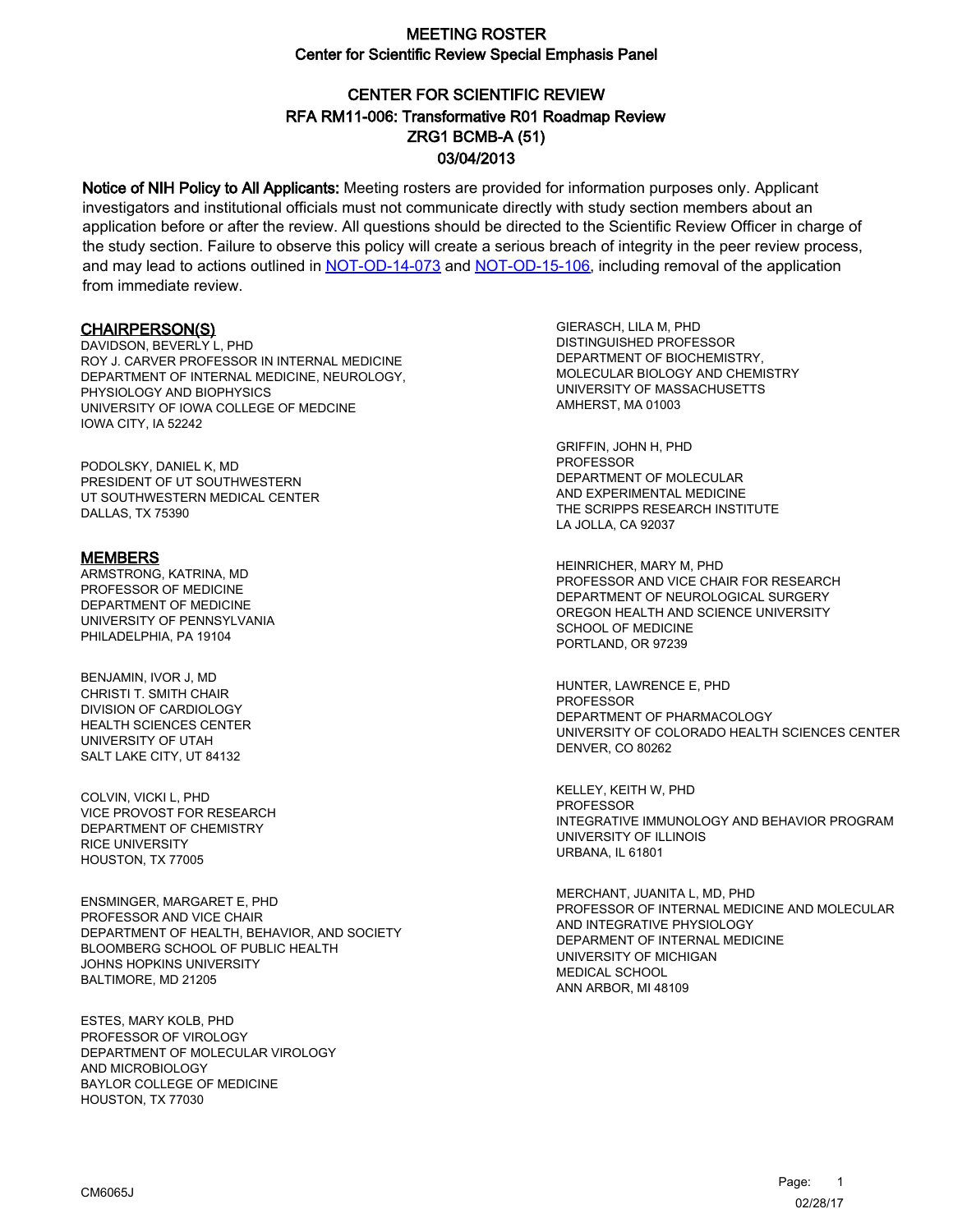# CENTER FOR SCIENTIFIC REVIEW ZRG1 BCMB-A (51) 03/04/2013 RFA RM11-006: Transformative R01 Roadmap Review

Notice of NIH Policy to All Applicants: Meeting rosters are provided for information purposes only. Applicant investigators and institutional officials must not communicate directly with study section members about an application before or after the review. All questions should be directed to the Scientific Review Officer in charge of the study section. Failure to observe this policy will create a serious breach of integrity in the peer review process, and may lead to actions outlined in [NOT-OD-14-073](https://grants.nih.gov/grants/guide/notice-files/NOT-OD-14-073.html) and [NOT-OD-15-106,](https://grants.nih.gov/grants/guide/notice-files/NOT-OD-15-106.html) including removal of the application from immediate review.

#### CHAIRPERSON(S)

DAVIDSON, BEVERLY L, PHD ROY J. CARVER PROFESSOR IN INTERNAL MEDICINE DEPARTMENT OF INTERNAL MEDICINE, NEUROLOGY, PHYSIOLOGY AND BIOPHYSICS UNIVERSITY OF IOWA COLLEGE OF MEDCINE IOWA CITY, IA 52242

PODOLSKY, DANIEL K, MD PRESIDENT OF UT SOUTHWESTERN UT SOUTHWESTERN MEDICAL CENTER DALLAS, TX 75390

#### MEMBERS

ARMSTRONG, KATRINA, MD PROFESSOR OF MEDICINE DEPARTMENT OF MEDICINE UNIVERSITY OF PENNSYLVANIA PHILADELPHIA, PA 19104

BENJAMIN, IVOR J, MD CHRISTI T. SMITH CHAIR DIVISION OF CARDIOLOGY HEALTH SCIENCES CENTER UNIVERSITY OF UTAH SALT LAKE CITY, UT 84132

COLVIN, VICKI L, PHD VICE PROVOST FOR RESEARCH DEPARTMENT OF CHEMISTRY RICE UNIVERSITY HOUSTON, TX 77005

ENSMINGER, MARGARET E, PHD PROFESSOR AND VICE CHAIR DEPARTMENT OF HEALTH, BEHAVIOR, AND SOCIETY BLOOMBERG SCHOOL OF PUBLIC HEALTH JOHNS HOPKINS UNIVERSITY BALTIMORE, MD 21205

ESTES, MARY KOLB, PHD PROFESSOR OF VIROLOGY DEPARTMENT OF MOLECULAR VIROLOGY AND MICROBIOLOGY BAYLOR COLLEGE OF MEDICINE HOUSTON, TX 77030

GIERASCH, LILA M, PHD DISTINGUISHED PROFESSOR DEPARTMENT OF BIOCHEMISTRY, MOLECULAR BIOLOGY AND CHEMISTRY UNIVERSITY OF MASSACHUSETTS AMHERST, MA 01003

GRIFFIN, JOHN H, PHD PROFESSOR DEPARTMENT OF MOLECULAR AND EXPERIMENTAL MEDICINE THE SCRIPPS RESEARCH INSTITUTE LA JOLLA, CA 92037

HEINRICHER, MARY M, PHD PROFESSOR AND VICE CHAIR FOR RESEARCH DEPARTMENT OF NEUROLOGICAL SURGERY OREGON HEALTH AND SCIENCE UNIVERSITY SCHOOL OF MEDICINE PORTLAND, OR 97239

HUNTER, LAWRENCE E, PHD **PROFESSOR** DEPARTMENT OF PHARMACOLOGY UNIVERSITY OF COLORADO HEALTH SCIENCES CENTER DENVER, CO 80262

KELLEY, KEITH W, PHD PROFESSOR INTEGRATIVE IMMUNOLOGY AND BEHAVIOR PROGRAM UNIVERSITY OF ILLINOIS URBANA, IL 61801

MERCHANT, JUANITA L, MD, PHD PROFESSOR OF INTERNAL MEDICINE AND MOLECULAR AND INTEGRATIVE PHYSIOLOGY DEPARMENT OF INTERNAL MEDICINE UNIVERSITY OF MICHIGAN MEDICAL SCHOOL ANN ARBOR, MI 48109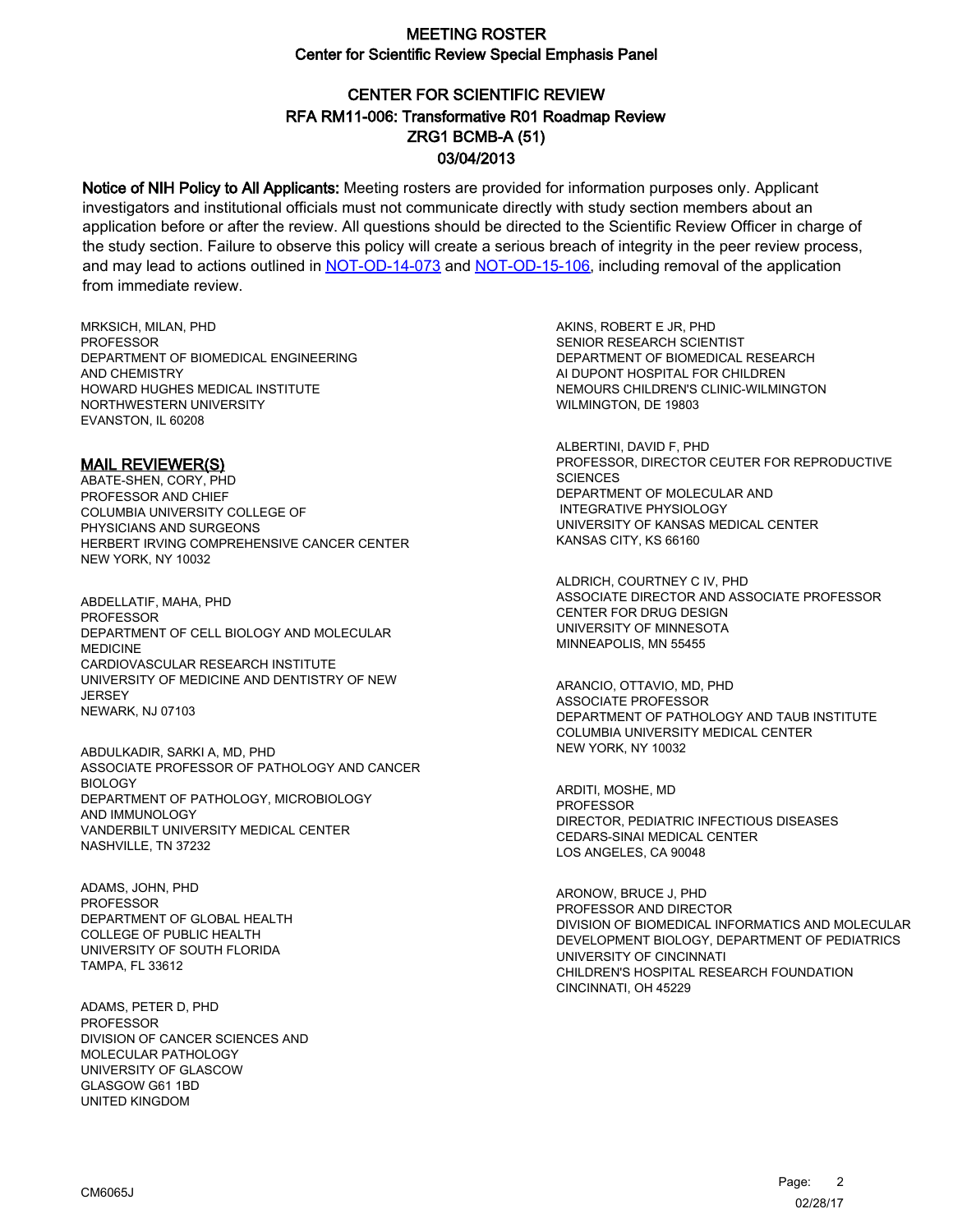# CENTER FOR SCIENTIFIC REVIEW ZRG1 BCMB-A (51) 03/04/2013 RFA RM11-006: Transformative R01 Roadmap Review

Notice of NIH Policy to All Applicants: Meeting rosters are provided for information purposes only. Applicant investigators and institutional officials must not communicate directly with study section members about an application before or after the review. All questions should be directed to the Scientific Review Officer in charge of the study section. Failure to observe this policy will create a serious breach of integrity in the peer review process, and may lead to actions outlined in [NOT-OD-14-073](https://grants.nih.gov/grants/guide/notice-files/NOT-OD-14-073.html) and [NOT-OD-15-106,](https://grants.nih.gov/grants/guide/notice-files/NOT-OD-15-106.html) including removal of the application from immediate review.

MRKSICH, MILAN, PHD **PROFESSOR** DEPARTMENT OF BIOMEDICAL ENGINEERING AND CHEMISTRY HOWARD HUGHES MEDICAL INSTITUTE NORTHWESTERN UNIVERSITY EVANSTON, IL 60208

MAIL REVIEWER(S)

ABATE-SHEN, CORY, PHD PROFESSOR AND CHIEF COLUMBIA UNIVERSITY COLLEGE OF PHYSICIANS AND SURGEONS HERBERT IRVING COMPREHENSIVE CANCER CENTER NEW YORK, NY 10032

ABDELLATIF, MAHA, PHD **PROFESSOR** DEPARTMENT OF CELL BIOLOGY AND MOLECULAR MEDICINE CARDIOVASCULAR RESEARCH INSTITUTE UNIVERSITY OF MEDICINE AND DENTISTRY OF NEW **JERSEY** NEWARK, NJ 07103

ABDULKADIR, SARKI A, MD, PHD ASSOCIATE PROFESSOR OF PATHOLOGY AND CANCER BIOLOGY DEPARTMENT OF PATHOLOGY, MICROBIOLOGY AND IMMUNOLOGY VANDERBILT UNIVERSITY MEDICAL CENTER NASHVILLE, TN 37232

ADAMS, JOHN, PHD PROFESSOR DEPARTMENT OF GLOBAL HEALTH COLLEGE OF PUBLIC HEALTH UNIVERSITY OF SOUTH FLORIDA TAMPA, FL 33612

ADAMS, PETER D, PHD PROFESSOR DIVISION OF CANCER SCIENCES AND MOLECULAR PATHOLOGY UNIVERSITY OF GLASCOW GLASGOW G61 1BD UNITED KINGDOM

AKINS, ROBERT E JR, PHD SENIOR RESEARCH SCIENTIST DEPARTMENT OF BIOMEDICAL RESEARCH AI DUPONT HOSPITAL FOR CHILDREN NEMOURS CHILDREN'S CLINIC-WILMINGTON WILMINGTON, DE 19803

ALBERTINI, DAVID F, PHD PROFESSOR, DIRECTOR CEUTER FOR REPRODUCTIVE **SCIENCES** DEPARTMENT OF MOLECULAR AND INTEGRATIVE PHYSIOLOGY UNIVERSITY OF KANSAS MEDICAL CENTER KANSAS CITY, KS 66160

ALDRICH, COURTNEY C IV, PHD ASSOCIATE DIRECTOR AND ASSOCIATE PROFESSOR CENTER FOR DRUG DESIGN UNIVERSITY OF MINNESOTA MINNEAPOLIS, MN 55455

ARANCIO, OTTAVIO, MD, PHD ASSOCIATE PROFESSOR DEPARTMENT OF PATHOLOGY AND TAUB INSTITUTE COLUMBIA UNIVERSITY MEDICAL CENTER NEW YORK, NY 10032

ARDITI, MOSHE, MD PROFESSOR DIRECTOR, PEDIATRIC INFECTIOUS DISEASES CEDARS-SINAI MEDICAL CENTER LOS ANGELES, CA 90048

ARONOW, BRUCE J, PHD PROFESSOR AND DIRECTOR DIVISION OF BIOMEDICAL INFORMATICS AND MOLECULAR DEVELOPMENT BIOLOGY, DEPARTMENT OF PEDIATRICS UNIVERSITY OF CINCINNATI CHILDREN'S HOSPITAL RESEARCH FOUNDATION CINCINNATI, OH 45229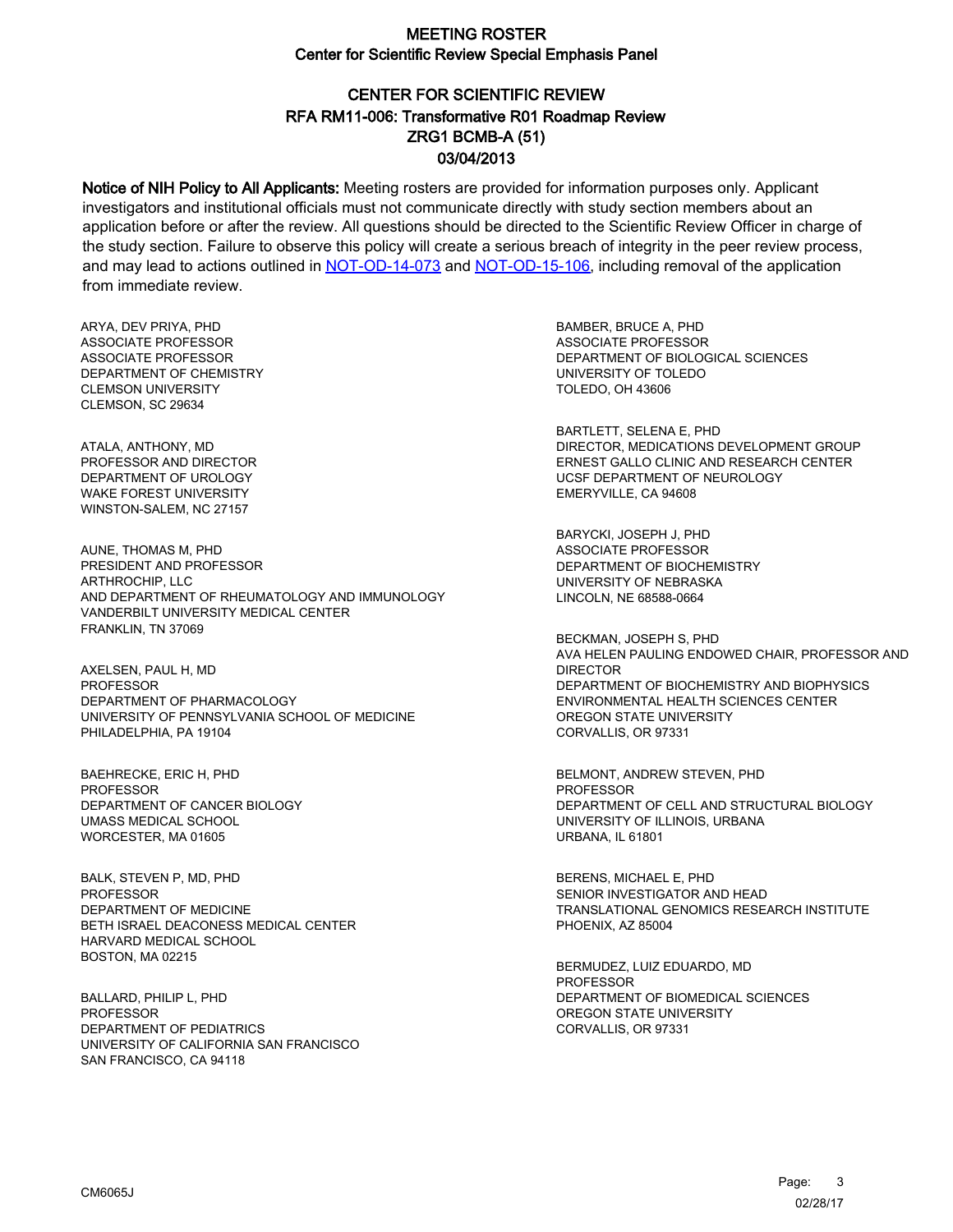# CENTER FOR SCIENTIFIC REVIEW ZRG1 BCMB-A (51) 03/04/2013 RFA RM11-006: Transformative R01 Roadmap Review

Notice of NIH Policy to All Applicants: Meeting rosters are provided for information purposes only. Applicant investigators and institutional officials must not communicate directly with study section members about an application before or after the review. All questions should be directed to the Scientific Review Officer in charge of the study section. Failure to observe this policy will create a serious breach of integrity in the peer review process, and may lead to actions outlined in [NOT-OD-14-073](https://grants.nih.gov/grants/guide/notice-files/NOT-OD-14-073.html) and [NOT-OD-15-106,](https://grants.nih.gov/grants/guide/notice-files/NOT-OD-15-106.html) including removal of the application from immediate review.

ARYA, DEV PRIYA, PHD ASSOCIATE PROFESSOR ASSOCIATE PROFESSOR DEPARTMENT OF CHEMISTRY CLEMSON UNIVERSITY CLEMSON, SC 29634

ATALA, ANTHONY, MD PROFESSOR AND DIRECTOR DEPARTMENT OF UROLOGY WAKE FOREST UNIVERSITY WINSTON-SALEM, NC 27157

AUNE, THOMAS M, PHD PRESIDENT AND PROFESSOR ARTHROCHIP, LLC AND DEPARTMENT OF RHEUMATOLOGY AND IMMUNOLOGY VANDERBILT UNIVERSITY MEDICAL CENTER FRANKLIN, TN 37069

AXELSEN, PAUL H, MD PROFESSOR DEPARTMENT OF PHARMACOLOGY UNIVERSITY OF PENNSYLVANIA SCHOOL OF MEDICINE PHILADELPHIA, PA 19104

BAEHRECKE, ERIC H, PHD PROFESSOR DEPARTMENT OF CANCER BIOLOGY UMASS MEDICAL SCHOOL WORCESTER, MA 01605

BALK, STEVEN P, MD, PHD PROFESSOR DEPARTMENT OF MEDICINE BETH ISRAEL DEACONESS MEDICAL CENTER HARVARD MEDICAL SCHOOL BOSTON, MA 02215

BALLARD, PHILIP L, PHD **PROFESSOR** DEPARTMENT OF PEDIATRICS UNIVERSITY OF CALIFORNIA SAN FRANCISCO SAN FRANCISCO, CA 94118

BAMBER, BRUCE A, PHD ASSOCIATE PROFESSOR DEPARTMENT OF BIOLOGICAL SCIENCES UNIVERSITY OF TOLEDO TOLEDO, OH 43606

BARTLETT, SELENA E, PHD DIRECTOR, MEDICATIONS DEVELOPMENT GROUP ERNEST GALLO CLINIC AND RESEARCH CENTER UCSF DEPARTMENT OF NEUROLOGY EMERYVILLE, CA 94608

BARYCKI, JOSEPH J, PHD ASSOCIATE PROFESSOR DEPARTMENT OF BIOCHEMISTRY UNIVERSITY OF NEBRASKA LINCOLN, NE 68588-0664

BECKMAN, JOSEPH S, PHD AVA HELEN PAULING ENDOWED CHAIR, PROFESSOR AND DIRECTOR DEPARTMENT OF BIOCHEMISTRY AND BIOPHYSICS ENVIRONMENTAL HEALTH SCIENCES CENTER OREGON STATE UNIVERSITY CORVALLIS, OR 97331

BELMONT, ANDREW STEVEN, PHD PROFESSOR DEPARTMENT OF CELL AND STRUCTURAL BIOLOGY UNIVERSITY OF ILLINOIS, URBANA URBANA, IL 61801

BERENS, MICHAEL E, PHD SENIOR INVESTIGATOR AND HEAD TRANSLATIONAL GENOMICS RESEARCH INSTITUTE PHOENIX, AZ 85004

BERMUDEZ, LUIZ EDUARDO, MD PROFESSOR DEPARTMENT OF BIOMEDICAL SCIENCES OREGON STATE UNIVERSITY CORVALLIS, OR 97331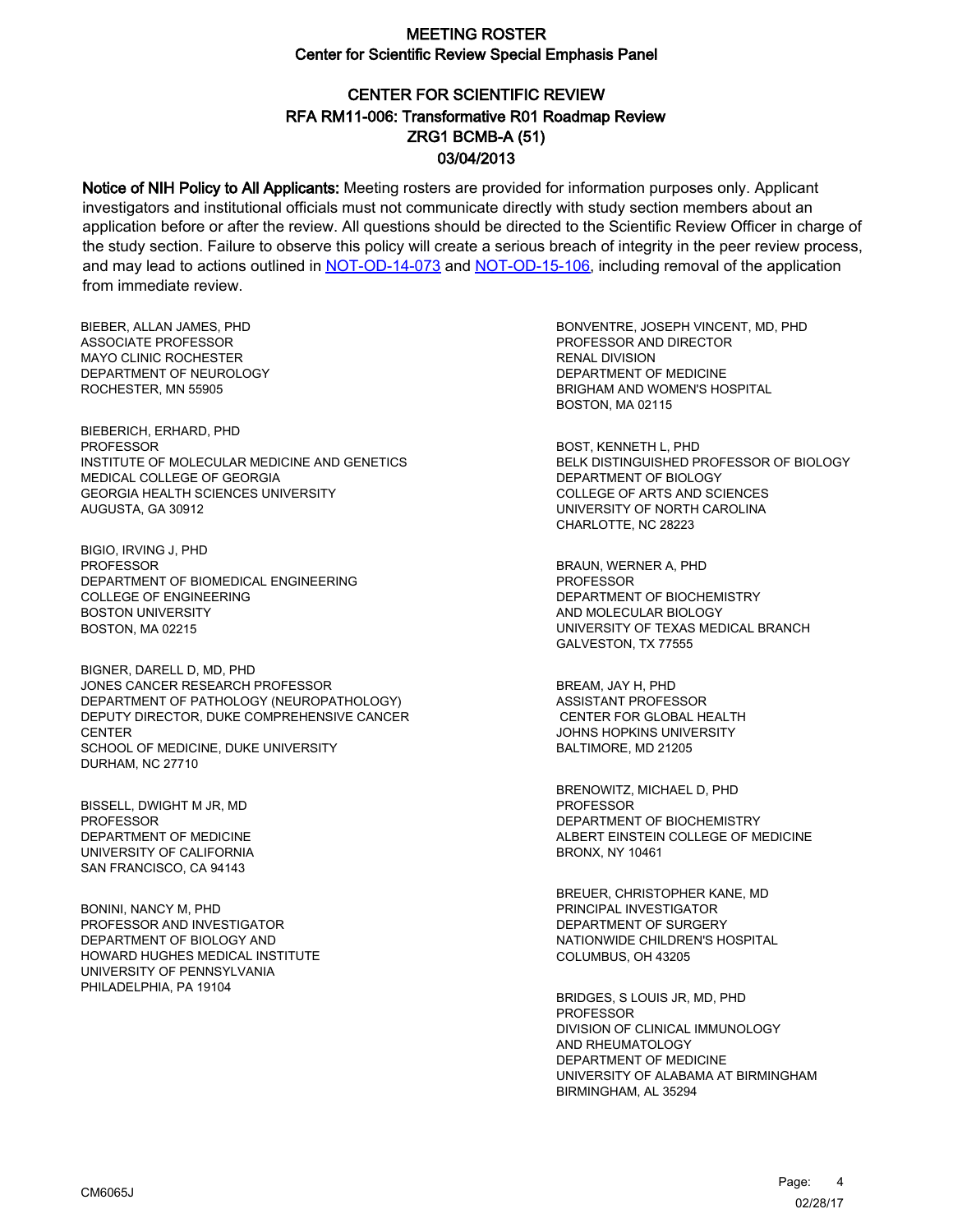# CENTER FOR SCIENTIFIC REVIEW ZRG1 BCMB-A (51) 03/04/2013 RFA RM11-006: Transformative R01 Roadmap Review

Notice of NIH Policy to All Applicants: Meeting rosters are provided for information purposes only. Applicant investigators and institutional officials must not communicate directly with study section members about an application before or after the review. All questions should be directed to the Scientific Review Officer in charge of the study section. Failure to observe this policy will create a serious breach of integrity in the peer review process, and may lead to actions outlined in [NOT-OD-14-073](https://grants.nih.gov/grants/guide/notice-files/NOT-OD-14-073.html) and [NOT-OD-15-106,](https://grants.nih.gov/grants/guide/notice-files/NOT-OD-15-106.html) including removal of the application from immediate review.

BIEBER, ALLAN JAMES, PHD ASSOCIATE PROFESSOR MAYO CLINIC ROCHESTER DEPARTMENT OF NEUROLOGY ROCHESTER, MN 55905

BIEBERICH, ERHARD, PHD PROFESSOR INSTITUTE OF MOLECULAR MEDICINE AND GENETICS MEDICAL COLLEGE OF GEORGIA GEORGIA HEALTH SCIENCES UNIVERSITY AUGUSTA, GA 30912

BIGIO, IRVING J, PHD PROFESSOR DEPARTMENT OF BIOMEDICAL ENGINEERING COLLEGE OF ENGINEERING BOSTON UNIVERSITY BOSTON, MA 02215

BIGNER, DARELL D, MD, PHD JONES CANCER RESEARCH PROFESSOR DEPARTMENT OF PATHOLOGY (NEUROPATHOLOGY) DEPUTY DIRECTOR, DUKE COMPREHENSIVE CANCER **CENTER** SCHOOL OF MEDICINE, DUKE UNIVERSITY DURHAM, NC 27710

BISSELL, DWIGHT M JR, MD PROFESSOR DEPARTMENT OF MEDICINE UNIVERSITY OF CALIFORNIA SAN FRANCISCO, CA 94143

BONINI, NANCY M, PHD PROFESSOR AND INVESTIGATOR DEPARTMENT OF BIOLOGY AND HOWARD HUGHES MEDICAL INSTITUTE UNIVERSITY OF PENNSYLVANIA PHILADELPHIA, PA 19104

BONVENTRE, JOSEPH VINCENT, MD, PHD PROFESSOR AND DIRECTOR RENAL DIVISION DEPARTMENT OF MEDICINE BRIGHAM AND WOMEN'S HOSPITAL BOSTON, MA 02115

BOST, KENNETH L, PHD BELK DISTINGUISHED PROFESSOR OF BIOLOGY DEPARTMENT OF BIOLOGY COLLEGE OF ARTS AND SCIENCES UNIVERSITY OF NORTH CAROLINA CHARLOTTE, NC 28223

BRAUN, WERNER A, PHD **PROFESSOR** DEPARTMENT OF BIOCHEMISTRY AND MOLECULAR BIOLOGY UNIVERSITY OF TEXAS MEDICAL BRANCH GALVESTON, TX 77555

BREAM, JAY H, PHD ASSISTANT PROFESSOR CENTER FOR GLOBAL HEALTH JOHNS HOPKINS UNIVERSITY BALTIMORE, MD 21205

BRENOWITZ, MICHAEL D, PHD PROFESSOR DEPARTMENT OF BIOCHEMISTRY ALBERT EINSTEIN COLLEGE OF MEDICINE BRONX, NY 10461

BREUER, CHRISTOPHER KANE, MD PRINCIPAL INVESTIGATOR DEPARTMENT OF SURGERY NATIONWIDE CHILDREN'S HOSPITAL COLUMBUS, OH 43205

BRIDGES, S LOUIS JR, MD, PHD PROFESSOR DIVISION OF CLINICAL IMMUNOLOGY AND RHEUMATOLOGY DEPARTMENT OF MEDICINE UNIVERSITY OF ALABAMA AT BIRMINGHAM BIRMINGHAM, AL 35294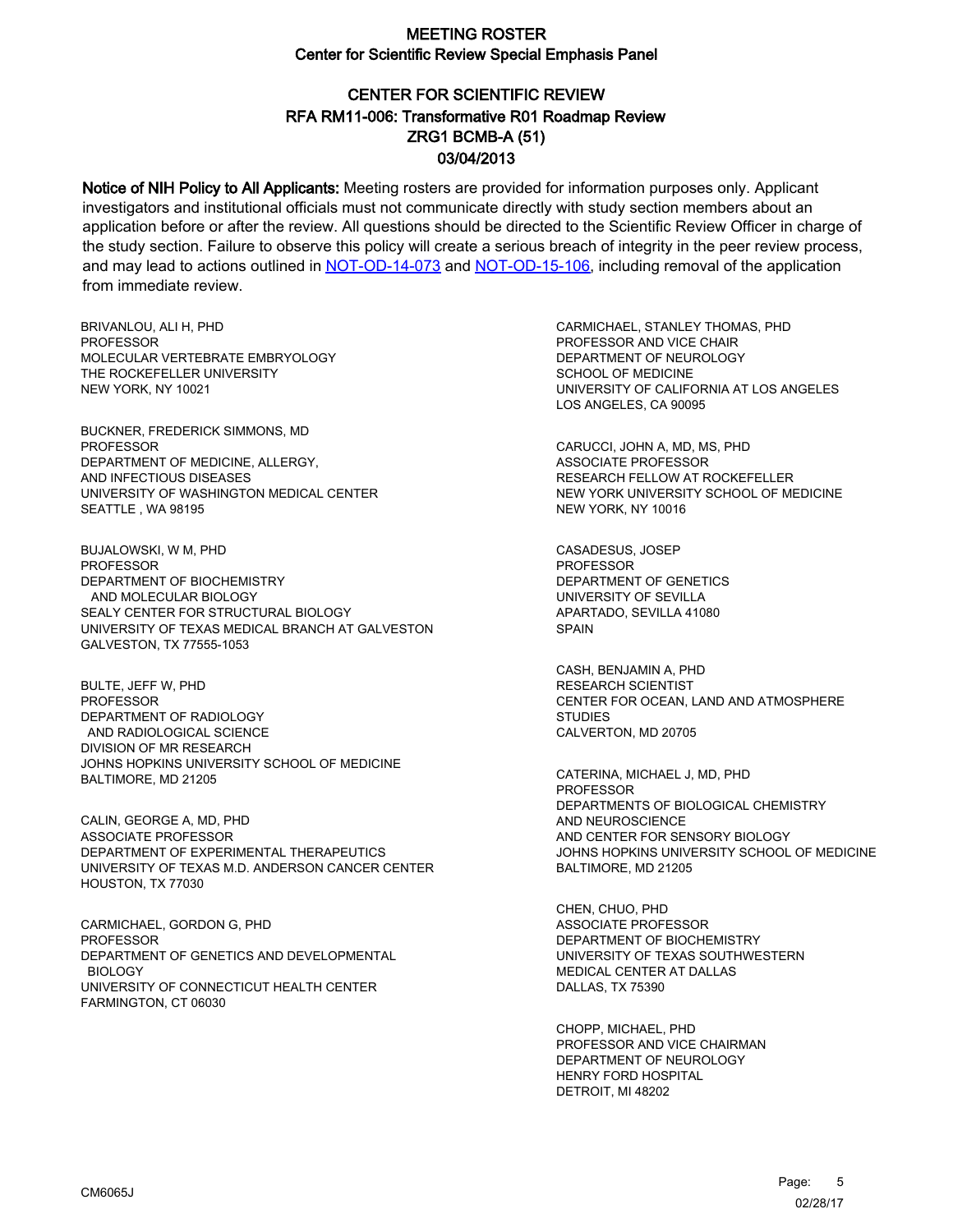# CENTER FOR SCIENTIFIC REVIEW ZRG1 BCMB-A (51) 03/04/2013 RFA RM11-006: Transformative R01 Roadmap Review

Notice of NIH Policy to All Applicants: Meeting rosters are provided for information purposes only. Applicant investigators and institutional officials must not communicate directly with study section members about an application before or after the review. All questions should be directed to the Scientific Review Officer in charge of the study section. Failure to observe this policy will create a serious breach of integrity in the peer review process, and may lead to actions outlined in [NOT-OD-14-073](https://grants.nih.gov/grants/guide/notice-files/NOT-OD-14-073.html) and [NOT-OD-15-106,](https://grants.nih.gov/grants/guide/notice-files/NOT-OD-15-106.html) including removal of the application from immediate review.

BRIVANLOU, ALI H, PHD **PROFESSOR** MOLECULAR VERTEBRATE EMBRYOLOGY THE ROCKEFELLER UNIVERSITY NEW YORK, NY 10021

BUCKNER, FREDERICK SIMMONS, MD PROFESSOR DEPARTMENT OF MEDICINE, ALLERGY, AND INFECTIOUS DISEASES UNIVERSITY OF WASHINGTON MEDICAL CENTER SEATTLE , WA 98195

BUJALOWSKI, W M, PHD PROFESSOR DEPARTMENT OF BIOCHEMISTRY AND MOLECULAR BIOLOGY SEALY CENTER FOR STRUCTURAL BIOLOGY UNIVERSITY OF TEXAS MEDICAL BRANCH AT GALVESTON GALVESTON, TX 77555-1053

BULTE, JEFF W, PHD PROFESSOR DEPARTMENT OF RADIOLOGY AND RADIOLOGICAL SCIENCE DIVISION OF MR RESEARCH JOHNS HOPKINS UNIVERSITY SCHOOL OF MEDICINE BALTIMORE, MD 21205

CALIN, GEORGE A, MD, PHD ASSOCIATE PROFESSOR DEPARTMENT OF EXPERIMENTAL THERAPEUTICS UNIVERSITY OF TEXAS M.D. ANDERSON CANCER CENTER HOUSTON, TX 77030

CARMICHAEL, GORDON G, PHD PROFESSOR DEPARTMENT OF GENETICS AND DEVELOPMENTAL BIOLOGY UNIVERSITY OF CONNECTICUT HEALTH CENTER FARMINGTON, CT 06030

CARMICHAEL, STANLEY THOMAS, PHD PROFESSOR AND VICE CHAIR DEPARTMENT OF NEUROLOGY SCHOOL OF MEDICINE UNIVERSITY OF CALIFORNIA AT LOS ANGELES LOS ANGELES, CA 90095

CARUCCI, JOHN A, MD, MS, PHD ASSOCIATE PROFESSOR RESEARCH FELLOW AT ROCKEFELLER NEW YORK UNIVERSITY SCHOOL OF MEDICINE NEW YORK, NY 10016

CASADESUS, JOSEP PROFESSOR DEPARTMENT OF GENETICS UNIVERSITY OF SEVILLA APARTADO, SEVILLA 41080 **SPAIN** 

CASH, BENJAMIN A, PHD RESEARCH SCIENTIST CENTER FOR OCEAN, LAND AND ATMOSPHERE **STUDIES** CALVERTON, MD 20705

CATERINA, MICHAEL J, MD, PHD PROFESSOR DEPARTMENTS OF BIOLOGICAL CHEMISTRY AND NEUROSCIENCE AND CENTER FOR SENSORY BIOLOGY JOHNS HOPKINS UNIVERSITY SCHOOL OF MEDICINE BALTIMORE, MD 21205

CHEN, CHUO, PHD ASSOCIATE PROFESSOR DEPARTMENT OF BIOCHEMISTRY UNIVERSITY OF TEXAS SOUTHWESTERN MEDICAL CENTER AT DALLAS DALLAS, TX 75390

CHOPP, MICHAEL, PHD PROFESSOR AND VICE CHAIRMAN DEPARTMENT OF NEUROLOGY HENRY FORD HOSPITAL DETROIT, MI 48202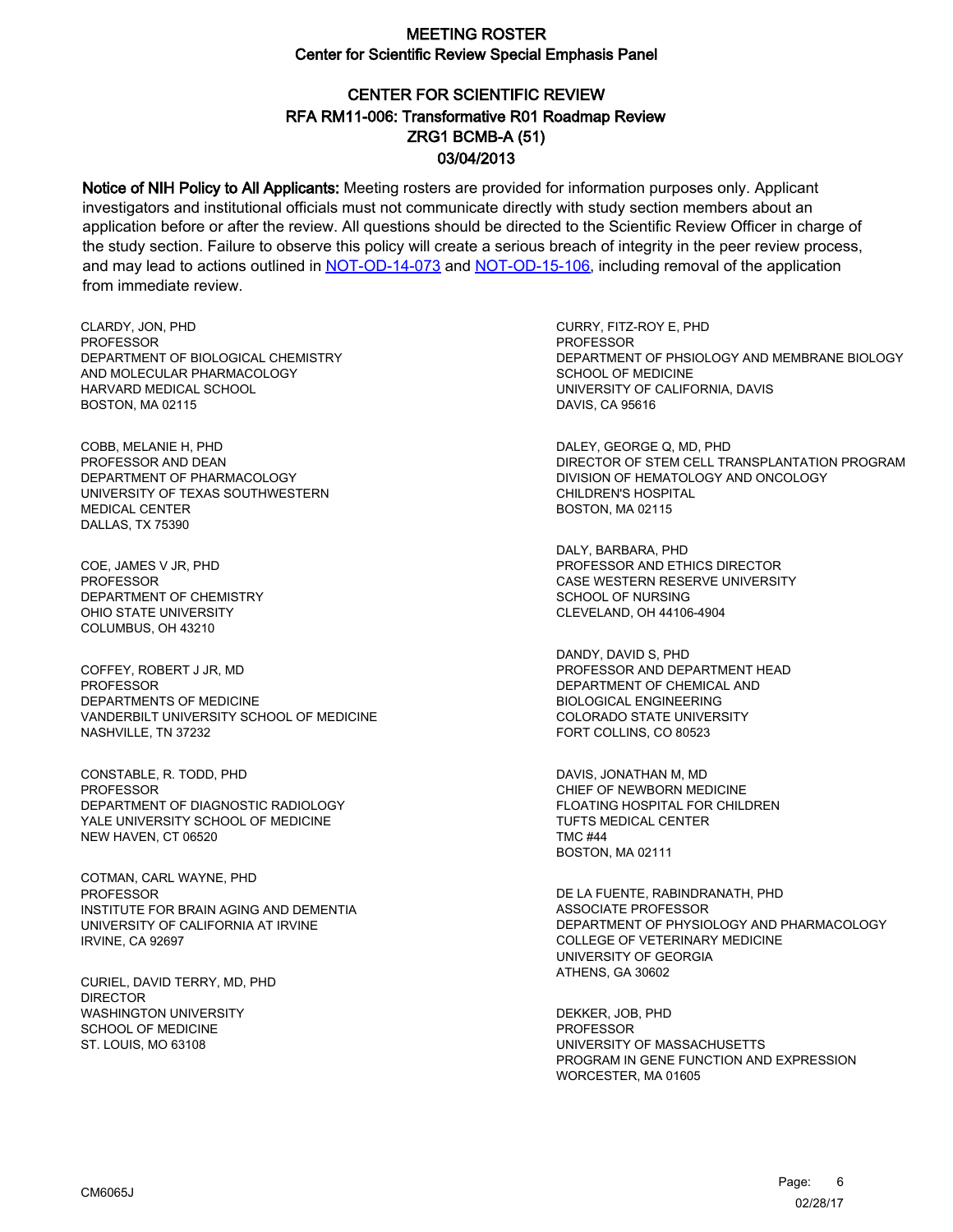# CENTER FOR SCIENTIFIC REVIEW ZRG1 BCMB-A (51) 03/04/2013 RFA RM11-006: Transformative R01 Roadmap Review

Notice of NIH Policy to All Applicants: Meeting rosters are provided for information purposes only. Applicant investigators and institutional officials must not communicate directly with study section members about an application before or after the review. All questions should be directed to the Scientific Review Officer in charge of the study section. Failure to observe this policy will create a serious breach of integrity in the peer review process, and may lead to actions outlined in [NOT-OD-14-073](https://grants.nih.gov/grants/guide/notice-files/NOT-OD-14-073.html) and [NOT-OD-15-106,](https://grants.nih.gov/grants/guide/notice-files/NOT-OD-15-106.html) including removal of the application from immediate review.

CLARDY, JON, PHD PROFESSOR DEPARTMENT OF BIOLOGICAL CHEMISTRY AND MOLECULAR PHARMACOLOGY HARVARD MEDICAL SCHOOL BOSTON, MA 02115

COBB, MELANIE H, PHD PROFESSOR AND DEAN DEPARTMENT OF PHARMACOLOGY UNIVERSITY OF TEXAS SOUTHWESTERN MEDICAL CENTER DALLAS, TX 75390

COE, JAMES V JR, PHD **PROFESSOR** DEPARTMENT OF CHEMISTRY OHIO STATE UNIVERSITY COLUMBUS, OH 43210

COFFEY, ROBERT J JR, MD PROFESSOR DEPARTMENTS OF MEDICINE VANDERBILT UNIVERSITY SCHOOL OF MEDICINE NASHVILLE, TN 37232

CONSTABLE, R. TODD, PHD PROFESSOR DEPARTMENT OF DIAGNOSTIC RADIOLOGY YALE UNIVERSITY SCHOOL OF MEDICINE NEW HAVEN, CT 06520

COTMAN, CARL WAYNE, PHD PROFESSOR INSTITUTE FOR BRAIN AGING AND DEMENTIA UNIVERSITY OF CALIFORNIA AT IRVINE IRVINE, CA 92697

CURIEL, DAVID TERRY, MD, PHD **DIRECTOR** WASHINGTON UNIVERSITY SCHOOL OF MEDICINE ST. LOUIS, MO 63108

CURRY, FITZ-ROY E, PHD PROFESSOR DEPARTMENT OF PHSIOLOGY AND MEMBRANE BIOLOGY SCHOOL OF MEDICINE UNIVERSITY OF CALIFORNIA, DAVIS DAVIS, CA 95616

DALEY, GEORGE Q, MD, PHD DIRECTOR OF STEM CELL TRANSPLANTATION PROGRAM DIVISION OF HEMATOLOGY AND ONCOLOGY CHILDREN'S HOSPITAL BOSTON, MA 02115

DALY, BARBARA, PHD PROFESSOR AND ETHICS DIRECTOR CASE WESTERN RESERVE UNIVERSITY SCHOOL OF NURSING CLEVELAND, OH 44106-4904

DANDY, DAVID S, PHD PROFESSOR AND DEPARTMENT HEAD DEPARTMENT OF CHEMICAL AND BIOLOGICAL ENGINEERING COLORADO STATE UNIVERSITY FORT COLLINS, CO 80523

DAVIS, JONATHAN M, MD CHIEF OF NEWBORN MEDICINE FLOATING HOSPITAL FOR CHILDREN TUFTS MEDICAL CENTER TMC #44 BOSTON, MA 02111

DE LA FUENTE, RABINDRANATH, PHD ASSOCIATE PROFESSOR DEPARTMENT OF PHYSIOLOGY AND PHARMACOLOGY COLLEGE OF VETERINARY MEDICINE UNIVERSITY OF GEORGIA ATHENS, GA 30602

DEKKER, JOB, PHD PROFESSOR UNIVERSITY OF MASSACHUSETTS PROGRAM IN GENE FUNCTION AND EXPRESSION WORCESTER, MA 01605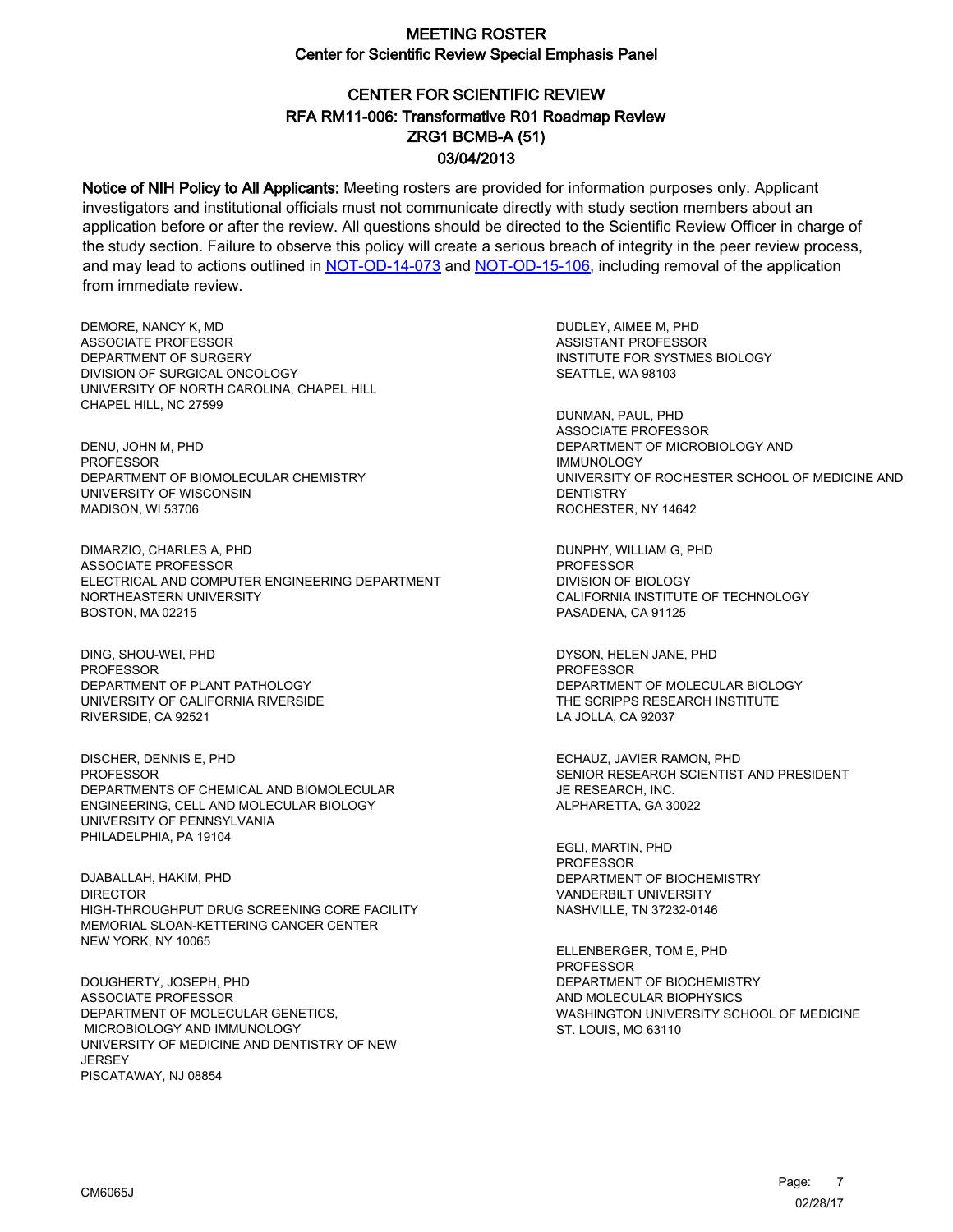# CENTER FOR SCIENTIFIC REVIEW ZRG1 BCMB-A (51) 03/04/2013 RFA RM11-006: Transformative R01 Roadmap Review

Notice of NIH Policy to All Applicants: Meeting rosters are provided for information purposes only. Applicant investigators and institutional officials must not communicate directly with study section members about an application before or after the review. All questions should be directed to the Scientific Review Officer in charge of the study section. Failure to observe this policy will create a serious breach of integrity in the peer review process, and may lead to actions outlined in [NOT-OD-14-073](https://grants.nih.gov/grants/guide/notice-files/NOT-OD-14-073.html) and [NOT-OD-15-106,](https://grants.nih.gov/grants/guide/notice-files/NOT-OD-15-106.html) including removal of the application from immediate review.

DEMORE, NANCY K, MD ASSOCIATE PROFESSOR DEPARTMENT OF SURGERY DIVISION OF SURGICAL ONCOLOGY UNIVERSITY OF NORTH CAROLINA, CHAPEL HILL CHAPEL HILL, NC 27599

DENU, JOHN M, PHD PROFESSOR DEPARTMENT OF BIOMOLECULAR CHEMISTRY UNIVERSITY OF WISCONSIN MADISON, WI 53706

DIMARZIO, CHARLES A, PHD ASSOCIATE PROFESSOR ELECTRICAL AND COMPUTER ENGINEERING DEPARTMENT NORTHEASTERN UNIVERSITY BOSTON, MA 02215

DING, SHOU-WEI, PHD PROFESSOR DEPARTMENT OF PLANT PATHOLOGY UNIVERSITY OF CALIFORNIA RIVERSIDE RIVERSIDE, CA 92521

DISCHER, DENNIS E, PHD PROFESSOR DEPARTMENTS OF CHEMICAL AND BIOMOLECULAR ENGINEERING, CELL AND MOLECULAR BIOLOGY UNIVERSITY OF PENNSYLVANIA PHILADELPHIA, PA 19104

DJABALLAH, HAKIM, PHD DIRECTOR HIGH-THROUGHPUT DRUG SCREENING CORE FACILITY MEMORIAL SLOAN-KETTERING CANCER CENTER NEW YORK, NY 10065

DOUGHERTY, JOSEPH, PHD ASSOCIATE PROFESSOR DEPARTMENT OF MOLECULAR GENETICS, MICROBIOLOGY AND IMMUNOLOGY UNIVERSITY OF MEDICINE AND DENTISTRY OF NEW **JERSEY** PISCATAWAY, NJ 08854

DUDLEY, AIMEE M, PHD ASSISTANT PROFESSOR INSTITUTE FOR SYSTMES BIOLOGY SEATTLE, WA 98103

DUNMAN, PAUL, PHD ASSOCIATE PROFESSOR DEPARTMENT OF MICROBIOLOGY AND IMMUNOLOGY UNIVERSITY OF ROCHESTER SCHOOL OF MEDICINE AND **DENTISTRY** ROCHESTER, NY 14642

DUNPHY, WILLIAM G, PHD PROFESSOR DIVISION OF BIOLOGY CALIFORNIA INSTITUTE OF TECHNOLOGY PASADENA, CA 91125

DYSON, HELEN JANE, PHD PROFESSOR DEPARTMENT OF MOLECULAR BIOLOGY THE SCRIPPS RESEARCH INSTITUTE LA JOLLA, CA 92037

ECHAUZ, JAVIER RAMON, PHD SENIOR RESEARCH SCIENTIST AND PRESIDENT JE RESEARCH, INC. ALPHARETTA, GA 30022

EGLI, MARTIN, PHD PROFESSOR DEPARTMENT OF BIOCHEMISTRY VANDERBILT UNIVERSITY NASHVILLE, TN 37232-0146

ELLENBERGER, TOM E, PHD **PROFESSOR** DEPARTMENT OF BIOCHEMISTRY AND MOLECULAR BIOPHYSICS WASHINGTON UNIVERSITY SCHOOL OF MEDICINE ST. LOUIS, MO 63110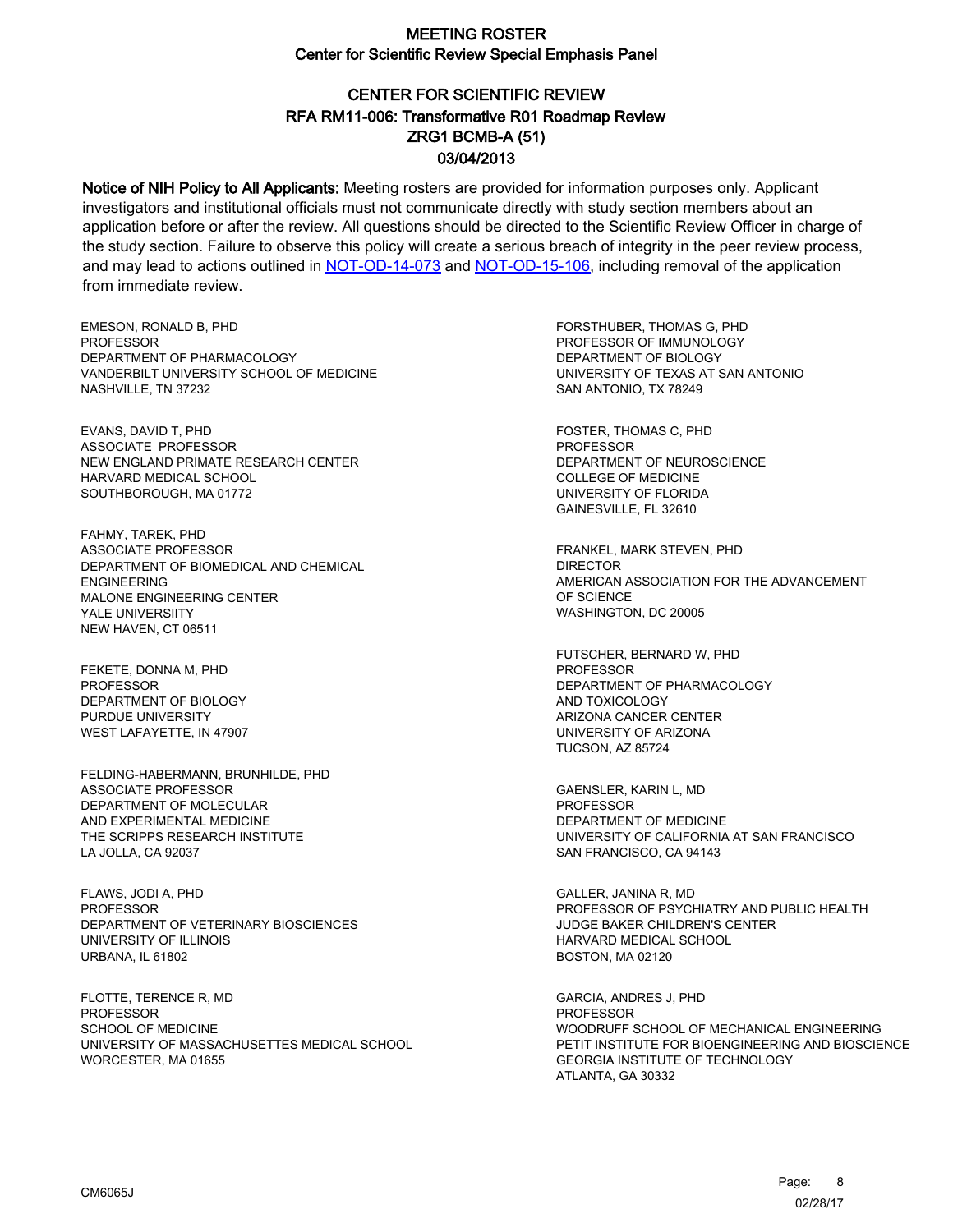# CENTER FOR SCIENTIFIC REVIEW ZRG1 BCMB-A (51) 03/04/2013 RFA RM11-006: Transformative R01 Roadmap Review

Notice of NIH Policy to All Applicants: Meeting rosters are provided for information purposes only. Applicant investigators and institutional officials must not communicate directly with study section members about an application before or after the review. All questions should be directed to the Scientific Review Officer in charge of the study section. Failure to observe this policy will create a serious breach of integrity in the peer review process, and may lead to actions outlined in [NOT-OD-14-073](https://grants.nih.gov/grants/guide/notice-files/NOT-OD-14-073.html) and [NOT-OD-15-106,](https://grants.nih.gov/grants/guide/notice-files/NOT-OD-15-106.html) including removal of the application from immediate review.

EMESON, RONALD B, PHD **PROFESSOR** DEPARTMENT OF PHARMACOLOGY VANDERBILT UNIVERSITY SCHOOL OF MEDICINE NASHVILLE, TN 37232

EVANS, DAVID T, PHD ASSOCIATE PROFESSOR NEW ENGLAND PRIMATE RESEARCH CENTER HARVARD MEDICAL SCHOOL SOUTHBOROUGH, MA 01772

FAHMY, TAREK, PHD ASSOCIATE PROFESSOR DEPARTMENT OF BIOMEDICAL AND CHEMICAL ENGINEERING MALONE ENGINEERING CENTER YALE UNIVERSIITY NEW HAVEN, CT 06511

FEKETE, DONNA M, PHD PROFESSOR DEPARTMENT OF BIOLOGY PURDUE UNIVERSITY WEST LAFAYETTE, IN 47907

FELDING-HABERMANN, BRUNHILDE, PHD ASSOCIATE PROFESSOR DEPARTMENT OF MOLECULAR AND EXPERIMENTAL MEDICINE THE SCRIPPS RESEARCH INSTITUTE LA JOLLA, CA 92037

FLAWS, JODI A, PHD **PROFESSOR** DEPARTMENT OF VETERINARY BIOSCIENCES UNIVERSITY OF ILLINOIS URBANA, IL 61802

FLOTTE, TERENCE R, MD **PROFESSOR** SCHOOL OF MEDICINE UNIVERSITY OF MASSACHUSETTES MEDICAL SCHOOL WORCESTER, MA 01655

FORSTHUBER, THOMAS G, PHD PROFESSOR OF IMMUNOLOGY DEPARTMENT OF BIOLOGY UNIVERSITY OF TEXAS AT SAN ANTONIO SAN ANTONIO, TX 78249

FOSTER, THOMAS C, PHD PROFESSOR DEPARTMENT OF NEUROSCIENCE COLLEGE OF MEDICINE UNIVERSITY OF FLORIDA GAINESVILLE, FL 32610

FRANKEL, MARK STEVEN, PHD DIRECTOR AMERICAN ASSOCIATION FOR THE ADVANCEMENT OF SCIENCE WASHINGTON, DC 20005

FUTSCHER, BERNARD W, PHD PROFESSOR DEPARTMENT OF PHARMACOLOGY AND TOXICOLOGY ARIZONA CANCER CENTER UNIVERSITY OF ARIZONA TUCSON, AZ 85724

GAENSLER, KARIN L, MD PROFESSOR DEPARTMENT OF MEDICINE UNIVERSITY OF CALIFORNIA AT SAN FRANCISCO SAN FRANCISCO, CA 94143

GALLER, JANINA R, MD PROFESSOR OF PSYCHIATRY AND PUBLIC HEALTH JUDGE BAKER CHILDREN'S CENTER HARVARD MEDICAL SCHOOL BOSTON, MA 02120

GARCIA, ANDRES J, PHD **PROFESSOR** WOODRUFF SCHOOL OF MECHANICAL ENGINEERING PETIT INSTITUTE FOR BIOENGINEERING AND BIOSCIENCE GEORGIA INSTITUTE OF TECHNOLOGY ATLANTA, GA 30332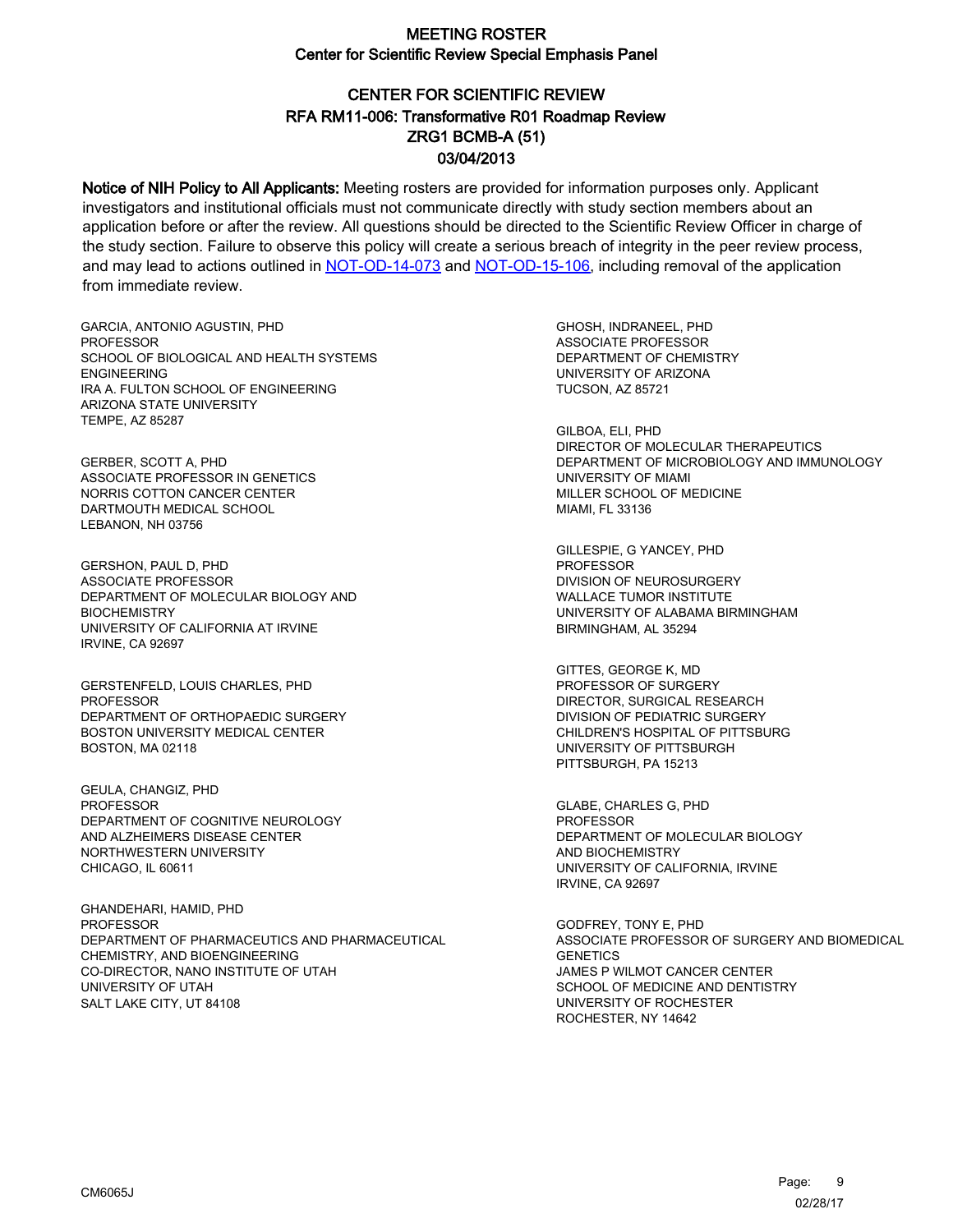# CENTER FOR SCIENTIFIC REVIEW ZRG1 BCMB-A (51) 03/04/2013 RFA RM11-006: Transformative R01 Roadmap Review

Notice of NIH Policy to All Applicants: Meeting rosters are provided for information purposes only. Applicant investigators and institutional officials must not communicate directly with study section members about an application before or after the review. All questions should be directed to the Scientific Review Officer in charge of the study section. Failure to observe this policy will create a serious breach of integrity in the peer review process, and may lead to actions outlined in [NOT-OD-14-073](https://grants.nih.gov/grants/guide/notice-files/NOT-OD-14-073.html) and [NOT-OD-15-106,](https://grants.nih.gov/grants/guide/notice-files/NOT-OD-15-106.html) including removal of the application from immediate review.

GARCIA, ANTONIO AGUSTIN, PHD **PROFESSOR** SCHOOL OF BIOLOGICAL AND HEALTH SYSTEMS ENGINEERING IRA A. FULTON SCHOOL OF ENGINEERING ARIZONA STATE UNIVERSITY TEMPE, AZ 85287

GERBER, SCOTT A, PHD ASSOCIATE PROFESSOR IN GENETICS NORRIS COTTON CANCER CENTER DARTMOUTH MEDICAL SCHOOL LEBANON, NH 03756

GERSHON, PAUL D, PHD ASSOCIATE PROFESSOR DEPARTMENT OF MOLECULAR BIOLOGY AND **BIOCHEMISTRY** UNIVERSITY OF CALIFORNIA AT IRVINE IRVINE, CA 92697

GERSTENFELD, LOUIS CHARLES, PHD **PROFESSOR** DEPARTMENT OF ORTHOPAEDIC SURGERY BOSTON UNIVERSITY MEDICAL CENTER BOSTON, MA 02118

GEULA, CHANGIZ, PHD PROFESSOR DEPARTMENT OF COGNITIVE NEUROLOGY AND ALZHEIMERS DISEASE CENTER NORTHWESTERN UNIVERSITY CHICAGO, IL 60611

GHANDEHARI, HAMID, PHD PROFESSOR DEPARTMENT OF PHARMACEUTICS AND PHARMACEUTICAL CHEMISTRY, AND BIOENGINEERING CO-DIRECTOR, NANO INSTITUTE OF UTAH UNIVERSITY OF UTAH SALT LAKE CITY, UT 84108

GHOSH, INDRANEEL, PHD ASSOCIATE PROFESSOR DEPARTMENT OF CHEMISTRY UNIVERSITY OF ARIZONA TUCSON, AZ 85721

GILBOA, ELI, PHD DIRECTOR OF MOLECULAR THERAPEUTICS DEPARTMENT OF MICROBIOLOGY AND IMMUNOLOGY UNIVERSITY OF MIAMI MILLER SCHOOL OF MEDICINE MIAMI, FL 33136

GILLESPIE, G YANCEY, PHD PROFESSOR DIVISION OF NEUROSURGERY WALLACE TUMOR INSTITUTE UNIVERSITY OF ALABAMA BIRMINGHAM BIRMINGHAM, AL 35294

GITTES, GEORGE K, MD PROFESSOR OF SURGERY DIRECTOR, SURGICAL RESEARCH DIVISION OF PEDIATRIC SURGERY CHILDREN'S HOSPITAL OF PITTSBURG UNIVERSITY OF PITTSBURGH PITTSBURGH, PA 15213

GLABE, CHARLES G, PHD PROFESSOR DEPARTMENT OF MOLECULAR BIOLOGY AND BIOCHEMISTRY UNIVERSITY OF CALIFORNIA, IRVINE IRVINE, CA 92697

GODFREY, TONY E, PHD ASSOCIATE PROFESSOR OF SURGERY AND BIOMEDICAL **GENETICS** JAMES P WILMOT CANCER CENTER SCHOOL OF MEDICINE AND DENTISTRY UNIVERSITY OF ROCHESTER ROCHESTER, NY 14642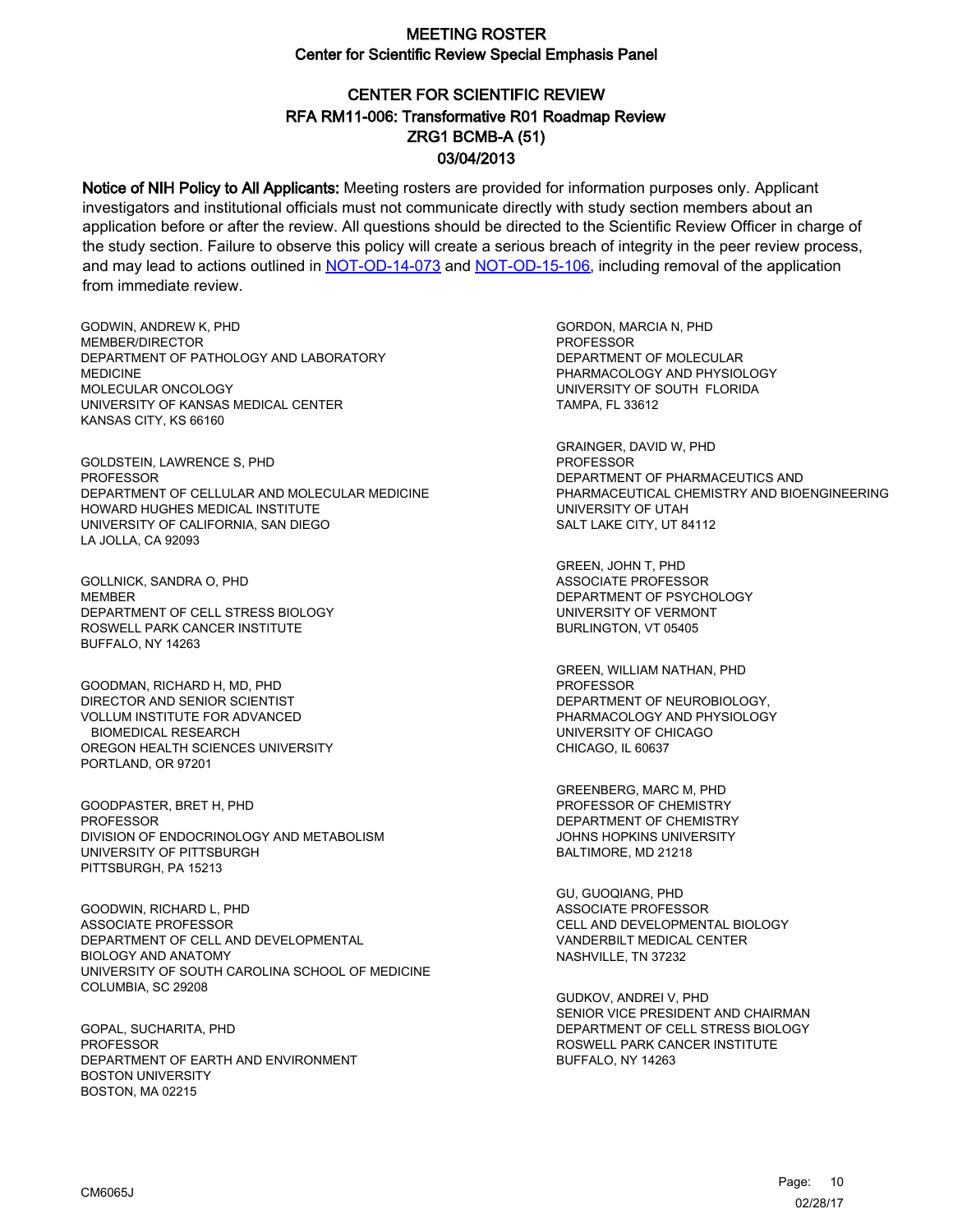# CENTER FOR SCIENTIFIC REVIEW ZRG1 BCMB-A (51) 03/04/2013 RFA RM11-006: Transformative R01 Roadmap Review

Notice of NIH Policy to All Applicants: Meeting rosters are provided for information purposes only. Applicant investigators and institutional officials must not communicate directly with study section members about an application before or after the review. All questions should be directed to the Scientific Review Officer in charge of the study section. Failure to observe this policy will create a serious breach of integrity in the peer review process, and may lead to actions outlined in [NOT-OD-14-073](https://grants.nih.gov/grants/guide/notice-files/NOT-OD-14-073.html) and [NOT-OD-15-106,](https://grants.nih.gov/grants/guide/notice-files/NOT-OD-15-106.html) including removal of the application from immediate review.

GODWIN, ANDREW K, PHD MEMBER/DIRECTOR DEPARTMENT OF PATHOLOGY AND LABORATORY MEDICINE MOLECULAR ONCOLOGY UNIVERSITY OF KANSAS MEDICAL CENTER KANSAS CITY, KS 66160

GOLDSTEIN, LAWRENCE S, PHD PROFESSOR DEPARTMENT OF CELLULAR AND MOLECULAR MEDICINE HOWARD HUGHES MEDICAL INSTITUTE UNIVERSITY OF CALIFORNIA, SAN DIEGO LA JOLLA, CA 92093

GOLLNICK, SANDRA O, PHD **MEMBER** DEPARTMENT OF CELL STRESS BIOLOGY ROSWELL PARK CANCER INSTITUTE BUFFALO, NY 14263

GOODMAN, RICHARD H, MD, PHD DIRECTOR AND SENIOR SCIENTIST VOLLUM INSTITUTE FOR ADVANCED BIOMEDICAL RESEARCH OREGON HEALTH SCIENCES UNIVERSITY PORTLAND, OR 97201

GOODPASTER, BRET H, PHD PROFESSOR DIVISION OF ENDOCRINOLOGY AND METABOLISM UNIVERSITY OF PITTSBURGH PITTSBURGH, PA 15213

GOODWIN, RICHARD L, PHD ASSOCIATE PROFESSOR DEPARTMENT OF CELL AND DEVELOPMENTAL BIOLOGY AND ANATOMY UNIVERSITY OF SOUTH CAROLINA SCHOOL OF MEDICINE COLUMBIA, SC 29208

GOPAL, SUCHARITA, PHD PROFESSOR DEPARTMENT OF EARTH AND ENVIRONMENT BOSTON UNIVERSITY BOSTON, MA 02215

GORDON, MARCIA N, PHD PROFESSOR DEPARTMENT OF MOLECULAR PHARMACOLOGY AND PHYSIOLOGY UNIVERSITY OF SOUTH FLORIDA TAMPA, FL 33612

GRAINGER, DAVID W, PHD PROFESSOR DEPARTMENT OF PHARMACEUTICS AND PHARMACEUTICAL CHEMISTRY AND BIOENGINEERING UNIVERSITY OF UTAH SALT LAKE CITY, UT 84112

GREEN, JOHN T, PHD ASSOCIATE PROFESSOR DEPARTMENT OF PSYCHOLOGY UNIVERSITY OF VERMONT BURLINGTON, VT 05405

GREEN, WILLIAM NATHAN, PHD PROFESSOR DEPARTMENT OF NEUROBIOLOGY, PHARMACOLOGY AND PHYSIOLOGY UNIVERSITY OF CHICAGO CHICAGO, IL 60637

GREENBERG, MARC M, PHD PROFESSOR OF CHEMISTRY DEPARTMENT OF CHEMISTRY JOHNS HOPKINS UNIVERSITY BALTIMORE, MD 21218

GU, GUOQIANG, PHD ASSOCIATE PROFESSOR CELL AND DEVELOPMENTAL BIOLOGY VANDERBILT MEDICAL CENTER NASHVILLE, TN 37232

GUDKOV, ANDREI V, PHD SENIOR VICE PRESIDENT AND CHAIRMAN DEPARTMENT OF CELL STRESS BIOLOGY ROSWELL PARK CANCER INSTITUTE BUFFALO, NY 14263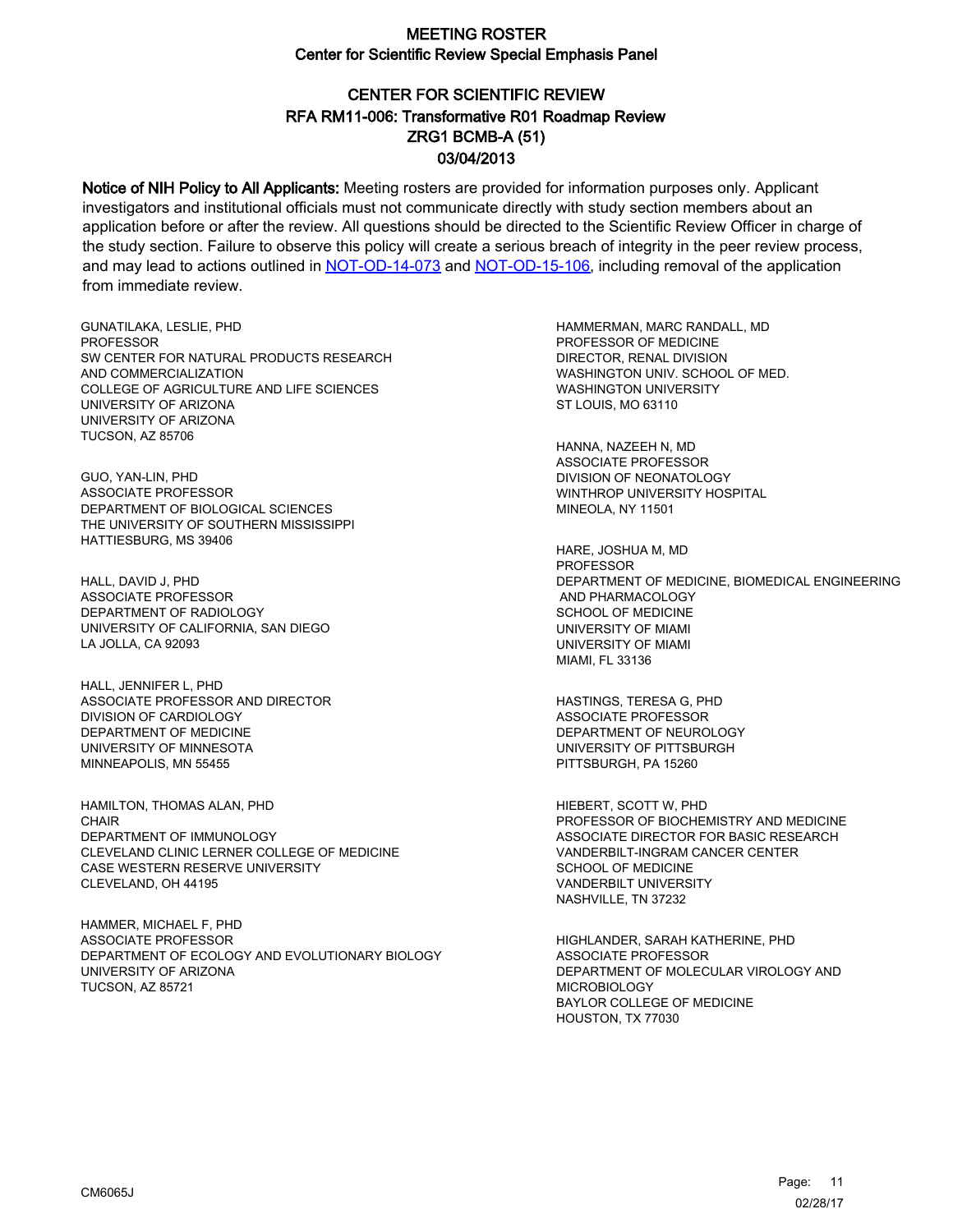# CENTER FOR SCIENTIFIC REVIEW ZRG1 BCMB-A (51) 03/04/2013 RFA RM11-006: Transformative R01 Roadmap Review

Notice of NIH Policy to All Applicants: Meeting rosters are provided for information purposes only. Applicant investigators and institutional officials must not communicate directly with study section members about an application before or after the review. All questions should be directed to the Scientific Review Officer in charge of the study section. Failure to observe this policy will create a serious breach of integrity in the peer review process, and may lead to actions outlined in [NOT-OD-14-073](https://grants.nih.gov/grants/guide/notice-files/NOT-OD-14-073.html) and [NOT-OD-15-106,](https://grants.nih.gov/grants/guide/notice-files/NOT-OD-15-106.html) including removal of the application from immediate review.

GUNATILAKA, LESLIE, PHD PROFESSOR SW CENTER FOR NATURAL PRODUCTS RESEARCH AND COMMERCIALIZATION COLLEGE OF AGRICULTURE AND LIFE SCIENCES UNIVERSITY OF ARIZONA UNIVERSITY OF ARIZONA TUCSON, AZ 85706

GUO, YAN-LIN, PHD ASSOCIATE PROFESSOR DEPARTMENT OF BIOLOGICAL SCIENCES THE UNIVERSITY OF SOUTHERN MISSISSIPPI HATTIESBURG, MS 39406

HALL, DAVID J, PHD ASSOCIATE PROFESSOR DEPARTMENT OF RADIOLOGY UNIVERSITY OF CALIFORNIA, SAN DIEGO LA JOLLA, CA 92093

HALL, JENNIFER L, PHD ASSOCIATE PROFESSOR AND DIRECTOR DIVISION OF CARDIOLOGY DEPARTMENT OF MEDICINE UNIVERSITY OF MINNESOTA MINNEAPOLIS, MN 55455

HAMILTON, THOMAS ALAN, PHD CHAIR DEPARTMENT OF IMMUNOLOGY CLEVELAND CLINIC LERNER COLLEGE OF MEDICINE CASE WESTERN RESERVE UNIVERSITY CLEVELAND, OH 44195

HAMMER, MICHAEL F, PHD ASSOCIATE PROFESSOR DEPARTMENT OF ECOLOGY AND EVOLUTIONARY BIOLOGY UNIVERSITY OF ARIZONA TUCSON, AZ 85721

HAMMERMAN, MARC RANDALL, MD PROFESSOR OF MEDICINE DIRECTOR, RENAL DIVISION WASHINGTON UNIV. SCHOOL OF MED. WASHINGTON UNIVERSITY ST LOUIS, MO 63110

HANNA, NAZEEH N, MD ASSOCIATE PROFESSOR DIVISION OF NEONATOLOGY WINTHROP UNIVERSITY HOSPITAL MINEOLA, NY 11501

HARE, JOSHUA M, MD PROFESSOR DEPARTMENT OF MEDICINE, BIOMEDICAL ENGINEERING AND PHARMACOLOGY SCHOOL OF MEDICINE UNIVERSITY OF MIAMI UNIVERSITY OF MIAMI MIAMI, FL 33136

HASTINGS, TERESA G, PHD ASSOCIATE PROFESSOR DEPARTMENT OF NEUROLOGY UNIVERSITY OF PITTSBURGH PITTSBURGH, PA 15260

HIEBERT, SCOTT W, PHD PROFESSOR OF BIOCHEMISTRY AND MEDICINE ASSOCIATE DIRECTOR FOR BASIC RESEARCH VANDERBILT-INGRAM CANCER CENTER SCHOOL OF MEDICINE VANDERBILT UNIVERSITY NASHVILLE, TN 37232

HIGHLANDER, SARAH KATHERINE, PHD ASSOCIATE PROFESSOR DEPARTMENT OF MOLECULAR VIROLOGY AND MICROBIOLOGY BAYLOR COLLEGE OF MEDICINE HOUSTON, TX 77030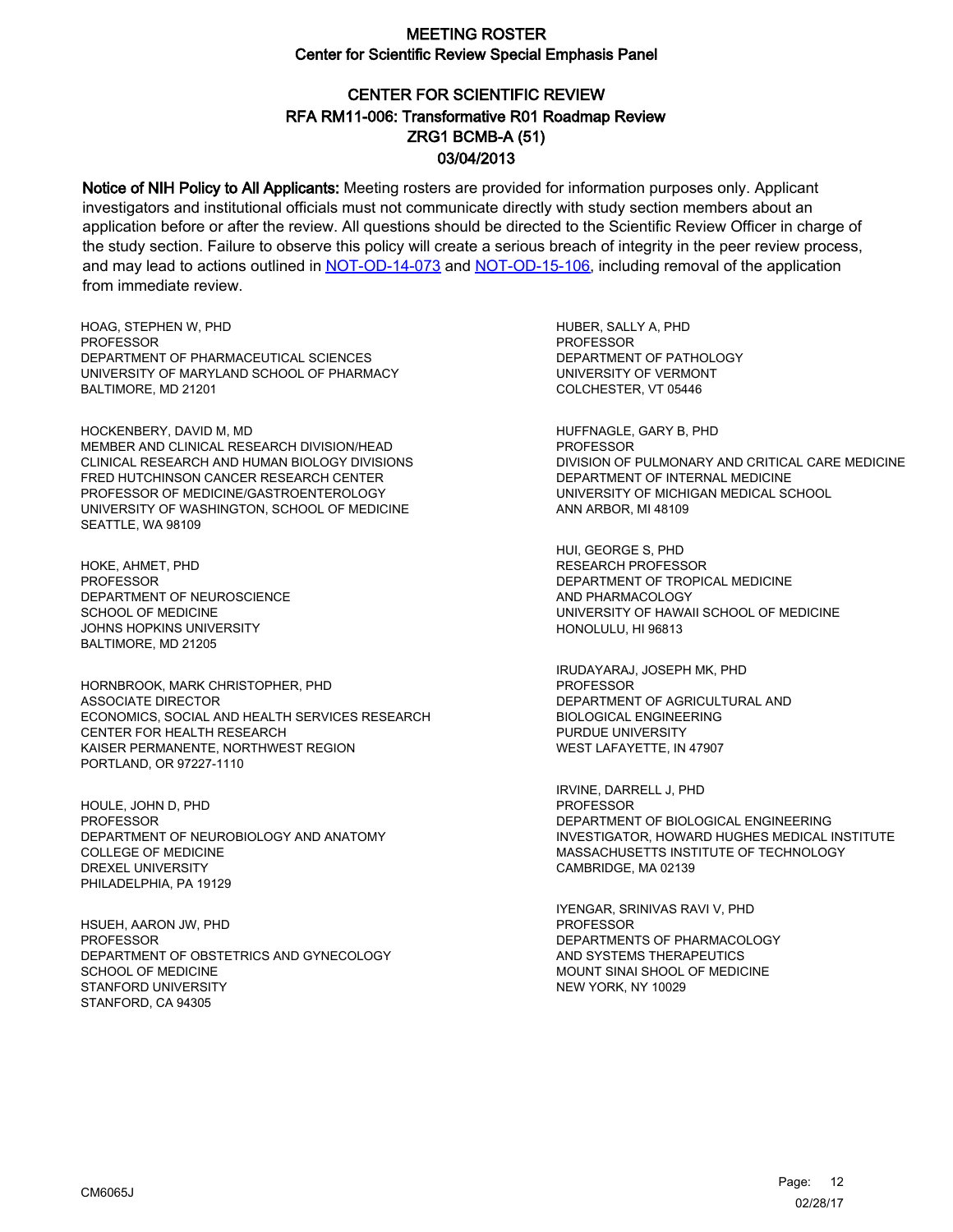# CENTER FOR SCIENTIFIC REVIEW ZRG1 BCMB-A (51) 03/04/2013 RFA RM11-006: Transformative R01 Roadmap Review

Notice of NIH Policy to All Applicants: Meeting rosters are provided for information purposes only. Applicant investigators and institutional officials must not communicate directly with study section members about an application before or after the review. All questions should be directed to the Scientific Review Officer in charge of the study section. Failure to observe this policy will create a serious breach of integrity in the peer review process, and may lead to actions outlined in [NOT-OD-14-073](https://grants.nih.gov/grants/guide/notice-files/NOT-OD-14-073.html) and [NOT-OD-15-106,](https://grants.nih.gov/grants/guide/notice-files/NOT-OD-15-106.html) including removal of the application from immediate review.

HOAG, STEPHEN W, PHD **PROFESSOR** DEPARTMENT OF PHARMACEUTICAL SCIENCES UNIVERSITY OF MARYLAND SCHOOL OF PHARMACY BALTIMORE, MD 21201

HOCKENBERY, DAVID M, MD MEMBER AND CLINICAL RESEARCH DIVISION/HEAD CLINICAL RESEARCH AND HUMAN BIOLOGY DIVISIONS FRED HUTCHINSON CANCER RESEARCH CENTER PROFESSOR OF MEDICINE/GASTROENTEROLOGY UNIVERSITY OF WASHINGTON, SCHOOL OF MEDICINE SEATTLE, WA 98109

HOKE, AHMET, PHD **PROFESSOR** DEPARTMENT OF NEUROSCIENCE SCHOOL OF MEDICINE JOHNS HOPKINS UNIVERSITY BALTIMORE, MD 21205

HORNBROOK, MARK CHRISTOPHER, PHD ASSOCIATE DIRECTOR ECONOMICS, SOCIAL AND HEALTH SERVICES RESEARCH CENTER FOR HEALTH RESEARCH KAISER PERMANENTE, NORTHWEST REGION PORTLAND, OR 97227-1110

HOULE, JOHN D, PHD PROFESSOR DEPARTMENT OF NEUROBIOLOGY AND ANATOMY COLLEGE OF MEDICINE DREXEL UNIVERSITY PHILADELPHIA, PA 19129

HSUEH, AARON JW, PHD PROFESSOR DEPARTMENT OF OBSTETRICS AND GYNECOLOGY SCHOOL OF MEDICINE STANFORD UNIVERSITY STANFORD, CA 94305

HUBER, SALLY A, PHD **PROFESSOR** DEPARTMENT OF PATHOLOGY UNIVERSITY OF VERMONT COLCHESTER, VT 05446

HUFFNAGLE, GARY B, PHD PROFESSOR DIVISION OF PULMONARY AND CRITICAL CARE MEDICINE DEPARTMENT OF INTERNAL MEDICINE UNIVERSITY OF MICHIGAN MEDICAL SCHOOL ANN ARBOR, MI 48109

HUI, GEORGE S, PHD RESEARCH PROFESSOR DEPARTMENT OF TROPICAL MEDICINE AND PHARMACOLOGY UNIVERSITY OF HAWAII SCHOOL OF MEDICINE HONOLULU, HI 96813

IRUDAYARAJ, JOSEPH MK, PHD PROFESSOR DEPARTMENT OF AGRICULTURAL AND BIOLOGICAL ENGINEERING PURDUE UNIVERSITY WEST LAFAYETTE, IN 47907

IRVINE, DARRELL J, PHD PROFESSOR DEPARTMENT OF BIOLOGICAL ENGINEERING INVESTIGATOR, HOWARD HUGHES MEDICAL INSTITUTE MASSACHUSETTS INSTITUTE OF TECHNOLOGY CAMBRIDGE, MA 02139

IYENGAR, SRINIVAS RAVI V, PHD PROFESSOR DEPARTMENTS OF PHARMACOLOGY AND SYSTEMS THERAPEUTICS MOUNT SINAI SHOOL OF MEDICINE NEW YORK, NY 10029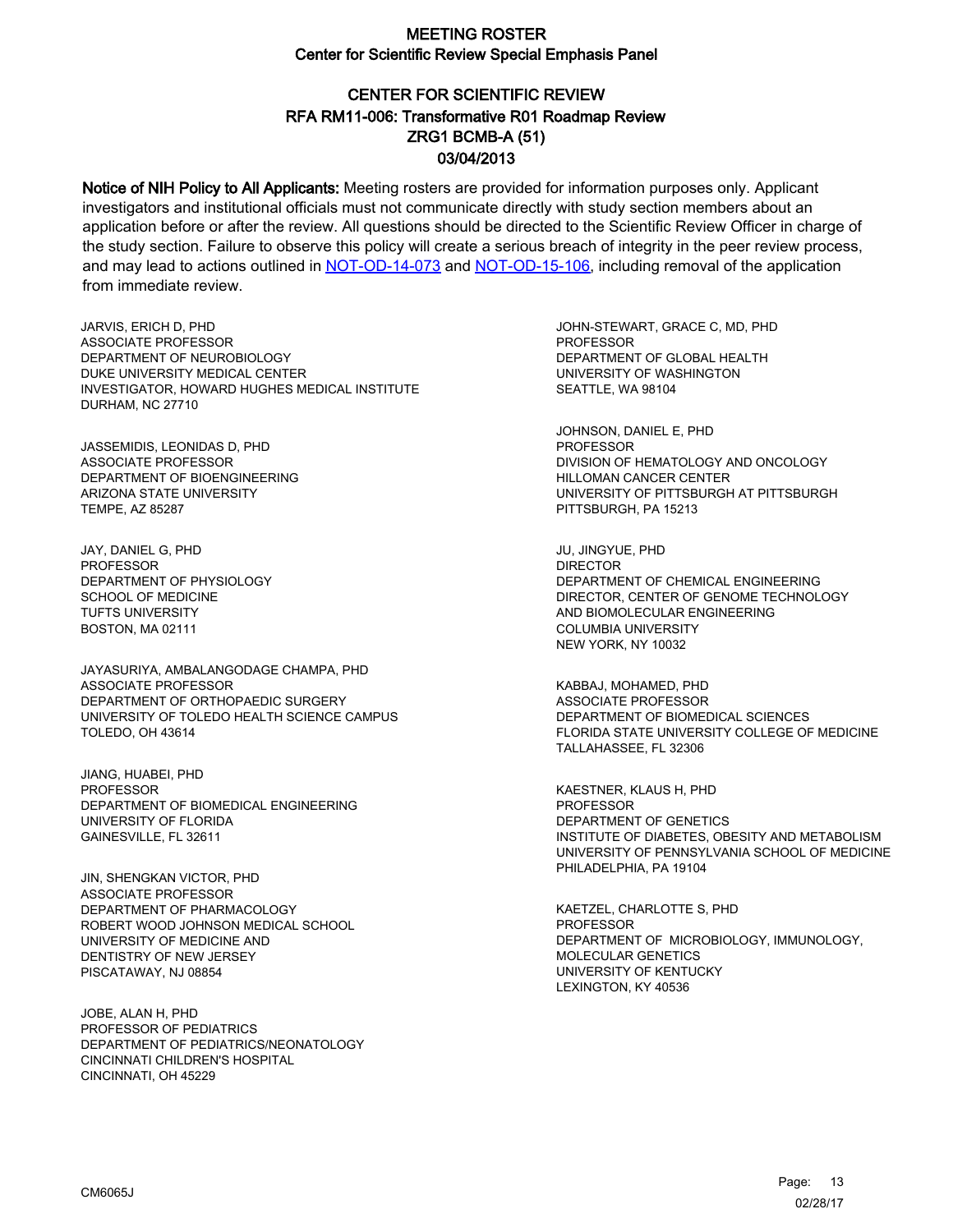# CENTER FOR SCIENTIFIC REVIEW ZRG1 BCMB-A (51) 03/04/2013 RFA RM11-006: Transformative R01 Roadmap Review

Notice of NIH Policy to All Applicants: Meeting rosters are provided for information purposes only. Applicant investigators and institutional officials must not communicate directly with study section members about an application before or after the review. All questions should be directed to the Scientific Review Officer in charge of the study section. Failure to observe this policy will create a serious breach of integrity in the peer review process, and may lead to actions outlined in [NOT-OD-14-073](https://grants.nih.gov/grants/guide/notice-files/NOT-OD-14-073.html) and [NOT-OD-15-106,](https://grants.nih.gov/grants/guide/notice-files/NOT-OD-15-106.html) including removal of the application from immediate review.

JARVIS, ERICH D, PHD ASSOCIATE PROFESSOR DEPARTMENT OF NEUROBIOLOGY DUKE UNIVERSITY MEDICAL CENTER INVESTIGATOR, HOWARD HUGHES MEDICAL INSTITUTE DURHAM, NC 27710

JASSEMIDIS, LEONIDAS D, PHD ASSOCIATE PROFESSOR DEPARTMENT OF BIOENGINEERING ARIZONA STATE UNIVERSITY TEMPE, AZ 85287

JAY, DANIEL G, PHD PROFESSOR DEPARTMENT OF PHYSIOLOGY SCHOOL OF MEDICINE TUFTS UNIVERSITY BOSTON, MA 02111

JAYASURIYA, AMBALANGODAGE CHAMPA, PHD ASSOCIATE PROFESSOR DEPARTMENT OF ORTHOPAEDIC SURGERY UNIVERSITY OF TOLEDO HEALTH SCIENCE CAMPUS TOLEDO, OH 43614

JIANG, HUABEI, PHD PROFESSOR DEPARTMENT OF BIOMEDICAL ENGINEERING UNIVERSITY OF FLORIDA GAINESVILLE, FL 32611

JIN, SHENGKAN VICTOR, PHD ASSOCIATE PROFESSOR DEPARTMENT OF PHARMACOLOGY ROBERT WOOD JOHNSON MEDICAL SCHOOL UNIVERSITY OF MEDICINE AND DENTISTRY OF NEW JERSEY PISCATAWAY, NJ 08854

JOBE, ALAN H, PHD PROFESSOR OF PEDIATRICS DEPARTMENT OF PEDIATRICS/NEONATOLOGY CINCINNATI CHILDREN'S HOSPITAL CINCINNATI, OH 45229

JOHN-STEWART, GRACE C, MD, PHD **PROFESSOR** DEPARTMENT OF GLOBAL HEALTH UNIVERSITY OF WASHINGTON SEATTLE, WA 98104

JOHNSON, DANIEL E, PHD PROFESSOR DIVISION OF HEMATOLOGY AND ONCOLOGY HILLOMAN CANCER CENTER UNIVERSITY OF PITTSBURGH AT PITTSBURGH PITTSBURGH, PA 15213

JU, JINGYUE, PHD DIRECTOR DEPARTMENT OF CHEMICAL ENGINEERING DIRECTOR, CENTER OF GENOME TECHNOLOGY AND BIOMOLECULAR ENGINEERING COLUMBIA UNIVERSITY NEW YORK, NY 10032

KABBAJ, MOHAMED, PHD ASSOCIATE PROFESSOR DEPARTMENT OF BIOMEDICAL SCIENCES FLORIDA STATE UNIVERSITY COLLEGE OF MEDICINE TALLAHASSEE, FL 32306

KAESTNER, KLAUS H, PHD PROFESSOR DEPARTMENT OF GENETICS INSTITUTE OF DIABETES, OBESITY AND METABOLISM UNIVERSITY OF PENNSYLVANIA SCHOOL OF MEDICINE PHILADELPHIA, PA 19104

KAETZEL, CHARLOTTE S, PHD PROFESSOR DEPARTMENT OF MICROBIOLOGY, IMMUNOLOGY, MOLECULAR GENETICS UNIVERSITY OF KENTUCKY LEXINGTON, KY 40536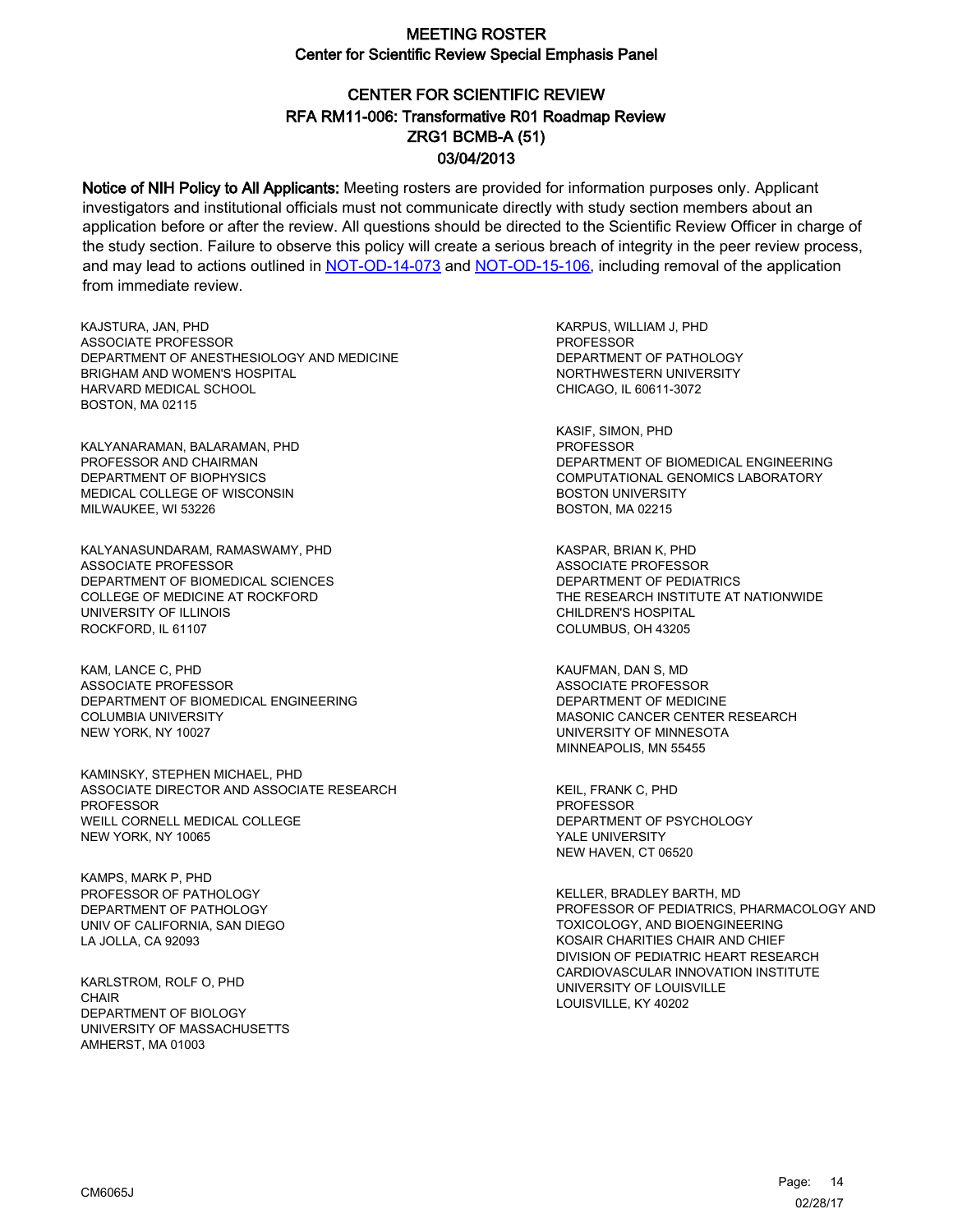# CENTER FOR SCIENTIFIC REVIEW ZRG1 BCMB-A (51) 03/04/2013 RFA RM11-006: Transformative R01 Roadmap Review

Notice of NIH Policy to All Applicants: Meeting rosters are provided for information purposes only. Applicant investigators and institutional officials must not communicate directly with study section members about an application before or after the review. All questions should be directed to the Scientific Review Officer in charge of the study section. Failure to observe this policy will create a serious breach of integrity in the peer review process, and may lead to actions outlined in [NOT-OD-14-073](https://grants.nih.gov/grants/guide/notice-files/NOT-OD-14-073.html) and [NOT-OD-15-106,](https://grants.nih.gov/grants/guide/notice-files/NOT-OD-15-106.html) including removal of the application from immediate review.

KAJSTURA, JAN, PHD ASSOCIATE PROFESSOR DEPARTMENT OF ANESTHESIOLOGY AND MEDICINE BRIGHAM AND WOMEN'S HOSPITAL HARVARD MEDICAL SCHOOL BOSTON, MA 02115

KALYANARAMAN, BALARAMAN, PHD PROFESSOR AND CHAIRMAN DEPARTMENT OF BIOPHYSICS MEDICAL COLLEGE OF WISCONSIN MILWAUKEE, WI 53226

KALYANASUNDARAM, RAMASWAMY, PHD ASSOCIATE PROFESSOR DEPARTMENT OF BIOMEDICAL SCIENCES COLLEGE OF MEDICINE AT ROCKFORD UNIVERSITY OF ILLINOIS ROCKFORD, IL 61107

KAM, LANCE C, PHD ASSOCIATE PROFESSOR DEPARTMENT OF BIOMEDICAL ENGINEERING COLUMBIA UNIVERSITY NEW YORK, NY 10027

KAMINSKY, STEPHEN MICHAEL, PHD ASSOCIATE DIRECTOR AND ASSOCIATE RESEARCH PROFESSOR WEILL CORNELL MEDICAL COLLEGE NEW YORK, NY 10065

KAMPS, MARK P, PHD PROFESSOR OF PATHOLOGY DEPARTMENT OF PATHOLOGY UNIV OF CALIFORNIA, SAN DIEGO LA JOLLA, CA 92093

KARLSTROM, ROLF O, PHD **CHAIR** DEPARTMENT OF BIOLOGY UNIVERSITY OF MASSACHUSETTS AMHERST, MA 01003

KARPUS, WILLIAM J, PHD PROFESSOR DEPARTMENT OF PATHOLOGY NORTHWESTERN UNIVERSITY CHICAGO, IL 60611-3072

KASIF, SIMON, PHD PROFESSOR DEPARTMENT OF BIOMEDICAL ENGINEERING COMPUTATIONAL GENOMICS LABORATORY BOSTON UNIVERSITY BOSTON, MA 02215

KASPAR, BRIAN K, PHD ASSOCIATE PROFESSOR DEPARTMENT OF PEDIATRICS THE RESEARCH INSTITUTE AT NATIONWIDE CHILDREN'S HOSPITAL COLUMBUS, OH 43205

KAUFMAN, DAN S, MD ASSOCIATE PROFESSOR DEPARTMENT OF MEDICINE MASONIC CANCER CENTER RESEARCH UNIVERSITY OF MINNESOTA MINNEAPOLIS, MN 55455

KEIL, FRANK C, PHD PROFESSOR DEPARTMENT OF PSYCHOLOGY YALE UNIVERSITY NEW HAVEN, CT 06520

KELLER, BRADLEY BARTH, MD PROFESSOR OF PEDIATRICS, PHARMACOLOGY AND TOXICOLOGY, AND BIOENGINEERING KOSAIR CHARITIES CHAIR AND CHIEF DIVISION OF PEDIATRIC HEART RESEARCH CARDIOVASCULAR INNOVATION INSTITUTE UNIVERSITY OF LOUISVILLE LOUISVILLE, KY 40202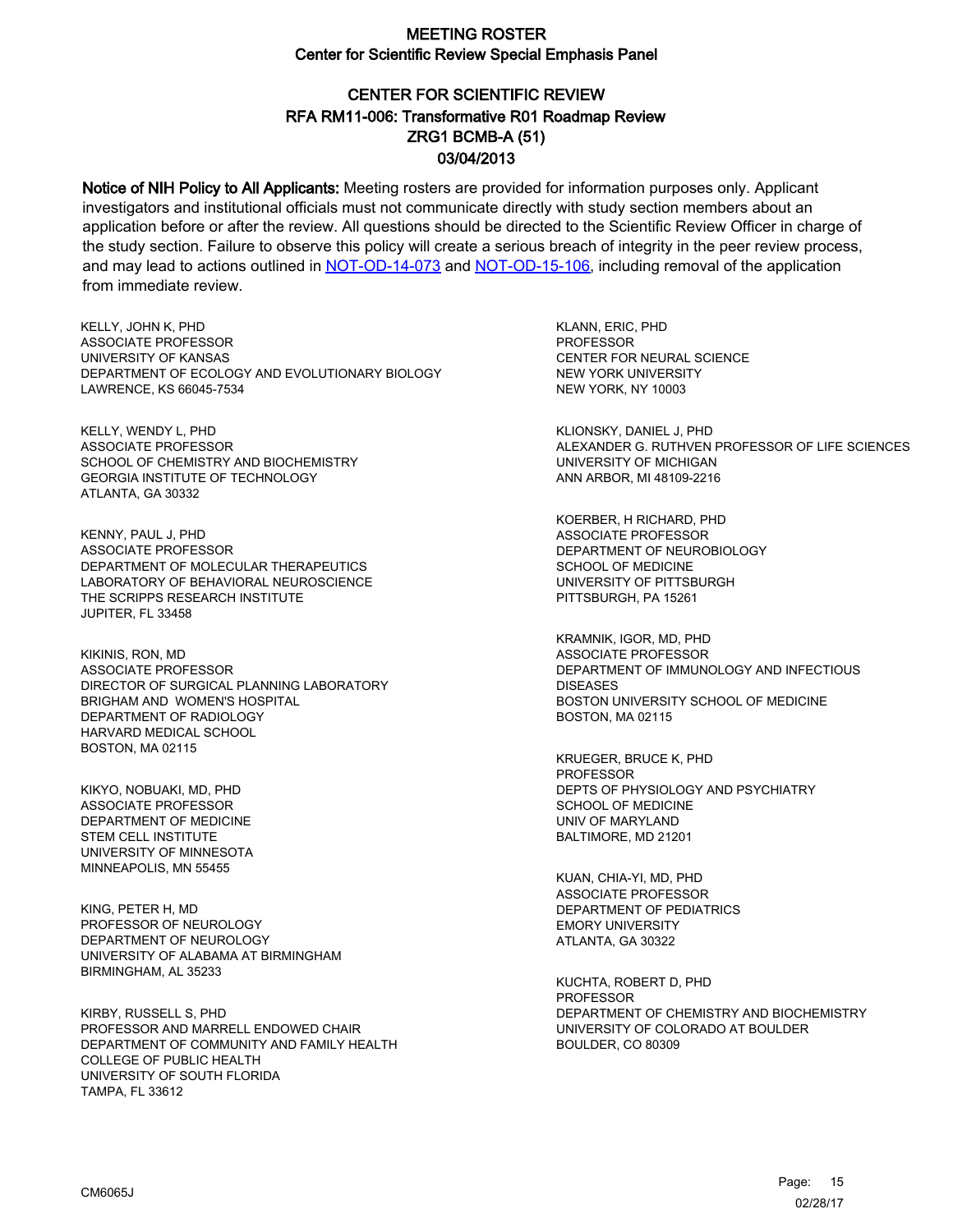# CENTER FOR SCIENTIFIC REVIEW ZRG1 BCMB-A (51) 03/04/2013 RFA RM11-006: Transformative R01 Roadmap Review

Notice of NIH Policy to All Applicants: Meeting rosters are provided for information purposes only. Applicant investigators and institutional officials must not communicate directly with study section members about an application before or after the review. All questions should be directed to the Scientific Review Officer in charge of the study section. Failure to observe this policy will create a serious breach of integrity in the peer review process, and may lead to actions outlined in [NOT-OD-14-073](https://grants.nih.gov/grants/guide/notice-files/NOT-OD-14-073.html) and [NOT-OD-15-106,](https://grants.nih.gov/grants/guide/notice-files/NOT-OD-15-106.html) including removal of the application from immediate review.

KELLY, JOHN K, PHD ASSOCIATE PROFESSOR UNIVERSITY OF KANSAS DEPARTMENT OF ECOLOGY AND EVOLUTIONARY BIOLOGY LAWRENCE, KS 66045-7534

KELLY, WENDY L, PHD ASSOCIATE PROFESSOR SCHOOL OF CHEMISTRY AND BIOCHEMISTRY GEORGIA INSTITUTE OF TECHNOLOGY ATLANTA, GA 30332

KENNY, PAUL J, PHD ASSOCIATE PROFESSOR DEPARTMENT OF MOLECULAR THERAPEUTICS LABORATORY OF BEHAVIORAL NEUROSCIENCE THE SCRIPPS RESEARCH INSTITUTE JUPITER, FL 33458

KIKINIS, RON, MD ASSOCIATE PROFESSOR DIRECTOR OF SURGICAL PLANNING LABORATORY BRIGHAM AND WOMEN'S HOSPITAL DEPARTMENT OF RADIOLOGY HARVARD MEDICAL SCHOOL BOSTON, MA 02115

KIKYO, NOBUAKI, MD, PHD ASSOCIATE PROFESSOR DEPARTMENT OF MEDICINE STEM CELL INSTITUTE UNIVERSITY OF MINNESOTA MINNEAPOLIS, MN 55455

KING, PETER H, MD PROFESSOR OF NEUROLOGY DEPARTMENT OF NEUROLOGY UNIVERSITY OF ALABAMA AT BIRMINGHAM BIRMINGHAM, AL 35233

KIRBY, RUSSELL S, PHD PROFESSOR AND MARRELL ENDOWED CHAIR DEPARTMENT OF COMMUNITY AND FAMILY HEALTH COLLEGE OF PUBLIC HEALTH UNIVERSITY OF SOUTH FLORIDA TAMPA, FL 33612

KLANN, ERIC, PHD PROFESSOR CENTER FOR NEURAL SCIENCE NEW YORK UNIVERSITY NEW YORK, NY 10003

KLIONSKY, DANIEL J, PHD ALEXANDER G. RUTHVEN PROFESSOR OF LIFE SCIENCES UNIVERSITY OF MICHIGAN ANN ARBOR, MI 48109-2216

KOERBER, H RICHARD, PHD ASSOCIATE PROFESSOR DEPARTMENT OF NEUROBIOLOGY SCHOOL OF MEDICINE UNIVERSITY OF PITTSBURGH PITTSBURGH, PA 15261

KRAMNIK, IGOR, MD, PHD ASSOCIATE PROFESSOR DEPARTMENT OF IMMUNOLOGY AND INFECTIOUS DISEASES BOSTON UNIVERSITY SCHOOL OF MEDICINE BOSTON, MA 02115

KRUEGER, BRUCE K, PHD PROFESSOR DEPTS OF PHYSIOLOGY AND PSYCHIATRY SCHOOL OF MEDICINE UNIV OF MARYLAND BALTIMORE, MD 21201

KUAN, CHIA-YI, MD, PHD ASSOCIATE PROFESSOR DEPARTMENT OF PEDIATRICS EMORY UNIVERSITY ATLANTA, GA 30322

KUCHTA, ROBERT D, PHD PROFESSOR DEPARTMENT OF CHEMISTRY AND BIOCHEMISTRY UNIVERSITY OF COLORADO AT BOULDER BOULDER, CO 80309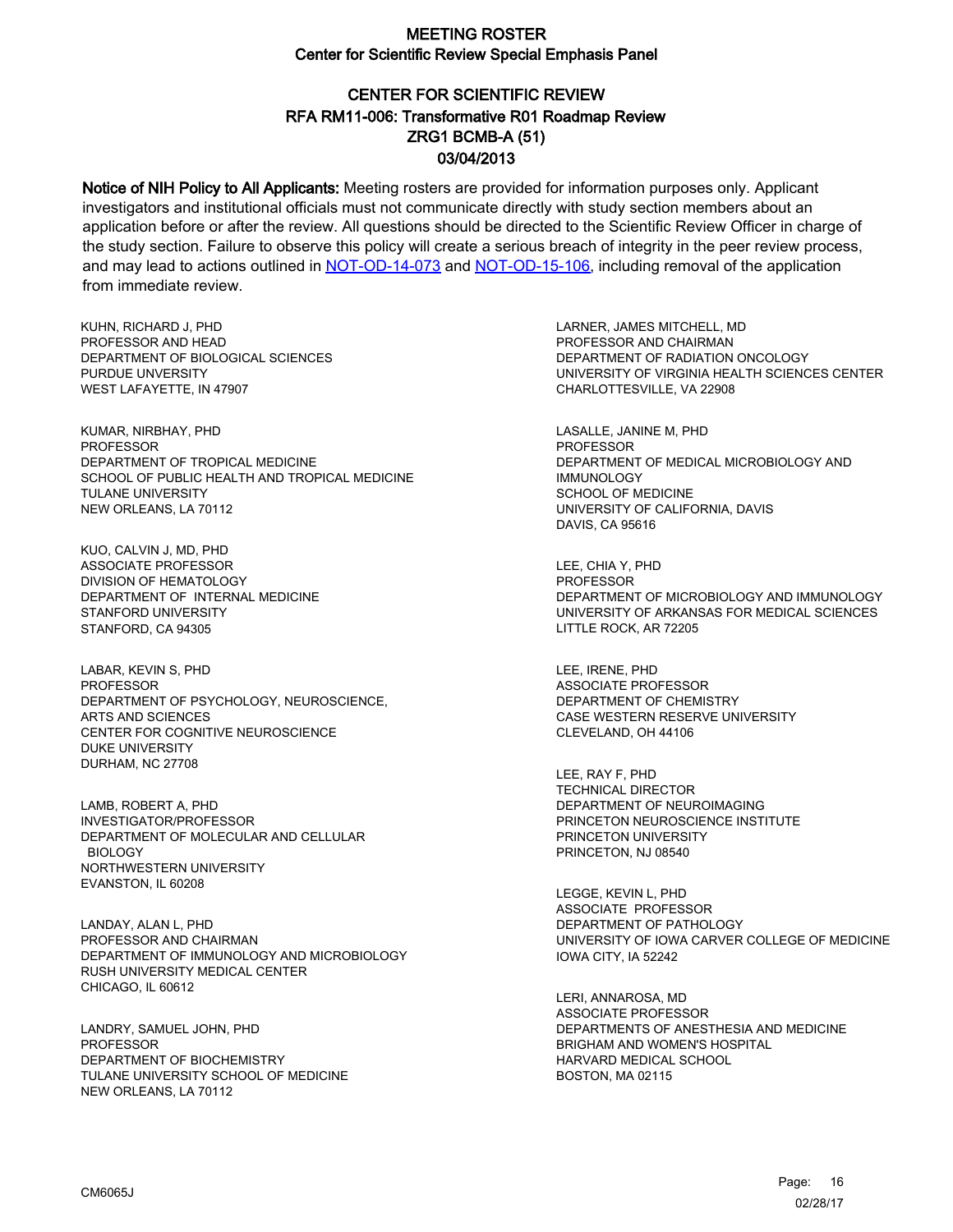# CENTER FOR SCIENTIFIC REVIEW ZRG1 BCMB-A (51) 03/04/2013 RFA RM11-006: Transformative R01 Roadmap Review

Notice of NIH Policy to All Applicants: Meeting rosters are provided for information purposes only. Applicant investigators and institutional officials must not communicate directly with study section members about an application before or after the review. All questions should be directed to the Scientific Review Officer in charge of the study section. Failure to observe this policy will create a serious breach of integrity in the peer review process, and may lead to actions outlined in [NOT-OD-14-073](https://grants.nih.gov/grants/guide/notice-files/NOT-OD-14-073.html) and [NOT-OD-15-106,](https://grants.nih.gov/grants/guide/notice-files/NOT-OD-15-106.html) including removal of the application from immediate review.

KUHN, RICHARD J, PHD PROFESSOR AND HEAD DEPARTMENT OF BIOLOGICAL SCIENCES PURDUE UNVERSITY WEST LAFAYETTE, IN 47907

KUMAR, NIRBHAY, PHD PROFESSOR DEPARTMENT OF TROPICAL MEDICINE SCHOOL OF PUBLIC HEALTH AND TROPICAL MEDICINE TULANE UNIVERSITY NEW ORLEANS, LA 70112

KUO, CALVIN J, MD, PHD ASSOCIATE PROFESSOR DIVISION OF HEMATOLOGY DEPARTMENT OF INTERNAL MEDICINE STANFORD UNIVERSITY STANFORD, CA 94305

LABAR, KEVIN S, PHD PROFESSOR DEPARTMENT OF PSYCHOLOGY, NEUROSCIENCE, ARTS AND SCIENCES CENTER FOR COGNITIVE NEUROSCIENCE DUKE UNIVERSITY DURHAM, NC 27708

LAMB, ROBERT A, PHD INVESTIGATOR/PROFESSOR DEPARTMENT OF MOLECULAR AND CELLULAR BIOLOGY NORTHWESTERN UNIVERSITY EVANSTON, IL 60208

LANDAY, ALAN L, PHD PROFESSOR AND CHAIRMAN DEPARTMENT OF IMMUNOLOGY AND MICROBIOLOGY RUSH UNIVERSITY MEDICAL CENTER CHICAGO, IL 60612

LANDRY, SAMUEL JOHN, PHD PROFESSOR DEPARTMENT OF BIOCHEMISTRY TULANE UNIVERSITY SCHOOL OF MEDICINE NEW ORLEANS, LA 70112

LARNER, JAMES MITCHELL, MD PROFESSOR AND CHAIRMAN DEPARTMENT OF RADIATION ONCOLOGY UNIVERSITY OF VIRGINIA HEALTH SCIENCES CENTER CHARLOTTESVILLE, VA 22908

LASALLE, JANINE M, PHD PROFESSOR DEPARTMENT OF MEDICAL MICROBIOLOGY AND IMMUNOLOGY SCHOOL OF MEDICINE UNIVERSITY OF CALIFORNIA, DAVIS DAVIS, CA 95616

LEE, CHIA Y, PHD **PROFESSOR** DEPARTMENT OF MICROBIOLOGY AND IMMUNOLOGY UNIVERSITY OF ARKANSAS FOR MEDICAL SCIENCES LITTLE ROCK, AR 72205

LEE, IRENE, PHD ASSOCIATE PROFESSOR DEPARTMENT OF CHEMISTRY CASE WESTERN RESERVE UNIVERSITY CLEVELAND, OH 44106

LEE, RAY F, PHD TECHNICAL DIRECTOR DEPARTMENT OF NEUROIMAGING PRINCETON NEUROSCIENCE INSTITUTE PRINCETON UNIVERSITY PRINCETON, NJ 08540

LEGGE, KEVIN L, PHD ASSOCIATE PROFESSOR DEPARTMENT OF PATHOLOGY UNIVERSITY OF IOWA CARVER COLLEGE OF MEDICINE IOWA CITY, IA 52242

LERI, ANNAROSA, MD ASSOCIATE PROFESSOR DEPARTMENTS OF ANESTHESIA AND MEDICINE BRIGHAM AND WOMEN'S HOSPITAL HARVARD MEDICAL SCHOOL BOSTON, MA 02115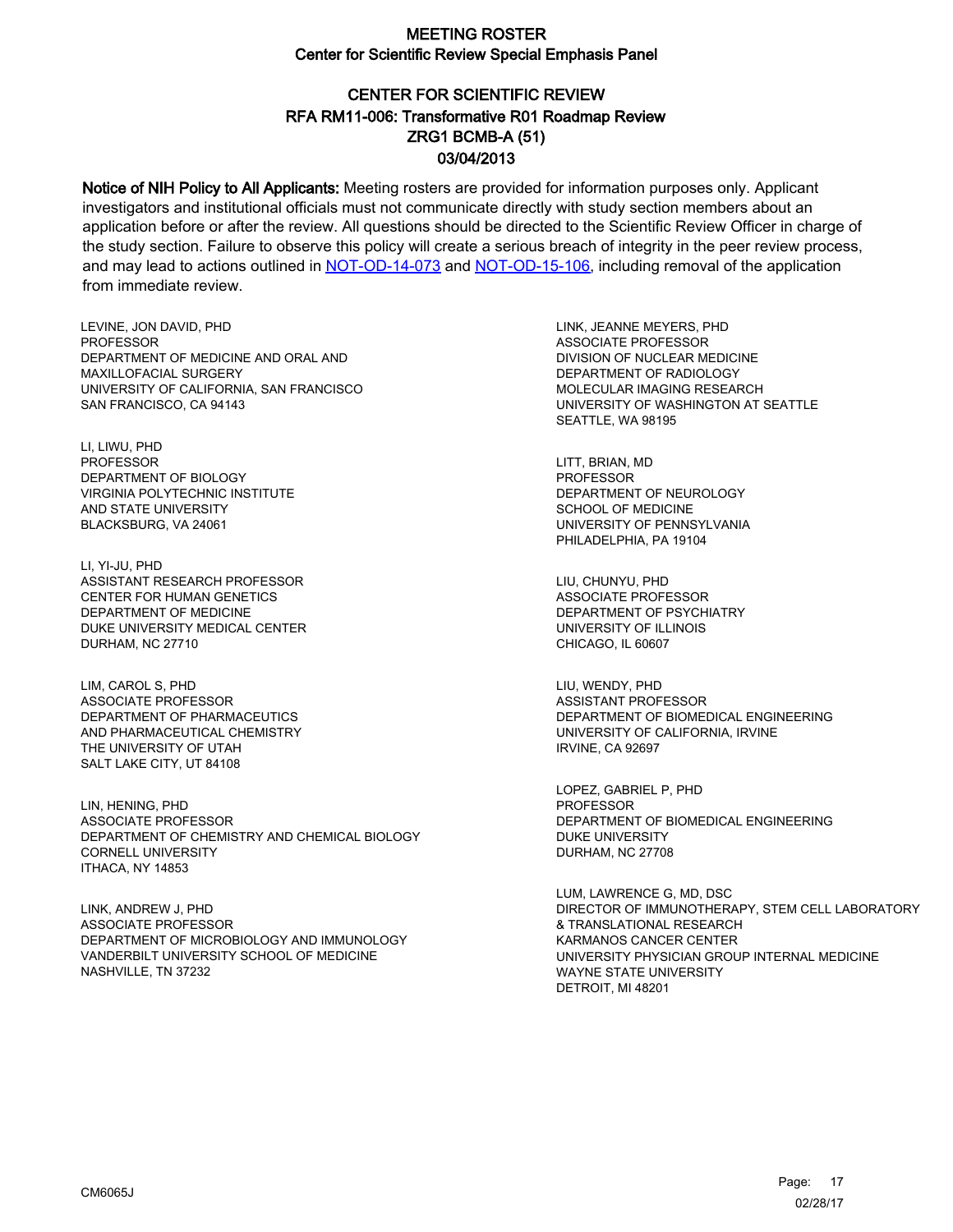# CENTER FOR SCIENTIFIC REVIEW ZRG1 BCMB-A (51) 03/04/2013 RFA RM11-006: Transformative R01 Roadmap Review

Notice of NIH Policy to All Applicants: Meeting rosters are provided for information purposes only. Applicant investigators and institutional officials must not communicate directly with study section members about an application before or after the review. All questions should be directed to the Scientific Review Officer in charge of the study section. Failure to observe this policy will create a serious breach of integrity in the peer review process, and may lead to actions outlined in [NOT-OD-14-073](https://grants.nih.gov/grants/guide/notice-files/NOT-OD-14-073.html) and [NOT-OD-15-106,](https://grants.nih.gov/grants/guide/notice-files/NOT-OD-15-106.html) including removal of the application from immediate review.

LEVINE, JON DAVID, PHD PROFESSOR DEPARTMENT OF MEDICINE AND ORAL AND MAXILLOFACIAL SURGERY UNIVERSITY OF CALIFORNIA, SAN FRANCISCO SAN FRANCISCO, CA 94143

LI, LIWU, PHD PROFESSOR DEPARTMENT OF BIOLOGY VIRGINIA POLYTECHNIC INSTITUTE AND STATE UNIVERSITY BLACKSBURG, VA 24061

LI, YI-JU, PHD ASSISTANT RESEARCH PROFESSOR CENTER FOR HUMAN GENETICS DEPARTMENT OF MEDICINE DUKE UNIVERSITY MEDICAL CENTER DURHAM, NC 27710

LIM, CAROL S, PHD ASSOCIATE PROFESSOR DEPARTMENT OF PHARMACEUTICS AND PHARMACEUTICAL CHEMISTRY THE UNIVERSITY OF UTAH SALT LAKE CITY, UT 84108

LIN, HENING, PHD ASSOCIATE PROFESSOR DEPARTMENT OF CHEMISTRY AND CHEMICAL BIOLOGY CORNELL UNIVERSITY ITHACA, NY 14853

LINK, ANDREW J, PHD ASSOCIATE PROFESSOR DEPARTMENT OF MICROBIOLOGY AND IMMUNOLOGY VANDERBILT UNIVERSITY SCHOOL OF MEDICINE NASHVILLE, TN 37232

LINK, JEANNE MEYERS, PHD ASSOCIATE PROFESSOR DIVISION OF NUCLEAR MEDICINE DEPARTMENT OF RADIOLOGY MOLECULAR IMAGING RESEARCH UNIVERSITY OF WASHINGTON AT SEATTLE SEATTLE, WA 98195

LITT, BRIAN, MD PROFESSOR DEPARTMENT OF NEUROLOGY SCHOOL OF MEDICINE UNIVERSITY OF PENNSYLVANIA PHILADELPHIA, PA 19104

LIU, CHUNYU, PHD ASSOCIATE PROFESSOR DEPARTMENT OF PSYCHIATRY UNIVERSITY OF ILLINOIS CHICAGO, IL 60607

LIU, WENDY, PHD ASSISTANT PROFESSOR DEPARTMENT OF BIOMEDICAL ENGINEERING UNIVERSITY OF CALIFORNIA, IRVINE IRVINE, CA 92697

LOPEZ, GABRIEL P, PHD PROFESSOR DEPARTMENT OF BIOMEDICAL ENGINEERING DUKE UNIVERSITY DURHAM, NC 27708

LUM, LAWRENCE G, MD, DSC DIRECTOR OF IMMUNOTHERAPY, STEM CELL LABORATORY & TRANSLATIONAL RESEARCH KARMANOS CANCER CENTER UNIVERSITY PHYSICIAN GROUP INTERNAL MEDICINE WAYNE STATE UNIVERSITY DETROIT, MI 48201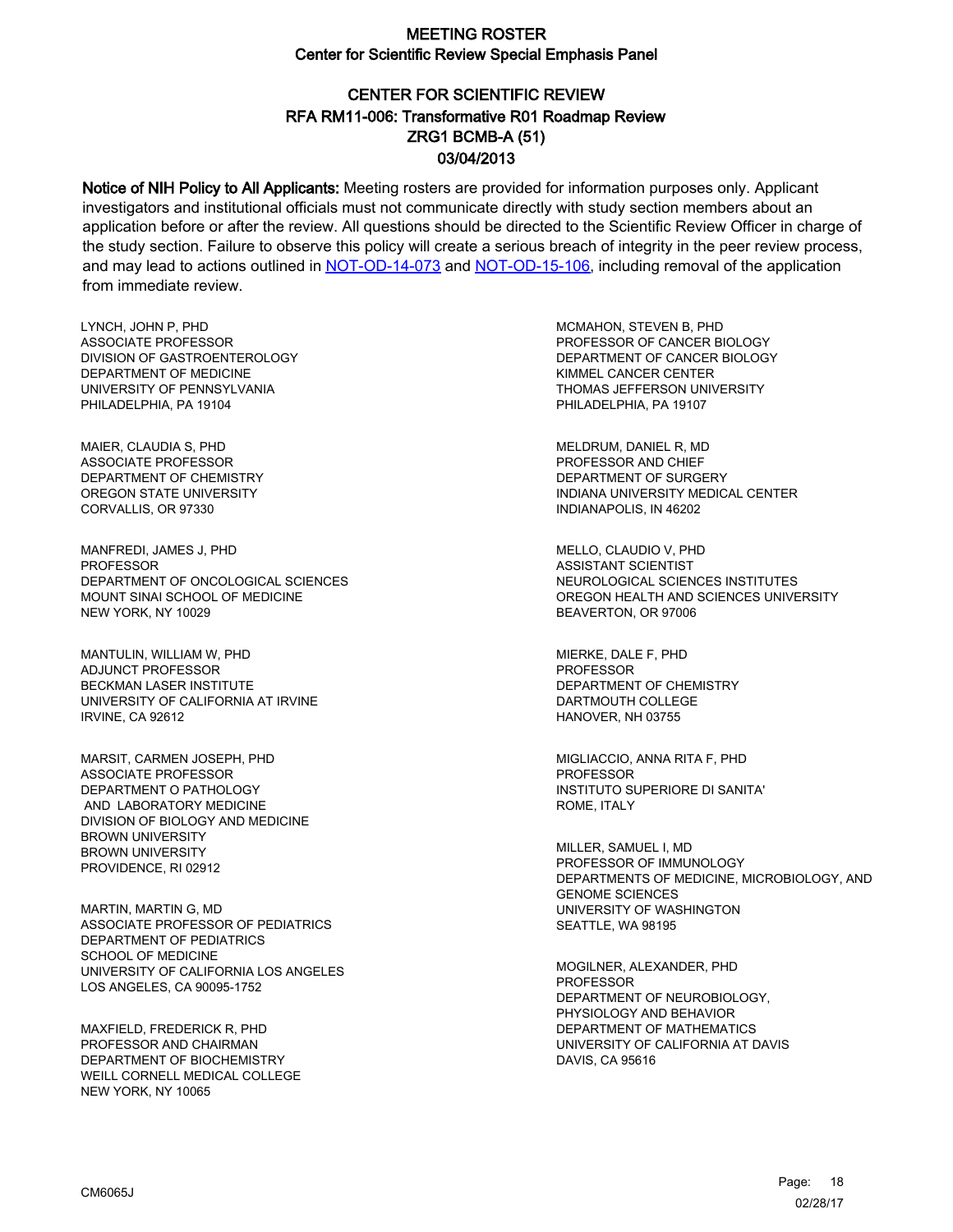# CENTER FOR SCIENTIFIC REVIEW ZRG1 BCMB-A (51) 03/04/2013 RFA RM11-006: Transformative R01 Roadmap Review

Notice of NIH Policy to All Applicants: Meeting rosters are provided for information purposes only. Applicant investigators and institutional officials must not communicate directly with study section members about an application before or after the review. All questions should be directed to the Scientific Review Officer in charge of the study section. Failure to observe this policy will create a serious breach of integrity in the peer review process, and may lead to actions outlined in [NOT-OD-14-073](https://grants.nih.gov/grants/guide/notice-files/NOT-OD-14-073.html) and [NOT-OD-15-106,](https://grants.nih.gov/grants/guide/notice-files/NOT-OD-15-106.html) including removal of the application from immediate review.

LYNCH, JOHN P, PHD ASSOCIATE PROFESSOR DIVISION OF GASTROENTEROLOGY DEPARTMENT OF MEDICINE UNIVERSITY OF PENNSYLVANIA PHILADELPHIA, PA 19104

MAIER, CLAUDIA S, PHD ASSOCIATE PROFESSOR DEPARTMENT OF CHEMISTRY OREGON STATE UNIVERSITY CORVALLIS, OR 97330

MANFREDI, JAMES J, PHD PROFESSOR DEPARTMENT OF ONCOLOGICAL SCIENCES MOUNT SINAI SCHOOL OF MEDICINE NEW YORK, NY 10029

MANTULIN, WILLIAM W, PHD ADJUNCT PROFESSOR BECKMAN LASER INSTITUTE UNIVERSITY OF CALIFORNIA AT IRVINE IRVINE, CA 92612

MARSIT, CARMEN JOSEPH, PHD ASSOCIATE PROFESSOR DEPARTMENT O PATHOLOGY AND LABORATORY MEDICINE DIVISION OF BIOLOGY AND MEDICINE BROWN UNIVERSITY BROWN UNIVERSITY PROVIDENCE, RI 02912

MARTIN, MARTIN G, MD ASSOCIATE PROFESSOR OF PEDIATRICS DEPARTMENT OF PEDIATRICS SCHOOL OF MEDICINE UNIVERSITY OF CALIFORNIA LOS ANGELES LOS ANGELES, CA 90095-1752

MAXFIELD, FREDERICK R, PHD PROFESSOR AND CHAIRMAN DEPARTMENT OF BIOCHEMISTRY WEILL CORNELL MEDICAL COLLEGE NEW YORK, NY 10065

MCMAHON, STEVEN B, PHD PROFESSOR OF CANCER BIOLOGY DEPARTMENT OF CANCER BIOLOGY KIMMEL CANCER CENTER THOMAS JEFFERSON UNIVERSITY PHILADELPHIA, PA 19107

MELDRUM, DANIEL R, MD PROFESSOR AND CHIEF DEPARTMENT OF SURGERY INDIANA UNIVERSITY MEDICAL CENTER INDIANAPOLIS, IN 46202

MELLO, CLAUDIO V, PHD ASSISTANT SCIENTIST NEUROLOGICAL SCIENCES INSTITUTES OREGON HEALTH AND SCIENCES UNIVERSITY BEAVERTON, OR 97006

MIERKE, DALE F, PHD PROFESSOR DEPARTMENT OF CHEMISTRY DARTMOUTH COLLEGE HANOVER, NH 03755

MIGLIACCIO, ANNA RITA F, PHD **PROFESSOR** INSTITUTO SUPERIORE DI SANITA' ROME, ITALY

MILLER, SAMUEL I, MD PROFESSOR OF IMMUNOLOGY DEPARTMENTS OF MEDICINE, MICROBIOLOGY, AND GENOME SCIENCES UNIVERSITY OF WASHINGTON SEATTLE, WA 98195

MOGILNER, ALEXANDER, PHD PROFESSOR DEPARTMENT OF NEUROBIOLOGY, PHYSIOLOGY AND BEHAVIOR DEPARTMENT OF MATHEMATICS UNIVERSITY OF CALIFORNIA AT DAVIS DAVIS, CA 95616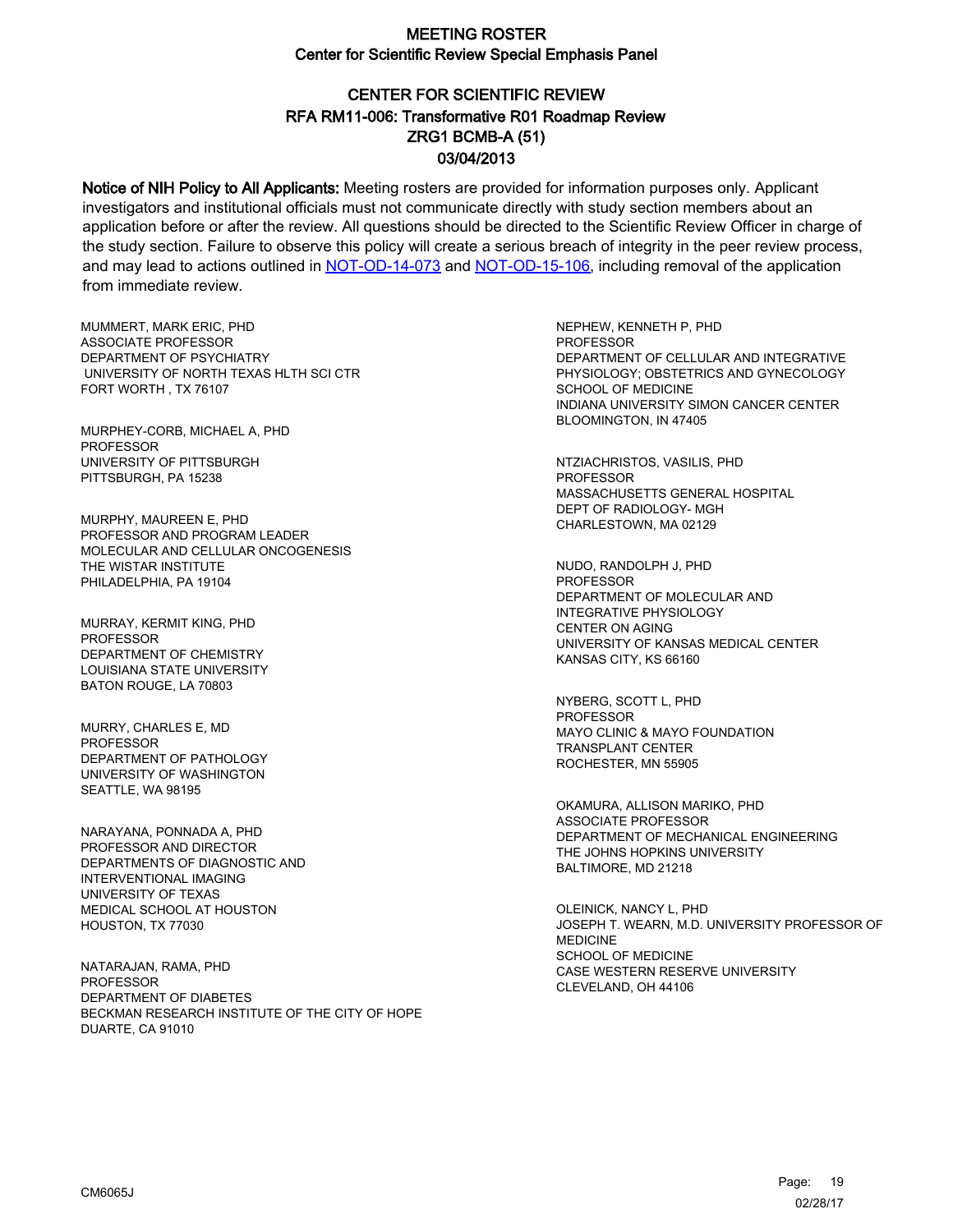# CENTER FOR SCIENTIFIC REVIEW ZRG1 BCMB-A (51) 03/04/2013 RFA RM11-006: Transformative R01 Roadmap Review

Notice of NIH Policy to All Applicants: Meeting rosters are provided for information purposes only. Applicant investigators and institutional officials must not communicate directly with study section members about an application before or after the review. All questions should be directed to the Scientific Review Officer in charge of the study section. Failure to observe this policy will create a serious breach of integrity in the peer review process, and may lead to actions outlined in [NOT-OD-14-073](https://grants.nih.gov/grants/guide/notice-files/NOT-OD-14-073.html) and [NOT-OD-15-106,](https://grants.nih.gov/grants/guide/notice-files/NOT-OD-15-106.html) including removal of the application from immediate review.

MUMMERT, MARK ERIC, PHD ASSOCIATE PROFESSOR DEPARTMENT OF PSYCHIATRY UNIVERSITY OF NORTH TEXAS HLTH SCI CTR FORT WORTH , TX 76107

MURPHEY-CORB, MICHAEL A, PHD PROFESSOR UNIVERSITY OF PITTSBURGH PITTSBURGH, PA 15238

MURPHY, MAUREEN E, PHD PROFESSOR AND PROGRAM LEADER MOLECULAR AND CELLULAR ONCOGENESIS THE WISTAR INSTITUTE PHILADELPHIA, PA 19104

MURRAY, KERMIT KING, PHD PROFESSOR DEPARTMENT OF CHEMISTRY LOUISIANA STATE UNIVERSITY BATON ROUGE, LA 70803

MURRY, CHARLES E, MD PROFESSOR DEPARTMENT OF PATHOLOGY UNIVERSITY OF WASHINGTON SEATTLE, WA 98195

NARAYANA, PONNADA A, PHD PROFESSOR AND DIRECTOR DEPARTMENTS OF DIAGNOSTIC AND INTERVENTIONAL IMAGING UNIVERSITY OF TEXAS MEDICAL SCHOOL AT HOUSTON HOUSTON, TX 77030

NATARAJAN, RAMA, PHD PROFESSOR DEPARTMENT OF DIABETES BECKMAN RESEARCH INSTITUTE OF THE CITY OF HOPE DUARTE, CA 91010

NEPHEW, KENNETH P, PHD **PROFESSOR** DEPARTMENT OF CELLULAR AND INTEGRATIVE PHYSIOLOGY; OBSTETRICS AND GYNECOLOGY SCHOOL OF MEDICINE INDIANA UNIVERSITY SIMON CANCER CENTER BLOOMINGTON, IN 47405

NTZIACHRISTOS, VASILIS, PHD PROFESSOR MASSACHUSETTS GENERAL HOSPITAL DEPT OF RADIOLOGY- MGH CHARLESTOWN, MA 02129

NUDO, RANDOLPH J, PHD **PROFESSOR** DEPARTMENT OF MOLECULAR AND INTEGRATIVE PHYSIOLOGY CENTER ON AGING UNIVERSITY OF KANSAS MEDICAL CENTER KANSAS CITY, KS 66160

NYBERG, SCOTT L, PHD PROFESSOR MAYO CLINIC & MAYO FOUNDATION TRANSPLANT CENTER ROCHESTER, MN 55905

OKAMURA, ALLISON MARIKO, PHD ASSOCIATE PROFESSOR DEPARTMENT OF MECHANICAL ENGINEERING THE JOHNS HOPKINS UNIVERSITY BALTIMORE, MD 21218

OLEINICK, NANCY L, PHD JOSEPH T. WEARN, M.D. UNIVERSITY PROFESSOR OF MEDICINE SCHOOL OF MEDICINE CASE WESTERN RESERVE UNIVERSITY CLEVELAND, OH 44106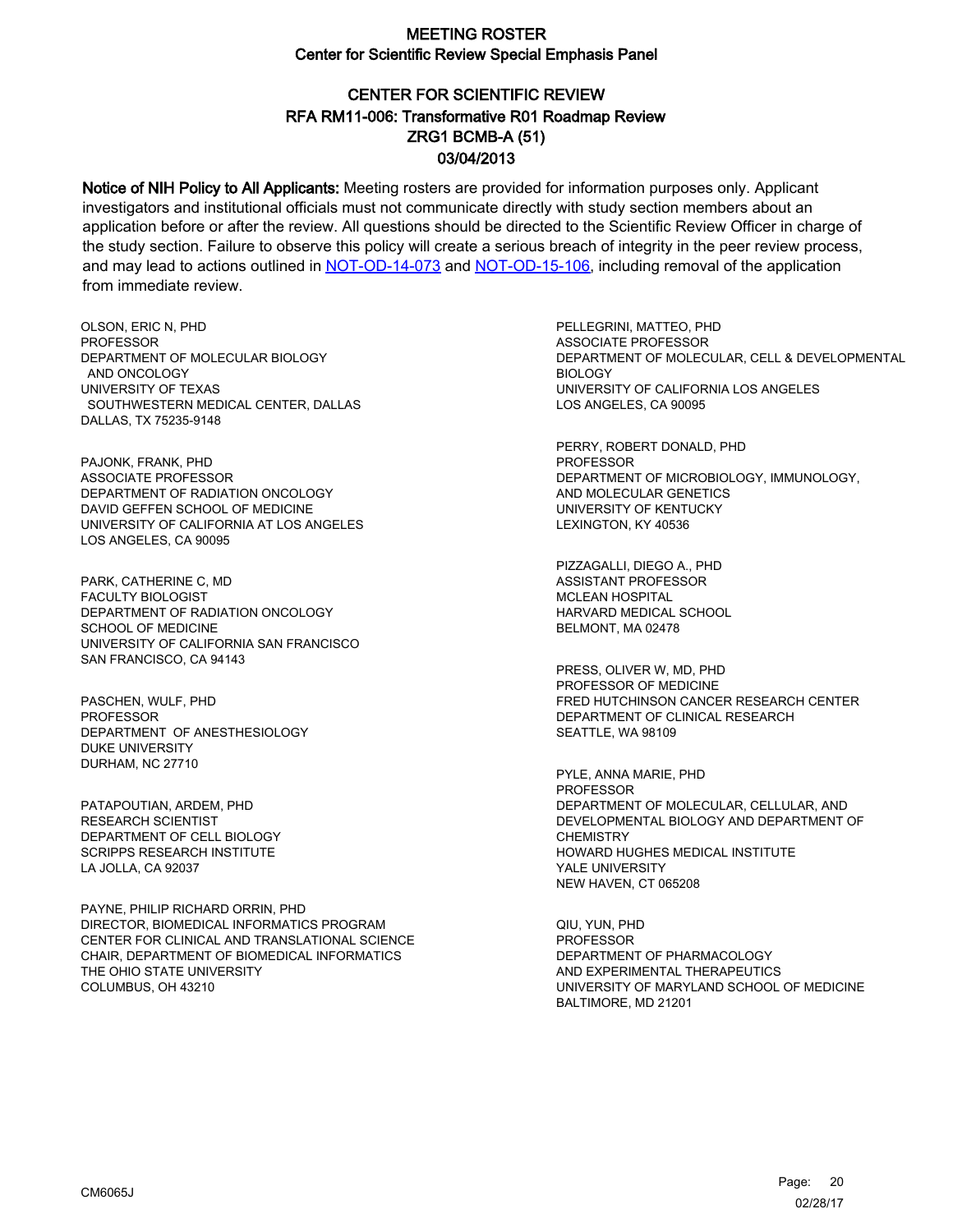# CENTER FOR SCIENTIFIC REVIEW ZRG1 BCMB-A (51) 03/04/2013 RFA RM11-006: Transformative R01 Roadmap Review

Notice of NIH Policy to All Applicants: Meeting rosters are provided for information purposes only. Applicant investigators and institutional officials must not communicate directly with study section members about an application before or after the review. All questions should be directed to the Scientific Review Officer in charge of the study section. Failure to observe this policy will create a serious breach of integrity in the peer review process, and may lead to actions outlined in [NOT-OD-14-073](https://grants.nih.gov/grants/guide/notice-files/NOT-OD-14-073.html) and [NOT-OD-15-106,](https://grants.nih.gov/grants/guide/notice-files/NOT-OD-15-106.html) including removal of the application from immediate review.

OLSON, ERIC N, PHD **PROFESSOR** DEPARTMENT OF MOLECULAR BIOLOGY AND ONCOLOGY UNIVERSITY OF TEXAS SOUTHWESTERN MEDICAL CENTER, DALLAS DALLAS, TX 75235-9148

PAJONK, FRANK, PHD ASSOCIATE PROFESSOR DEPARTMENT OF RADIATION ONCOLOGY DAVID GEFFEN SCHOOL OF MEDICINE UNIVERSITY OF CALIFORNIA AT LOS ANGELES LOS ANGELES, CA 90095

PARK, CATHERINE C, MD FACULTY BIOLOGIST DEPARTMENT OF RADIATION ONCOLOGY SCHOOL OF MEDICINE UNIVERSITY OF CALIFORNIA SAN FRANCISCO SAN FRANCISCO, CA 94143

PASCHEN, WULF, PHD **PROFESSOR** DEPARTMENT OF ANESTHESIOLOGY DUKE UNIVERSITY DURHAM, NC 27710

PATAPOUTIAN, ARDEM, PHD RESEARCH SCIENTIST DEPARTMENT OF CELL BIOLOGY SCRIPPS RESEARCH INSTITUTE LA JOLLA, CA 92037

PAYNE, PHILIP RICHARD ORRIN, PHD DIRECTOR, BIOMEDICAL INFORMATICS PROGRAM CENTER FOR CLINICAL AND TRANSLATIONAL SCIENCE CHAIR, DEPARTMENT OF BIOMEDICAL INFORMATICS THE OHIO STATE UNIVERSITY COLUMBUS, OH 43210

PELLEGRINI, MATTEO, PHD ASSOCIATE PROFESSOR DEPARTMENT OF MOLECULAR, CELL & DEVELOPMENTAL BIOLOGY UNIVERSITY OF CALIFORNIA LOS ANGELES LOS ANGELES, CA 90095

PERRY, ROBERT DONALD, PHD PROFESSOR DEPARTMENT OF MICROBIOLOGY, IMMUNOLOGY, AND MOLECULAR GENETICS UNIVERSITY OF KENTUCKY LEXINGTON, KY 40536

PIZZAGALLI, DIEGO A., PHD ASSISTANT PROFESSOR MCLEAN HOSPITAL HARVARD MEDICAL SCHOOL BELMONT, MA 02478

PRESS, OLIVER W, MD, PHD PROFESSOR OF MEDICINE FRED HUTCHINSON CANCER RESEARCH CENTER DEPARTMENT OF CLINICAL RESEARCH SEATTLE, WA 98109

PYLE, ANNA MARIE, PHD PROFESSOR DEPARTMENT OF MOLECULAR, CELLULAR, AND DEVELOPMENTAL BIOLOGY AND DEPARTMENT OF **CHEMISTRY** HOWARD HUGHES MEDICAL INSTITUTE YALE UNIVERSITY NEW HAVEN, CT 065208

QIU, YUN, PHD PROFESSOR DEPARTMENT OF PHARMACOLOGY AND EXPERIMENTAL THERAPEUTICS UNIVERSITY OF MARYLAND SCHOOL OF MEDICINE BALTIMORE, MD 21201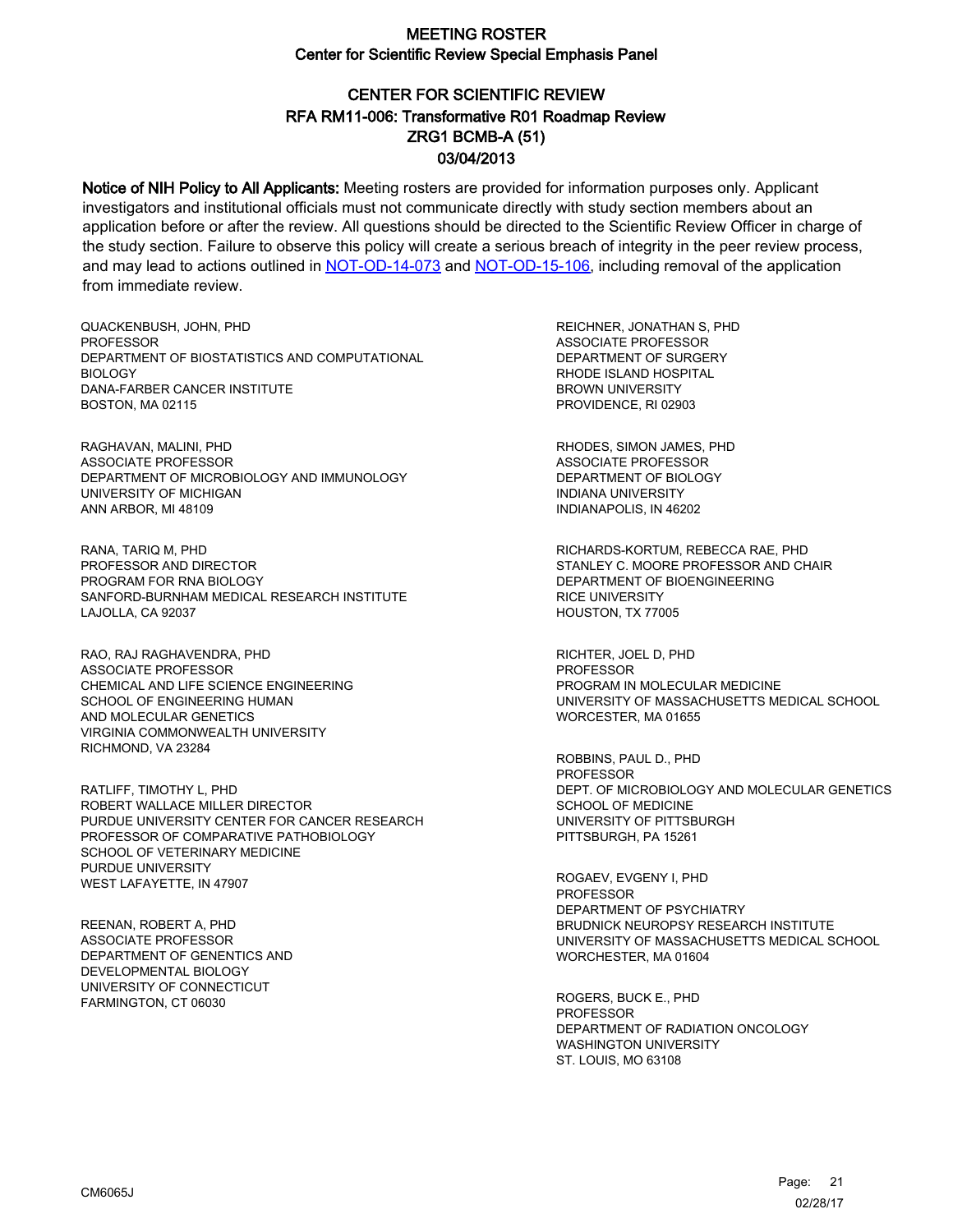# CENTER FOR SCIENTIFIC REVIEW ZRG1 BCMB-A (51) 03/04/2013 RFA RM11-006: Transformative R01 Roadmap Review

Notice of NIH Policy to All Applicants: Meeting rosters are provided for information purposes only. Applicant investigators and institutional officials must not communicate directly with study section members about an application before or after the review. All questions should be directed to the Scientific Review Officer in charge of the study section. Failure to observe this policy will create a serious breach of integrity in the peer review process, and may lead to actions outlined in [NOT-OD-14-073](https://grants.nih.gov/grants/guide/notice-files/NOT-OD-14-073.html) and [NOT-OD-15-106,](https://grants.nih.gov/grants/guide/notice-files/NOT-OD-15-106.html) including removal of the application from immediate review.

QUACKENBUSH, JOHN, PHD **PROFESSOR** DEPARTMENT OF BIOSTATISTICS AND COMPUTATIONAL BIOLOGY DANA-FARBER CANCER INSTITUTE BOSTON, MA 02115

RAGHAVAN, MALINI, PHD ASSOCIATE PROFESSOR DEPARTMENT OF MICROBIOLOGY AND IMMUNOLOGY UNIVERSITY OF MICHIGAN ANN ARBOR, MI 48109

RANA, TARIQ M, PHD PROFESSOR AND DIRECTOR PROGRAM FOR RNA BIOLOGY SANFORD-BURNHAM MEDICAL RESEARCH INSTITUTE LAJOLLA, CA 92037

RAO, RAJ RAGHAVENDRA, PHD ASSOCIATE PROFESSOR CHEMICAL AND LIFE SCIENCE ENGINEERING SCHOOL OF ENGINEERING HUMAN AND MOLECULAR GENETICS VIRGINIA COMMONWEALTH UNIVERSITY RICHMOND, VA 23284

RATLIFF, TIMOTHY L, PHD ROBERT WALLACE MILLER DIRECTOR PURDUE UNIVERSITY CENTER FOR CANCER RESEARCH PROFESSOR OF COMPARATIVE PATHOBIOLOGY SCHOOL OF VETERINARY MEDICINE PURDUE UNIVERSITY WEST LAFAYETTE, IN 47907

REENAN, ROBERT A, PHD ASSOCIATE PROFESSOR DEPARTMENT OF GENENTICS AND DEVELOPMENTAL BIOLOGY UNIVERSITY OF CONNECTICUT FARMINGTON, CT 06030

REICHNER, JONATHAN S, PHD ASSOCIATE PROFESSOR DEPARTMENT OF SURGERY RHODE ISLAND HOSPITAL BROWN UNIVERSITY PROVIDENCE, RI 02903

RHODES, SIMON JAMES, PHD ASSOCIATE PROFESSOR DEPARTMENT OF BIOLOGY INDIANA UNIVERSITY INDIANAPOLIS, IN 46202

RICHARDS-KORTUM, REBECCA RAE, PHD STANLEY C. MOORE PROFESSOR AND CHAIR DEPARTMENT OF BIOENGINEERING RICE UNIVERSITY HOUSTON, TX 77005

RICHTER, JOEL D, PHD PROFESSOR PROGRAM IN MOLECULAR MEDICINE UNIVERSITY OF MASSACHUSETTS MEDICAL SCHOOL WORCESTER, MA 01655

ROBBINS, PAUL D., PHD PROFESSOR DEPT. OF MICROBIOLOGY AND MOLECULAR GENETICS SCHOOL OF MEDICINE UNIVERSITY OF PITTSBURGH PITTSBURGH, PA 15261

ROGAEV, EVGENY I, PHD PROFESSOR DEPARTMENT OF PSYCHIATRY BRUDNICK NEUROPSY RESEARCH INSTITUTE UNIVERSITY OF MASSACHUSETTS MEDICAL SCHOOL WORCHESTER, MA 01604

ROGERS, BUCK E., PHD **PROFESSOR** DEPARTMENT OF RADIATION ONCOLOGY WASHINGTON UNIVERSITY ST. LOUIS, MO 63108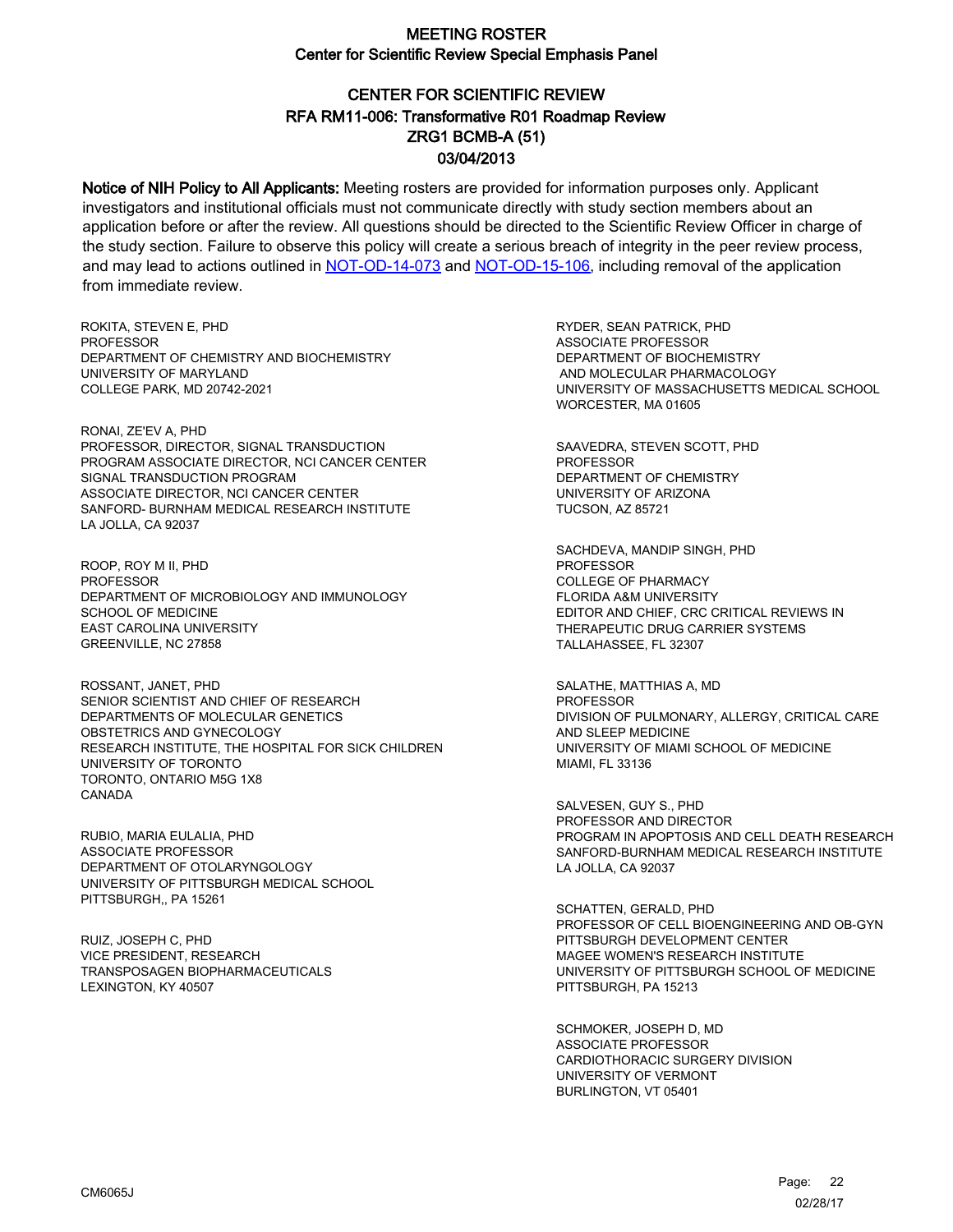# CENTER FOR SCIENTIFIC REVIEW ZRG1 BCMB-A (51) 03/04/2013 RFA RM11-006: Transformative R01 Roadmap Review

Notice of NIH Policy to All Applicants: Meeting rosters are provided for information purposes only. Applicant investigators and institutional officials must not communicate directly with study section members about an application before or after the review. All questions should be directed to the Scientific Review Officer in charge of the study section. Failure to observe this policy will create a serious breach of integrity in the peer review process, and may lead to actions outlined in [NOT-OD-14-073](https://grants.nih.gov/grants/guide/notice-files/NOT-OD-14-073.html) and [NOT-OD-15-106,](https://grants.nih.gov/grants/guide/notice-files/NOT-OD-15-106.html) including removal of the application from immediate review.

ROKITA, STEVEN E, PHD **PROFESSOR** DEPARTMENT OF CHEMISTRY AND BIOCHEMISTRY UNIVERSITY OF MARYLAND COLLEGE PARK, MD 20742-2021

RONAI, ZE'EV A, PHD PROFESSOR, DIRECTOR, SIGNAL TRANSDUCTION PROGRAM ASSOCIATE DIRECTOR, NCI CANCER CENTER SIGNAL TRANSDUCTION PROGRAM ASSOCIATE DIRECTOR, NCI CANCER CENTER SANFORD- BURNHAM MEDICAL RESEARCH INSTITUTE LA JOLLA, CA 92037

ROOP, ROY M II, PHD **PROFESSOR** DEPARTMENT OF MICROBIOLOGY AND IMMUNOLOGY SCHOOL OF MEDICINE EAST CAROLINA UNIVERSITY GREENVILLE, NC 27858

ROSSANT, JANET, PHD SENIOR SCIENTIST AND CHIEF OF RESEARCH DEPARTMENTS OF MOLECULAR GENETICS OBSTETRICS AND GYNECOLOGY RESEARCH INSTITUTE, THE HOSPITAL FOR SICK CHILDREN UNIVERSITY OF TORONTO TORONTO, ONTARIO M5G 1X8 CANADA

RUBIO, MARIA EULALIA, PHD ASSOCIATE PROFESSOR DEPARTMENT OF OTOLARYNGOLOGY UNIVERSITY OF PITTSBURGH MEDICAL SCHOOL PITTSBURGH,, PA 15261

RUIZ, JOSEPH C, PHD VICE PRESIDENT, RESEARCH TRANSPOSAGEN BIOPHARMACEUTICALS LEXINGTON, KY 40507

RYDER, SEAN PATRICK, PHD ASSOCIATE PROFESSOR DEPARTMENT OF BIOCHEMISTRY AND MOLECULAR PHARMACOLOGY UNIVERSITY OF MASSACHUSETTS MEDICAL SCHOOL WORCESTER, MA 01605

SAAVEDRA, STEVEN SCOTT, PHD PROFESSOR DEPARTMENT OF CHEMISTRY UNIVERSITY OF ARIZONA TUCSON, AZ 85721

SACHDEVA, MANDIP SINGH, PHD PROFESSOR COLLEGE OF PHARMACY FLORIDA A&M UNIVERSITY EDITOR AND CHIEF, CRC CRITICAL REVIEWS IN THERAPEUTIC DRUG CARRIER SYSTEMS TALLAHASSEE, FL 32307

SALATHE, MATTHIAS A, MD PROFESSOR DIVISION OF PULMONARY, ALLERGY, CRITICAL CARE AND SLEEP MEDICINE UNIVERSITY OF MIAMI SCHOOL OF MEDICINE MIAMI, FL 33136

SALVESEN, GUY S., PHD PROFESSOR AND DIRECTOR PROGRAM IN APOPTOSIS AND CELL DEATH RESEARCH SANFORD-BURNHAM MEDICAL RESEARCH INSTITUTE LA JOLLA, CA 92037

SCHATTEN, GERALD, PHD PROFESSOR OF CELL BIOENGINEERING AND OB-GYN PITTSBURGH DEVELOPMENT CENTER MAGEE WOMEN'S RESEARCH INSTITUTE UNIVERSITY OF PITTSBURGH SCHOOL OF MEDICINE PITTSBURGH, PA 15213

SCHMOKER, JOSEPH D, MD ASSOCIATE PROFESSOR CARDIOTHORACIC SURGERY DIVISION UNIVERSITY OF VERMONT BURLINGTON, VT 05401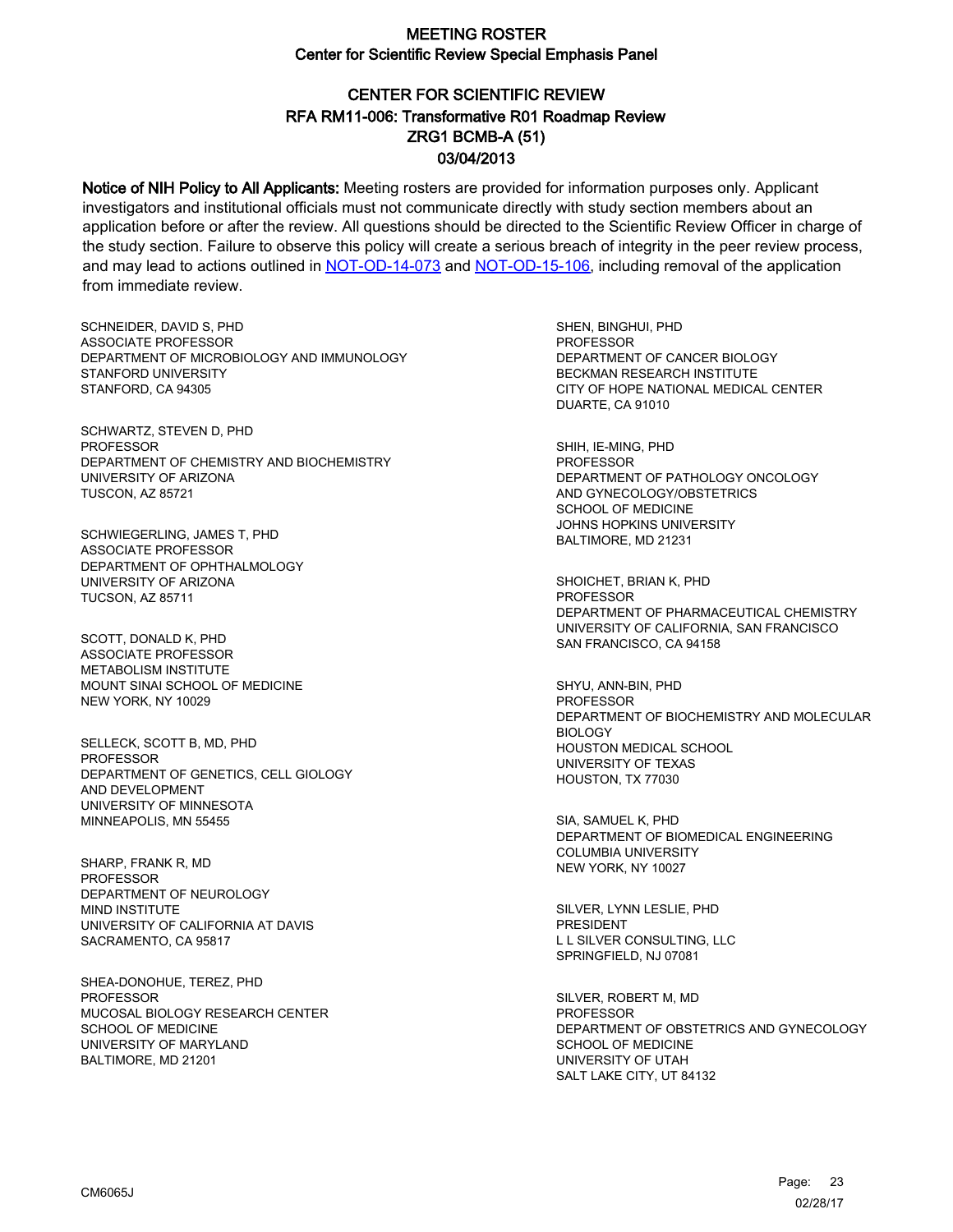# CENTER FOR SCIENTIFIC REVIEW ZRG1 BCMB-A (51) 03/04/2013 RFA RM11-006: Transformative R01 Roadmap Review

Notice of NIH Policy to All Applicants: Meeting rosters are provided for information purposes only. Applicant investigators and institutional officials must not communicate directly with study section members about an application before or after the review. All questions should be directed to the Scientific Review Officer in charge of the study section. Failure to observe this policy will create a serious breach of integrity in the peer review process, and may lead to actions outlined in [NOT-OD-14-073](https://grants.nih.gov/grants/guide/notice-files/NOT-OD-14-073.html) and [NOT-OD-15-106,](https://grants.nih.gov/grants/guide/notice-files/NOT-OD-15-106.html) including removal of the application from immediate review.

SCHNEIDER, DAVID S, PHD ASSOCIATE PROFESSOR DEPARTMENT OF MICROBIOLOGY AND IMMUNOLOGY STANFORD UNIVERSITY STANFORD, CA 94305

SCHWARTZ, STEVEN D, PHD PROFESSOR DEPARTMENT OF CHEMISTRY AND BIOCHEMISTRY UNIVERSITY OF ARIZONA TUSCON, AZ 85721

SCHWIEGERLING, JAMES T, PHD ASSOCIATE PROFESSOR DEPARTMENT OF OPHTHALMOLOGY UNIVERSITY OF ARIZONA TUCSON, AZ 85711

SCOTT, DONALD K, PHD ASSOCIATE PROFESSOR METABOLISM INSTITUTE MOUNT SINAI SCHOOL OF MEDICINE NEW YORK, NY 10029

SELLECK, SCOTT B, MD, PHD PROFESSOR DEPARTMENT OF GENETICS, CELL GIOLOGY AND DEVELOPMENT UNIVERSITY OF MINNESOTA MINNEAPOLIS, MN 55455

SHARP, FRANK R, MD PROFESSOR DEPARTMENT OF NEUROLOGY MIND INSTITUTE UNIVERSITY OF CALIFORNIA AT DAVIS SACRAMENTO, CA 95817

SHEA-DONOHUE, TEREZ, PHD PROFESSOR MUCOSAL BIOLOGY RESEARCH CENTER SCHOOL OF MEDICINE UNIVERSITY OF MARYLAND BALTIMORE, MD 21201

SHEN, BINGHUI, PHD PROFESSOR DEPARTMENT OF CANCER BIOLOGY BECKMAN RESEARCH INSTITUTE CITY OF HOPE NATIONAL MEDICAL CENTER DUARTE, CA 91010

SHIH, IE-MING, PHD PROFESSOR DEPARTMENT OF PATHOLOGY ONCOLOGY AND GYNECOLOGY/OBSTETRICS SCHOOL OF MEDICINE JOHNS HOPKINS UNIVERSITY BALTIMORE, MD 21231

SHOICHET, BRIAN K, PHD **PROFESSOR** DEPARTMENT OF PHARMACEUTICAL CHEMISTRY UNIVERSITY OF CALIFORNIA, SAN FRANCISCO SAN FRANCISCO, CA 94158

SHYU, ANN-BIN, PHD **PROFESSOR** DEPARTMENT OF BIOCHEMISTRY AND MOLECULAR BIOLOGY HOUSTON MEDICAL SCHOOL UNIVERSITY OF TEXAS HOUSTON, TX 77030

SIA, SAMUEL K, PHD DEPARTMENT OF BIOMEDICAL ENGINEERING COLUMBIA UNIVERSITY NEW YORK, NY 10027

SILVER, LYNN LESLIE, PHD PRESIDENT L L SILVER CONSULTING, LLC SPRINGFIELD, NJ 07081

SILVER, ROBERT M, MD PROFESSOR DEPARTMENT OF OBSTETRICS AND GYNECOLOGY SCHOOL OF MEDICINE UNIVERSITY OF UTAH SALT LAKE CITY, UT 84132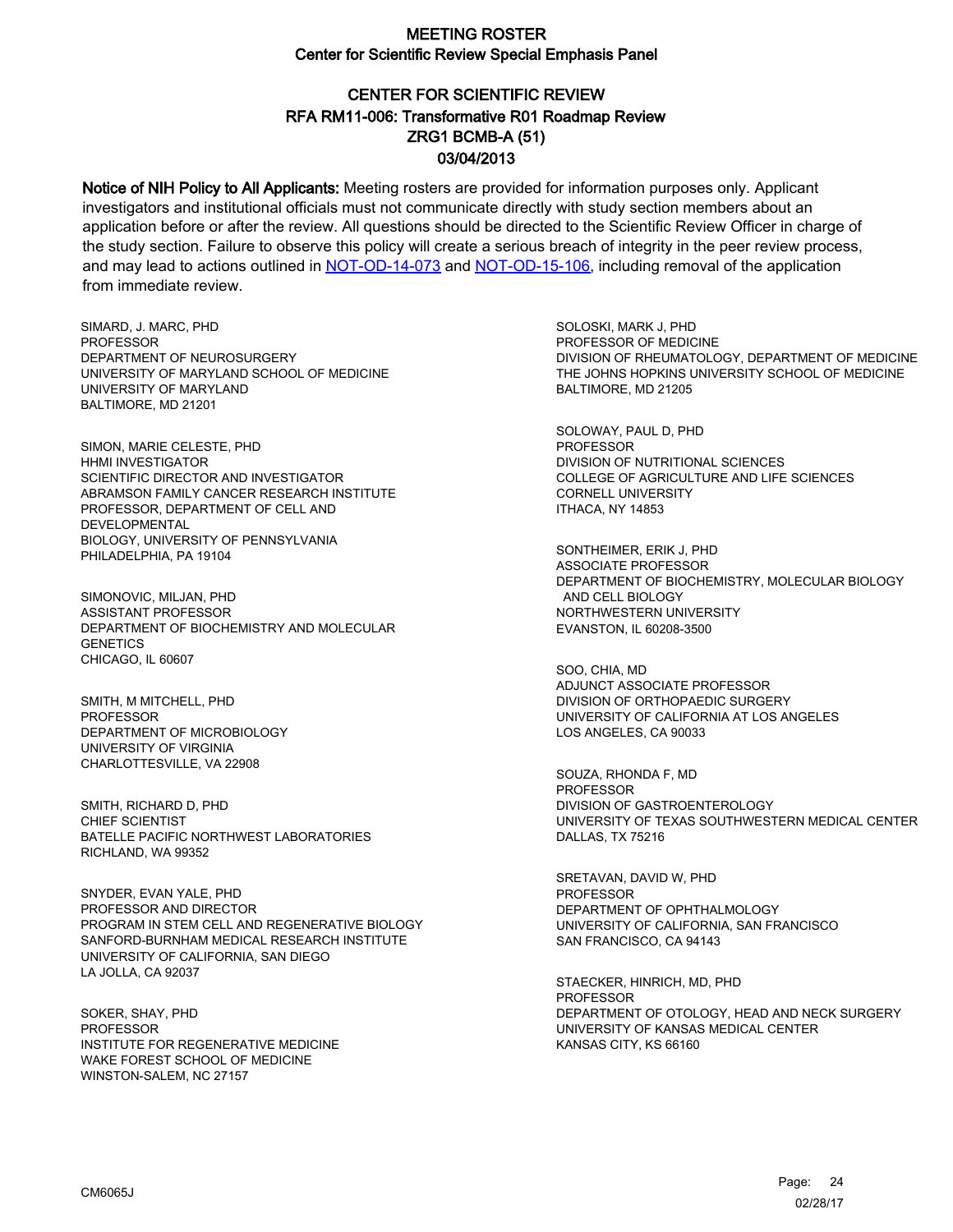# CENTER FOR SCIENTIFIC REVIEW ZRG1 BCMB-A (51) 03/04/2013 RFA RM11-006: Transformative R01 Roadmap Review

Notice of NIH Policy to All Applicants: Meeting rosters are provided for information purposes only. Applicant investigators and institutional officials must not communicate directly with study section members about an application before or after the review. All questions should be directed to the Scientific Review Officer in charge of the study section. Failure to observe this policy will create a serious breach of integrity in the peer review process, and may lead to actions outlined in [NOT-OD-14-073](https://grants.nih.gov/grants/guide/notice-files/NOT-OD-14-073.html) and [NOT-OD-15-106,](https://grants.nih.gov/grants/guide/notice-files/NOT-OD-15-106.html) including removal of the application from immediate review.

SIMARD, J. MARC, PHD **PROFESSOR** DEPARTMENT OF NEUROSURGERY UNIVERSITY OF MARYLAND SCHOOL OF MEDICINE UNIVERSITY OF MARYLAND BALTIMORE, MD 21201

SIMON, MARIE CELESTE, PHD HHMI INVESTIGATOR SCIENTIFIC DIRECTOR AND INVESTIGATOR ABRAMSON FAMILY CANCER RESEARCH INSTITUTE PROFESSOR, DEPARTMENT OF CELL AND DEVELOPMENTAL BIOLOGY, UNIVERSITY OF PENNSYLVANIA PHILADELPHIA, PA 19104

SIMONOVIC, MILJAN, PHD ASSISTANT PROFESSOR DEPARTMENT OF BIOCHEMISTRY AND MOLECULAR **GENETICS** CHICAGO, IL 60607

SMITH, M MITCHELL, PHD PROFESSOR DEPARTMENT OF MICROBIOLOGY UNIVERSITY OF VIRGINIA CHARLOTTESVILLE, VA 22908

SMITH, RICHARD D, PHD CHIEF SCIENTIST BATELLE PACIFIC NORTHWEST LABORATORIES RICHLAND, WA 99352

SNYDER, EVAN YALE, PHD PROFESSOR AND DIRECTOR PROGRAM IN STEM CELL AND REGENERATIVE BIOLOGY SANFORD-BURNHAM MEDICAL RESEARCH INSTITUTE UNIVERSITY OF CALIFORNIA, SAN DIEGO LA JOLLA, CA 92037

SOKER, SHAY, PHD PROFESSOR INSTITUTE FOR REGENERATIVE MEDICINE WAKE FOREST SCHOOL OF MEDICINE WINSTON-SALEM, NC 27157

SOLOSKI, MARK J, PHD PROFESSOR OF MEDICINE DIVISION OF RHEUMATOLOGY, DEPARTMENT OF MEDICINE THE JOHNS HOPKINS UNIVERSITY SCHOOL OF MEDICINE BALTIMORE, MD 21205

SOLOWAY, PAUL D, PHD PROFESSOR DIVISION OF NUTRITIONAL SCIENCES COLLEGE OF AGRICULTURE AND LIFE SCIENCES CORNELL UNIVERSITY ITHACA, NY 14853

SONTHEIMER, ERIK J, PHD ASSOCIATE PROFESSOR DEPARTMENT OF BIOCHEMISTRY, MOLECULAR BIOLOGY AND CELL BIOLOGY NORTHWESTERN UNIVERSITY EVANSTON, IL 60208-3500

SOO, CHIA, MD ADJUNCT ASSOCIATE PROFESSOR DIVISION OF ORTHOPAEDIC SURGERY UNIVERSITY OF CALIFORNIA AT LOS ANGELES LOS ANGELES, CA 90033

SOUZA, RHONDA F, MD PROFESSOR DIVISION OF GASTROENTEROLOGY UNIVERSITY OF TEXAS SOUTHWESTERN MEDICAL CENTER DALLAS, TX 75216

SRETAVAN, DAVID W, PHD **PROFESSOR** DEPARTMENT OF OPHTHALMOLOGY UNIVERSITY OF CALIFORNIA, SAN FRANCISCO SAN FRANCISCO, CA 94143

STAECKER, HINRICH, MD, PHD PROFESSOR DEPARTMENT OF OTOLOGY, HEAD AND NECK SURGERY UNIVERSITY OF KANSAS MEDICAL CENTER KANSAS CITY, KS 66160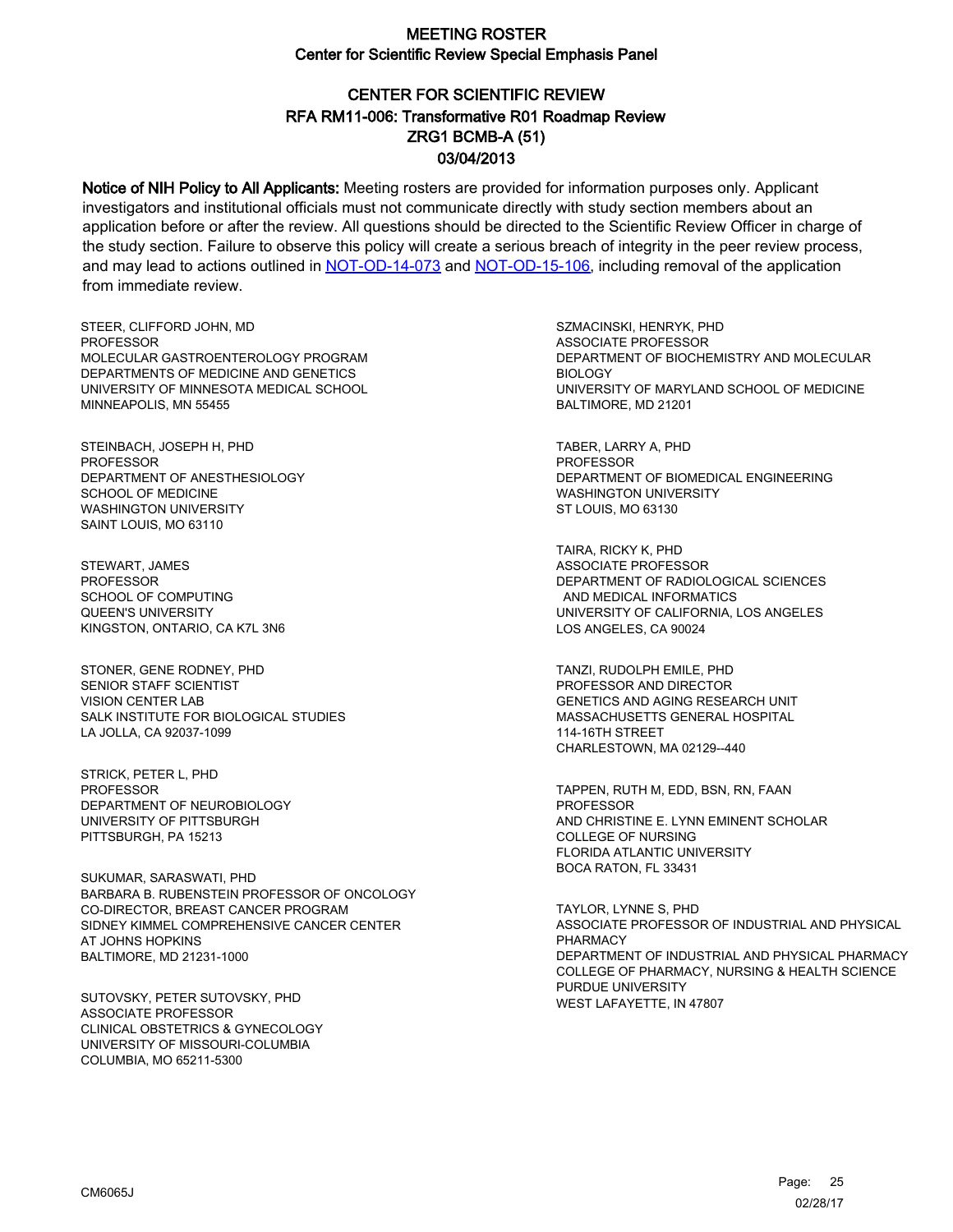# CENTER FOR SCIENTIFIC REVIEW ZRG1 BCMB-A (51) 03/04/2013 RFA RM11-006: Transformative R01 Roadmap Review

Notice of NIH Policy to All Applicants: Meeting rosters are provided for information purposes only. Applicant investigators and institutional officials must not communicate directly with study section members about an application before or after the review. All questions should be directed to the Scientific Review Officer in charge of the study section. Failure to observe this policy will create a serious breach of integrity in the peer review process, and may lead to actions outlined in [NOT-OD-14-073](https://grants.nih.gov/grants/guide/notice-files/NOT-OD-14-073.html) and [NOT-OD-15-106,](https://grants.nih.gov/grants/guide/notice-files/NOT-OD-15-106.html) including removal of the application from immediate review.

STEER, CLIFFORD JOHN, MD **PROFESSOR** MOLECULAR GASTROENTEROLOGY PROGRAM DEPARTMENTS OF MEDICINE AND GENETICS UNIVERSITY OF MINNESOTA MEDICAL SCHOOL MINNEAPOLIS, MN 55455

STEINBACH, JOSEPH H, PHD PROFESSOR DEPARTMENT OF ANESTHESIOLOGY SCHOOL OF MEDICINE WASHINGTON UNIVERSITY SAINT LOUIS, MO 63110

STEWART, JAMES **PROFESSOR** SCHOOL OF COMPUTING QUEEN'S UNIVERSITY KINGSTON, ONTARIO, CA K7L 3N6

STONER, GENE RODNEY, PHD SENIOR STAFF SCIENTIST VISION CENTER LAB SALK INSTITUTE FOR BIOLOGICAL STUDIES LA JOLLA, CA 92037-1099

STRICK, PETER L, PHD PROFESSOR DEPARTMENT OF NEUROBIOLOGY UNIVERSITY OF PITTSBURGH PITTSBURGH, PA 15213

SUKUMAR, SARASWATI, PHD BARBARA B. RUBENSTEIN PROFESSOR OF ONCOLOGY CO-DIRECTOR, BREAST CANCER PROGRAM SIDNEY KIMMEL COMPREHENSIVE CANCER CENTER AT JOHNS HOPKINS BALTIMORE, MD 21231-1000

SUTOVSKY, PETER SUTOVSKY, PHD ASSOCIATE PROFESSOR CLINICAL OBSTETRICS & GYNECOLOGY UNIVERSITY OF MISSOURI-COLUMBIA COLUMBIA, MO 65211-5300

SZMACINSKI, HENRYK, PHD ASSOCIATE PROFESSOR DEPARTMENT OF BIOCHEMISTRY AND MOLECULAR BIOLOGY UNIVERSITY OF MARYLAND SCHOOL OF MEDICINE BALTIMORE, MD 21201

TABER, LARRY A, PHD PROFESSOR DEPARTMENT OF BIOMEDICAL ENGINEERING WASHINGTON UNIVERSITY ST LOUIS, MO 63130

TAIRA, RICKY K, PHD ASSOCIATE PROFESSOR DEPARTMENT OF RADIOLOGICAL SCIENCES AND MEDICAL INFORMATICS UNIVERSITY OF CALIFORNIA, LOS ANGELES LOS ANGELES, CA 90024

TANZI, RUDOLPH EMILE, PHD PROFESSOR AND DIRECTOR GENETICS AND AGING RESEARCH UNIT MASSACHUSETTS GENERAL HOSPITAL 114-16TH STREET CHARLESTOWN, MA 02129--440

TAPPEN, RUTH M, EDD, BSN, RN, FAAN PROFESSOR AND CHRISTINE E. LYNN EMINENT SCHOLAR COLLEGE OF NURSING FLORIDA ATLANTIC UNIVERSITY BOCA RATON, FL 33431

TAYLOR, LYNNE S, PHD ASSOCIATE PROFESSOR OF INDUSTRIAL AND PHYSICAL PHARMACY DEPARTMENT OF INDUSTRIAL AND PHYSICAL PHARMACY COLLEGE OF PHARMACY, NURSING & HEALTH SCIENCE PURDUE UNIVERSITY WEST LAFAYETTE, IN 47807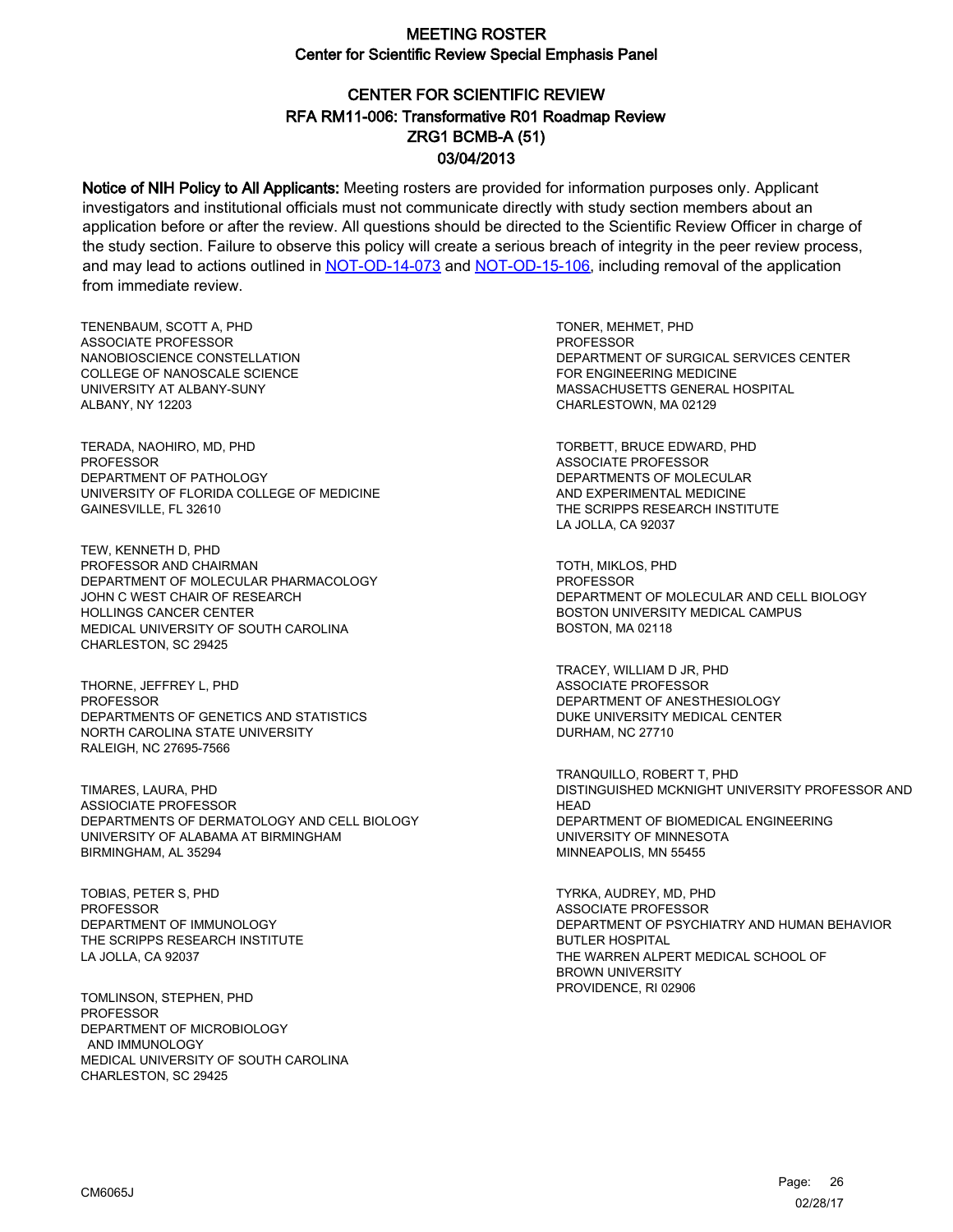# CENTER FOR SCIENTIFIC REVIEW ZRG1 BCMB-A (51) 03/04/2013 RFA RM11-006: Transformative R01 Roadmap Review

Notice of NIH Policy to All Applicants: Meeting rosters are provided for information purposes only. Applicant investigators and institutional officials must not communicate directly with study section members about an application before or after the review. All questions should be directed to the Scientific Review Officer in charge of the study section. Failure to observe this policy will create a serious breach of integrity in the peer review process, and may lead to actions outlined in [NOT-OD-14-073](https://grants.nih.gov/grants/guide/notice-files/NOT-OD-14-073.html) and [NOT-OD-15-106,](https://grants.nih.gov/grants/guide/notice-files/NOT-OD-15-106.html) including removal of the application from immediate review.

TENENBAUM, SCOTT A, PHD ASSOCIATE PROFESSOR NANOBIOSCIENCE CONSTELLATION COLLEGE OF NANOSCALE SCIENCE UNIVERSITY AT ALBANY-SUNY ALBANY, NY 12203

TERADA, NAOHIRO, MD, PHD PROFESSOR DEPARTMENT OF PATHOLOGY UNIVERSITY OF FLORIDA COLLEGE OF MEDICINE GAINESVILLE, FL 32610

TEW, KENNETH D, PHD PROFESSOR AND CHAIRMAN DEPARTMENT OF MOLECULAR PHARMACOLOGY JOHN C WEST CHAIR OF RESEARCH HOLLINGS CANCER CENTER MEDICAL UNIVERSITY OF SOUTH CAROLINA CHARLESTON, SC 29425

THORNE, JEFFREY L, PHD **PROFESSOR** DEPARTMENTS OF GENETICS AND STATISTICS NORTH CAROLINA STATE UNIVERSITY RALEIGH, NC 27695-7566

TIMARES, LAURA, PHD ASSIOCIATE PROFESSOR DEPARTMENTS OF DERMATOLOGY AND CELL BIOLOGY UNIVERSITY OF ALABAMA AT BIRMINGHAM BIRMINGHAM, AL 35294

TOBIAS, PETER S, PHD **PROFESSOR** DEPARTMENT OF IMMUNOLOGY THE SCRIPPS RESEARCH INSTITUTE LA JOLLA, CA 92037

TOMLINSON, STEPHEN, PHD PROFESSOR DEPARTMENT OF MICROBIOLOGY AND IMMUNOLOGY MEDICAL UNIVERSITY OF SOUTH CAROLINA CHARLESTON, SC 29425

TONER, MEHMET, PHD **PROFESSOR** DEPARTMENT OF SURGICAL SERVICES CENTER FOR ENGINEERING MEDICINE MASSACHUSETTS GENERAL HOSPITAL CHARLESTOWN, MA 02129

TORBETT, BRUCE EDWARD, PHD ASSOCIATE PROFESSOR DEPARTMENTS OF MOLECULAR AND EXPERIMENTAL MEDICINE THE SCRIPPS RESEARCH INSTITUTE LA JOLLA, CA 92037

TOTH, MIKLOS, PHD **PROFESSOR** DEPARTMENT OF MOLECULAR AND CELL BIOLOGY BOSTON UNIVERSITY MEDICAL CAMPUS BOSTON, MA 02118

TRACEY, WILLIAM D JR, PHD ASSOCIATE PROFESSOR DEPARTMENT OF ANESTHESIOLOGY DUKE UNIVERSITY MEDICAL CENTER DURHAM, NC 27710

TRANQUILLO, ROBERT T, PHD DISTINGUISHED MCKNIGHT UNIVERSITY PROFESSOR AND **HEAD** DEPARTMENT OF BIOMEDICAL ENGINEERING UNIVERSITY OF MINNESOTA MINNEAPOLIS, MN 55455

TYRKA, AUDREY, MD, PHD ASSOCIATE PROFESSOR DEPARTMENT OF PSYCHIATRY AND HUMAN BEHAVIOR BUTLER HOSPITAL THE WARREN ALPERT MEDICAL SCHOOL OF BROWN UNIVERSITY PROVIDENCE, RI 02906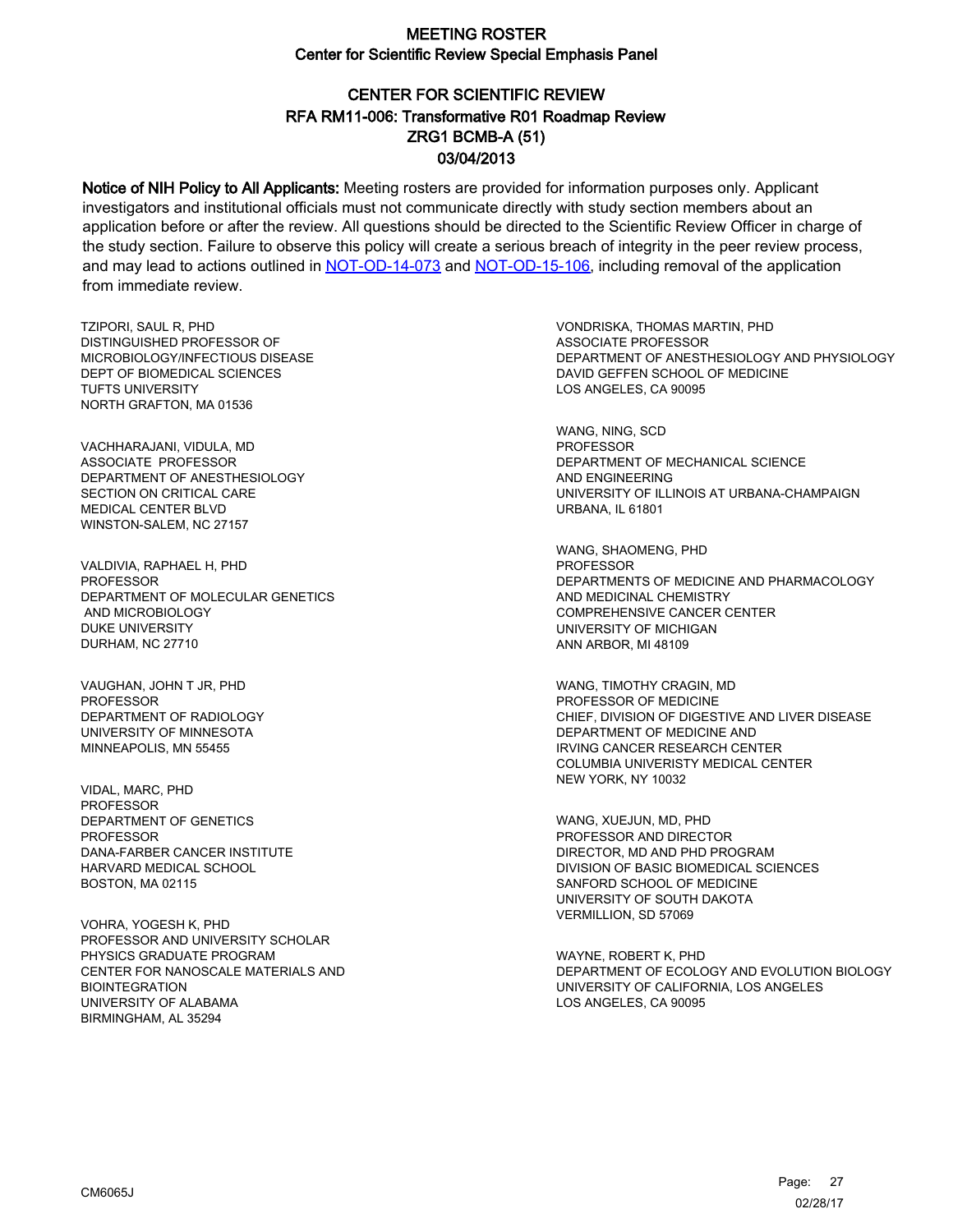# CENTER FOR SCIENTIFIC REVIEW ZRG1 BCMB-A (51) 03/04/2013 RFA RM11-006: Transformative R01 Roadmap Review

Notice of NIH Policy to All Applicants: Meeting rosters are provided for information purposes only. Applicant investigators and institutional officials must not communicate directly with study section members about an application before or after the review. All questions should be directed to the Scientific Review Officer in charge of the study section. Failure to observe this policy will create a serious breach of integrity in the peer review process, and may lead to actions outlined in [NOT-OD-14-073](https://grants.nih.gov/grants/guide/notice-files/NOT-OD-14-073.html) and [NOT-OD-15-106,](https://grants.nih.gov/grants/guide/notice-files/NOT-OD-15-106.html) including removal of the application from immediate review.

TZIPORI, SAUL R, PHD DISTINGUISHED PROFESSOR OF MICROBIOLOGY/INFECTIOUS DISEASE DEPT OF BIOMEDICAL SCIENCES TUFTS UNIVERSITY NORTH GRAFTON, MA 01536

VACHHARAJANI, VIDULA, MD ASSOCIATE PROFESSOR DEPARTMENT OF ANESTHESIOLOGY SECTION ON CRITICAL CARE MEDICAL CENTER BLVD WINSTON-SALEM, NC 27157

VALDIVIA, RAPHAEL H, PHD **PROFESSOR** DEPARTMENT OF MOLECULAR GENETICS AND MICROBIOLOGY DUKE UNIVERSITY DURHAM, NC 27710

VAUGHAN, JOHN T JR, PHD **PROFESSOR** DEPARTMENT OF RADIOLOGY UNIVERSITY OF MINNESOTA MINNEAPOLIS, MN 55455

VIDAL, MARC, PHD PROFESSOR DEPARTMENT OF GENETICS **PROFESSOR** DANA-FARBER CANCER INSTITUTE HARVARD MEDICAL SCHOOL BOSTON, MA 02115

VOHRA, YOGESH K, PHD PROFESSOR AND UNIVERSITY SCHOLAR PHYSICS GRADUATE PROGRAM CENTER FOR NANOSCALE MATERIALS AND BIOINTEGRATION UNIVERSITY OF ALABAMA BIRMINGHAM, AL 35294

VONDRISKA, THOMAS MARTIN, PHD ASSOCIATE PROFESSOR DEPARTMENT OF ANESTHESIOLOGY AND PHYSIOLOGY DAVID GEFFEN SCHOOL OF MEDICINE LOS ANGELES, CA 90095

WANG, NING, SCD PROFESSOR DEPARTMENT OF MECHANICAL SCIENCE AND ENGINEERING UNIVERSITY OF ILLINOIS AT URBANA-CHAMPAIGN URBANA, IL 61801

WANG, SHAOMENG, PHD PROFESSOR DEPARTMENTS OF MEDICINE AND PHARMACOLOGY AND MEDICINAL CHEMISTRY COMPREHENSIVE CANCER CENTER UNIVERSITY OF MICHIGAN ANN ARBOR, MI 48109

WANG, TIMOTHY CRAGIN, MD PROFESSOR OF MEDICINE CHIEF, DIVISION OF DIGESTIVE AND LIVER DISEASE DEPARTMENT OF MEDICINE AND IRVING CANCER RESEARCH CENTER COLUMBIA UNIVERISTY MEDICAL CENTER NEW YORK, NY 10032

WANG, XUEJUN, MD, PHD PROFESSOR AND DIRECTOR DIRECTOR, MD AND PHD PROGRAM DIVISION OF BASIC BIOMEDICAL SCIENCES SANFORD SCHOOL OF MEDICINE UNIVERSITY OF SOUTH DAKOTA VERMILLION, SD 57069

WAYNE, ROBERT K, PHD DEPARTMENT OF ECOLOGY AND EVOLUTION BIOLOGY UNIVERSITY OF CALIFORNIA, LOS ANGELES LOS ANGELES, CA 90095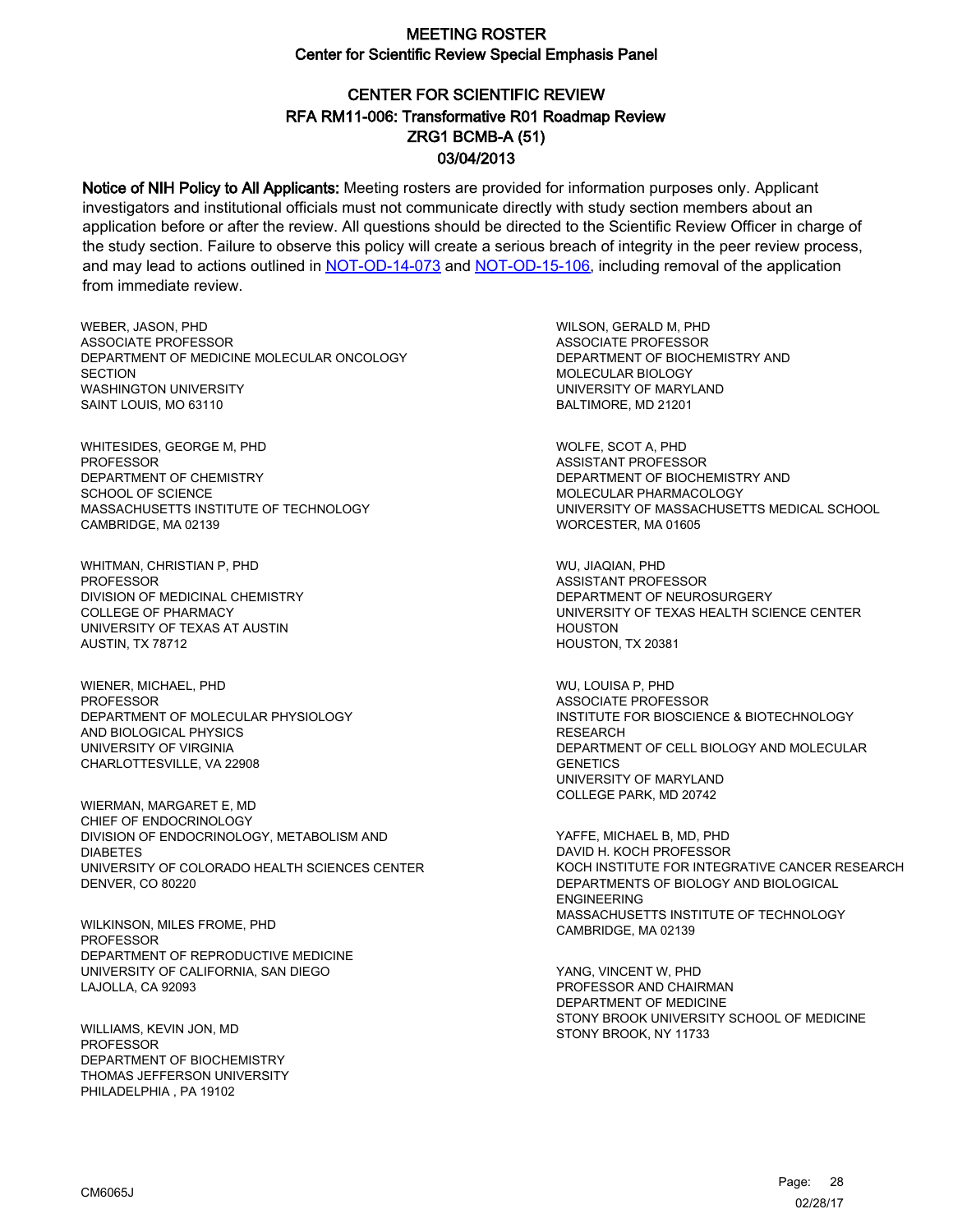# CENTER FOR SCIENTIFIC REVIEW ZRG1 BCMB-A (51) 03/04/2013 RFA RM11-006: Transformative R01 Roadmap Review

Notice of NIH Policy to All Applicants: Meeting rosters are provided for information purposes only. Applicant investigators and institutional officials must not communicate directly with study section members about an application before or after the review. All questions should be directed to the Scientific Review Officer in charge of the study section. Failure to observe this policy will create a serious breach of integrity in the peer review process, and may lead to actions outlined in [NOT-OD-14-073](https://grants.nih.gov/grants/guide/notice-files/NOT-OD-14-073.html) and [NOT-OD-15-106,](https://grants.nih.gov/grants/guide/notice-files/NOT-OD-15-106.html) including removal of the application from immediate review.

WEBER, JASON, PHD ASSOCIATE PROFESSOR DEPARTMENT OF MEDICINE MOLECULAR ONCOLOGY **SECTION** WASHINGTON UNIVERSITY SAINT LOUIS, MO 63110

WHITESIDES, GEORGE M, PHD PROFESSOR DEPARTMENT OF CHEMISTRY SCHOOL OF SCIENCE MASSACHUSETTS INSTITUTE OF TECHNOLOGY CAMBRIDGE, MA 02139

WHITMAN, CHRISTIAN P, PHD **PROFESSOR** DIVISION OF MEDICINAL CHEMISTRY COLLEGE OF PHARMACY UNIVERSITY OF TEXAS AT AUSTIN AUSTIN, TX 78712

WIENER, MICHAEL, PHD PROFESSOR DEPARTMENT OF MOLECULAR PHYSIOLOGY AND BIOLOGICAL PHYSICS UNIVERSITY OF VIRGINIA CHARLOTTESVILLE, VA 22908

WIERMAN, MARGARET E, MD CHIEF OF ENDOCRINOLOGY DIVISION OF ENDOCRINOLOGY, METABOLISM AND DIABETES UNIVERSITY OF COLORADO HEALTH SCIENCES CENTER DENVER, CO 80220

WILKINSON, MILES FROME, PHD PROFESSOR DEPARTMENT OF REPRODUCTIVE MEDICINE UNIVERSITY OF CALIFORNIA, SAN DIEGO LAJOLLA, CA 92093

WILLIAMS, KEVIN JON, MD PROFESSOR DEPARTMENT OF BIOCHEMISTRY THOMAS JEFFERSON UNIVERSITY PHILADELPHIA , PA 19102

WILSON, GERALD M, PHD ASSOCIATE PROFESSOR DEPARTMENT OF BIOCHEMISTRY AND MOLECULAR BIOLOGY UNIVERSITY OF MARYLAND BALTIMORE, MD 21201

WOLFE, SCOT A, PHD ASSISTANT PROFESSOR DEPARTMENT OF BIOCHEMISTRY AND MOLECULAR PHARMACOLOGY UNIVERSITY OF MASSACHUSETTS MEDICAL SCHOOL WORCESTER, MA 01605

WU, JIAQIAN, PHD ASSISTANT PROFESSOR DEPARTMENT OF NEUROSURGERY UNIVERSITY OF TEXAS HEALTH SCIENCE CENTER **HOUSTON** HOUSTON, TX 20381

WU, LOUISA P, PHD ASSOCIATE PROFESSOR INSTITUTE FOR BIOSCIENCE & BIOTECHNOLOGY **RESEARCH** DEPARTMENT OF CELL BIOLOGY AND MOLECULAR **GENETICS** UNIVERSITY OF MARYLAND COLLEGE PARK, MD 20742

YAFFE, MICHAEL B, MD, PHD DAVID H. KOCH PROFESSOR KOCH INSTITUTE FOR INTEGRATIVE CANCER RESEARCH DEPARTMENTS OF BIOLOGY AND BIOLOGICAL ENGINEERING MASSACHUSETTS INSTITUTE OF TECHNOLOGY CAMBRIDGE, MA 02139

YANG, VINCENT W, PHD PROFESSOR AND CHAIRMAN DEPARTMENT OF MEDICINE STONY BROOK UNIVERSITY SCHOOL OF MEDICINE STONY BROOK, NY 11733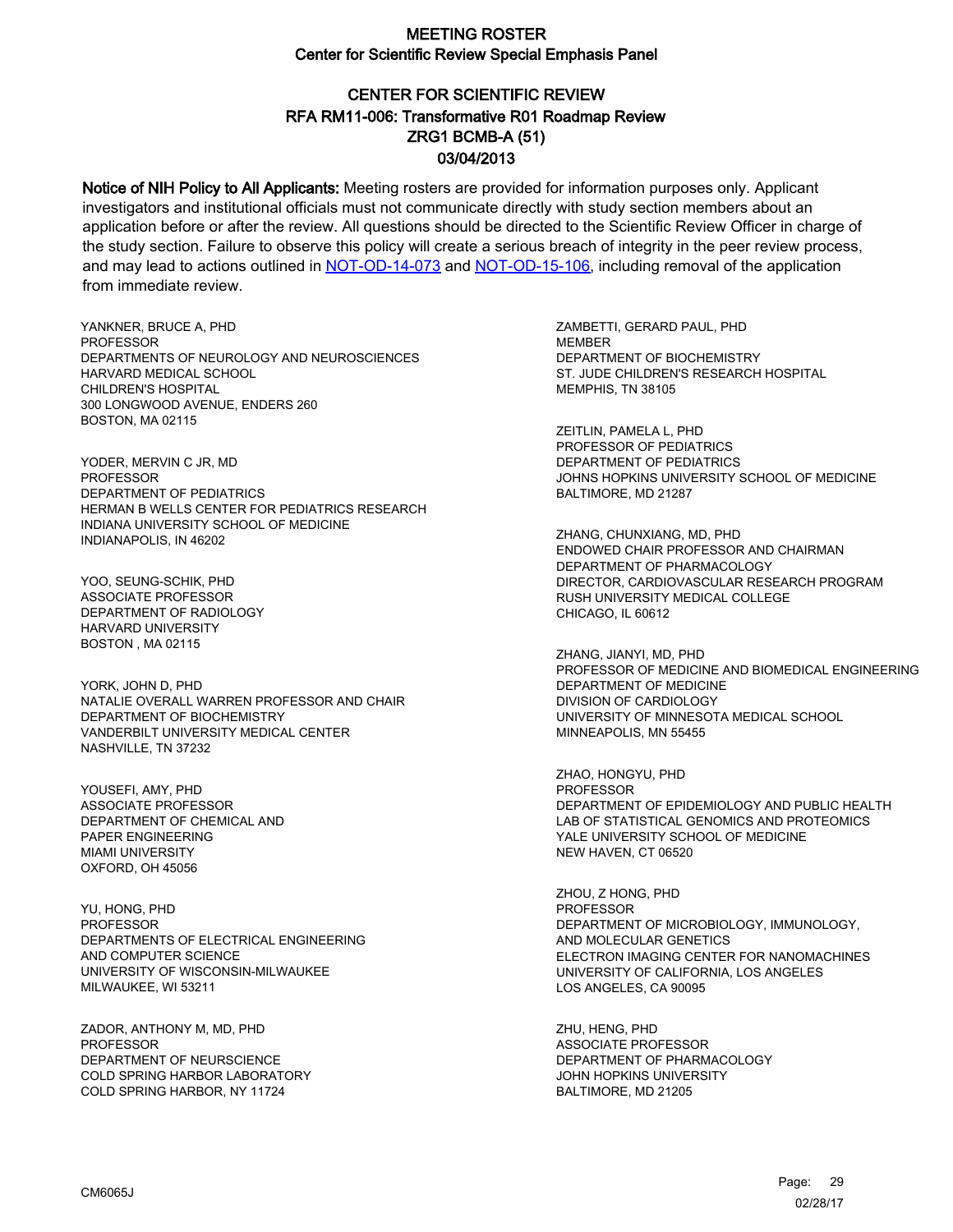# CENTER FOR SCIENTIFIC REVIEW ZRG1 BCMB-A (51) 03/04/2013 RFA RM11-006: Transformative R01 Roadmap Review

Notice of NIH Policy to All Applicants: Meeting rosters are provided for information purposes only. Applicant investigators and institutional officials must not communicate directly with study section members about an application before or after the review. All questions should be directed to the Scientific Review Officer in charge of the study section. Failure to observe this policy will create a serious breach of integrity in the peer review process, and may lead to actions outlined in [NOT-OD-14-073](https://grants.nih.gov/grants/guide/notice-files/NOT-OD-14-073.html) and [NOT-OD-15-106,](https://grants.nih.gov/grants/guide/notice-files/NOT-OD-15-106.html) including removal of the application from immediate review.

YANKNER, BRUCE A, PHD **PROFESSOR** DEPARTMENTS OF NEUROLOGY AND NEUROSCIENCES HARVARD MEDICAL SCHOOL CHILDREN'S HOSPITAL 300 LONGWOOD AVENUE, ENDERS 260 BOSTON, MA 02115

YODER, MERVIN C JR, MD PROFESSOR DEPARTMENT OF PEDIATRICS HERMAN B WELLS CENTER FOR PEDIATRICS RESEARCH INDIANA UNIVERSITY SCHOOL OF MEDICINE INDIANAPOLIS, IN 46202

YOO, SEUNG-SCHIK, PHD ASSOCIATE PROFESSOR DEPARTMENT OF RADIOLOGY HARVARD UNIVERSITY BOSTON , MA 02115

YORK, JOHN D, PHD NATALIE OVERALL WARREN PROFESSOR AND CHAIR DEPARTMENT OF BIOCHEMISTRY VANDERBILT UNIVERSITY MEDICAL CENTER NASHVILLE, TN 37232

YOUSEFI, AMY, PHD ASSOCIATE PROFESSOR DEPARTMENT OF CHEMICAL AND PAPER ENGINEERING MIAMI UNIVERSITY OXFORD, OH 45056

YU, HONG, PHD PROFESSOR DEPARTMENTS OF ELECTRICAL ENGINEERING AND COMPUTER SCIENCE UNIVERSITY OF WISCONSIN-MILWAUKEE MILWAUKEE, WI 53211

ZADOR, ANTHONY M, MD, PHD PROFESSOR DEPARTMENT OF NEURSCIENCE COLD SPRING HARBOR LABORATORY COLD SPRING HARBOR, NY 11724

ZAMBETTI, GERARD PAUL, PHD **MEMBER** DEPARTMENT OF BIOCHEMISTRY ST. JUDE CHILDREN'S RESEARCH HOSPITAL MEMPHIS, TN 38105

ZEITLIN, PAMELA L, PHD PROFESSOR OF PEDIATRICS DEPARTMENT OF PEDIATRICS JOHNS HOPKINS UNIVERSITY SCHOOL OF MEDICINE BALTIMORE, MD 21287

ZHANG, CHUNXIANG, MD, PHD ENDOWED CHAIR PROFESSOR AND CHAIRMAN DEPARTMENT OF PHARMACOLOGY DIRECTOR, CARDIOVASCULAR RESEARCH PROGRAM RUSH UNIVERSITY MEDICAL COLLEGE CHICAGO, IL 60612

ZHANG, JIANYI, MD, PHD PROFESSOR OF MEDICINE AND BIOMEDICAL ENGINEERING DEPARTMENT OF MEDICINE DIVISION OF CARDIOLOGY UNIVERSITY OF MINNESOTA MEDICAL SCHOOL MINNEAPOLIS, MN 55455

ZHAO, HONGYU, PHD PROFESSOR DEPARTMENT OF EPIDEMIOLOGY AND PUBLIC HEALTH LAB OF STATISTICAL GENOMICS AND PROTEOMICS YALE UNIVERSITY SCHOOL OF MEDICINE NEW HAVEN, CT 06520

ZHOU, Z HONG, PHD **PROFESSOR** DEPARTMENT OF MICROBIOLOGY, IMMUNOLOGY, AND MOLECULAR GENETICS ELECTRON IMAGING CENTER FOR NANOMACHINES UNIVERSITY OF CALIFORNIA, LOS ANGELES LOS ANGELES, CA 90095

ZHU, HENG, PHD ASSOCIATE PROFESSOR DEPARTMENT OF PHARMACOLOGY JOHN HOPKINS UNIVERSITY BALTIMORE, MD 21205